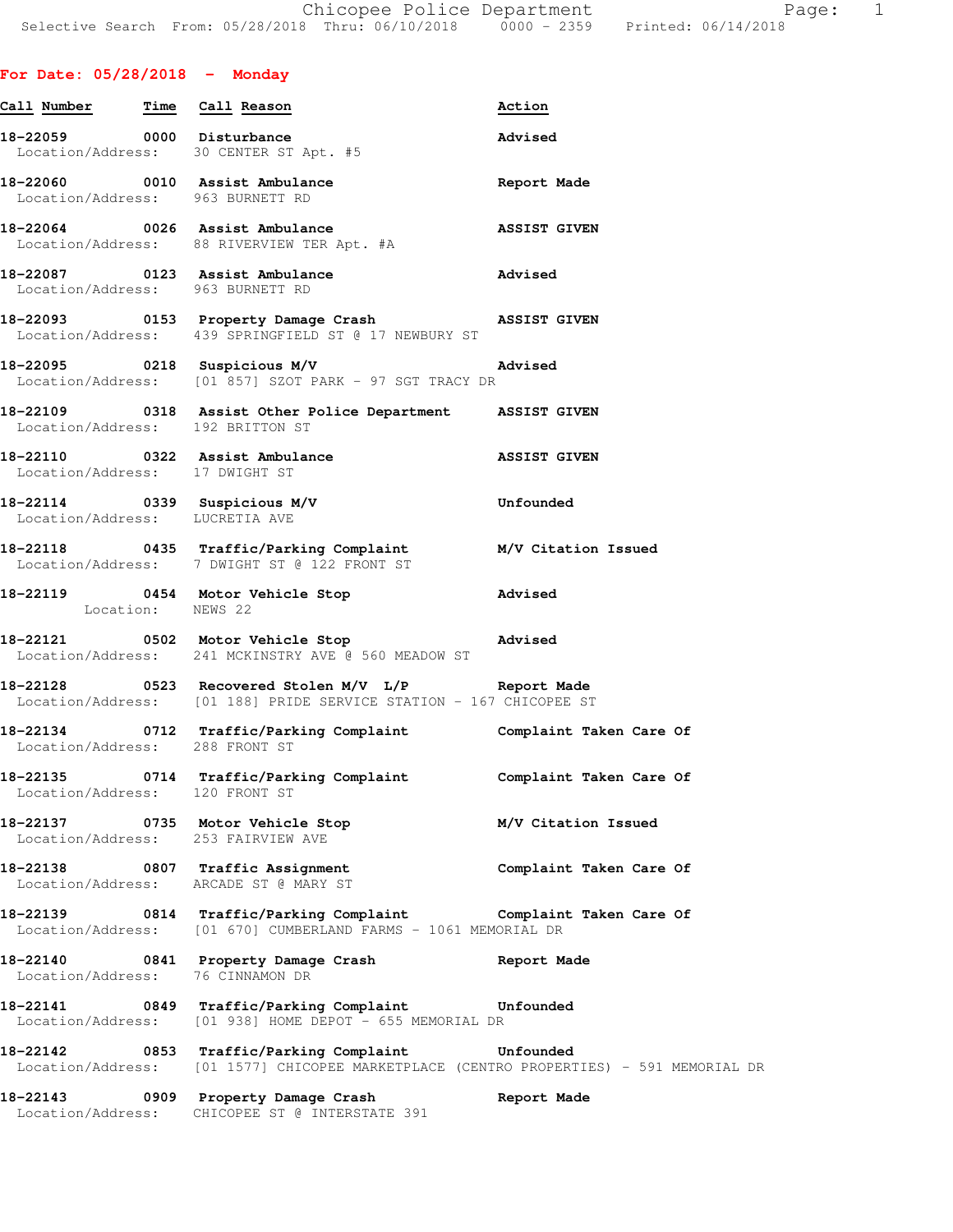**For Date: 05/28/2018 - Monday**

| Call Number Time Call Reason     |                                                                                                                                             | Action                  |
|----------------------------------|---------------------------------------------------------------------------------------------------------------------------------------------|-------------------------|
|                                  | 18-22059 0000 Disturbance<br>Location/Address: 30 CENTER ST Apt. #5                                                                         | Advised                 |
| Location/Address: 963 BURNETT RD | 18-22060 0010 Assist Ambulance                                                                                                              | Report Made             |
|                                  | 18-22064 0026 Assist Ambulance<br>Location/Address: 88 RIVERVIEW TER Apt. #A                                                                | <b>ASSIST GIVEN</b>     |
| Location/Address: 963 BURNETT RD |                                                                                                                                             |                         |
|                                  | 18-22093 0153 Property Damage Crash (ASSIST GIVEN<br>Location/Address: 439 SPRINGFIELD ST @ 17 NEWBURY ST                                   |                         |
|                                  | Location/Address: [01 857] SZOT PARK - 97 SGT TRACY DR                                                                                      |                         |
| Location/Address: 192 BRITTON ST | 18-22109 0318 Assist Other Police Department ASSIST GIVEN                                                                                   |                         |
| Location/Address: 17 DWIGHT ST   | 18-22110 0322 Assist Ambulance ASSIST GIVEN                                                                                                 |                         |
| Location/Address: LUCRETIA AVE   | $18-22114$ 0339 Suspicious M/V                                                                                                              | Unfounded               |
|                                  | 18-22118  0435  Traffic/Parking Complaint  M/V Citation Issued<br>Location/Address: 7 DWIGHT ST @ 122  FRONT ST                             |                         |
| Location: NEWS 22                | 18-22119 0454 Motor Vehicle Stop                                                                                                            | Advised                 |
|                                  | 18-22121 0502 Motor Vehicle Stop 30 Advised<br>Location/Address: 241 MCKINSTRY AVE @ 560 MEADOW ST                                          |                         |
|                                  | 18-22128 		 0523 Recovered Stolen M/V L/P Report Made<br>Location/Address: [01 188] PRIDE SERVICE STATION - 167 CHICOPEE ST                 |                         |
| Location/Address: 288 FRONT ST   | 18-22134 0712 Traffic/Parking Complaint Complaint Taken Care Of                                                                             |                         |
| Location/Address: 120 FRONT ST   | 18-22135 0714 Traffic/Parking Complaint Complaint Taken Care Of                                                                             |                         |
|                                  | 18-22137 0735 Motor Vehicle Stop<br>Location/Address: 253 FAIRVIEW AVE                                                                      | M/V Citation Issued     |
|                                  | 18-22138 0807 Traffic Assignment<br>Location/Address: ARCADE ST @ MARY ST                                                                   | Complaint Taken Care Of |
|                                  | 18-22139 0814 Traffic/Parking Complaint Complaint Taken Care Of<br>Location/Address: [01 670] CUMBERLAND FARMS - 1061 MEMORIAL DR           |                         |
| Location/Address: 76 CINNAMON DR | 18-22140 0841 Property Damage Crash Report Made                                                                                             |                         |
|                                  | 18-22141 0849 Traffic/Parking Complaint Unfounded<br>Location/Address: [01 938] HOME DEPOT - 655 MEMORIAL DR                                |                         |
|                                  | 18-22142 0853 Traffic/Parking Complaint Unfounded<br>Location/Address: [01 1577] CHICOPEE MARKETPLACE (CENTRO PROPERTIES) - 591 MEMORIAL DR |                         |
| 18-22143                         | 0909 Property Damage Crash                                                                                                                  | Report Made             |

Location/Address: CHICOPEE ST @ INTERSTATE 391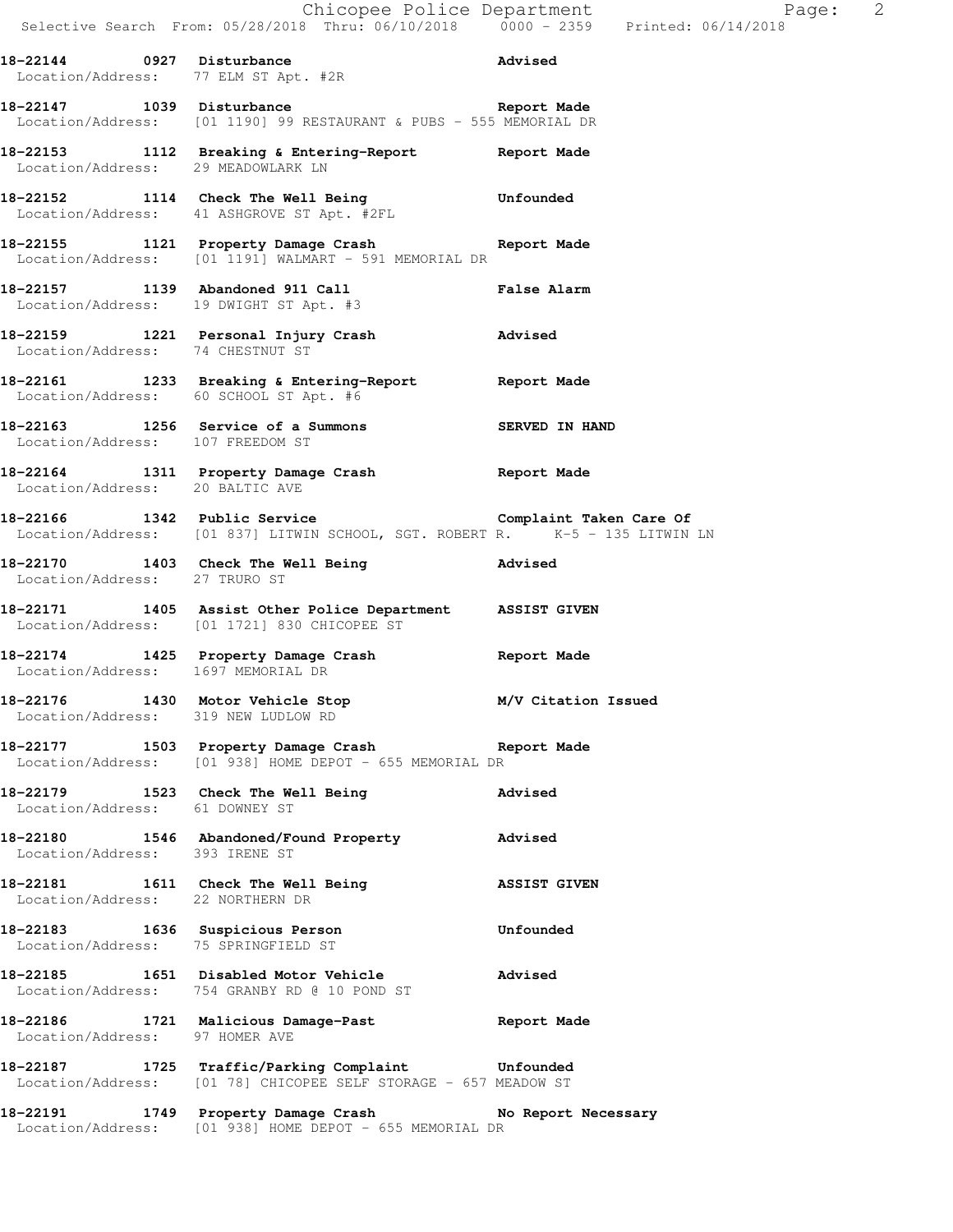|                                                                         | Chicopee Police Department<br>Selective Search From: 05/28/2018 Thru: 06/10/2018 0000 - 2359 Printed: 06/14/2018                     |                     |
|-------------------------------------------------------------------------|--------------------------------------------------------------------------------------------------------------------------------------|---------------------|
|                                                                         | 18-22144 0927 Disturbance and Advised<br>Location/Address: 77 ELM ST Apt. #2R                                                        |                     |
|                                                                         | 18-22147 1039 Disturbance<br>Report Made<br>Location/Address: [01 1190] 99 RESTAURANT & PUBS - 555 MEMORIAL DR                       |                     |
| Location/Address: 29 MEADOWLARK LN                                      | 18-22153 1112 Breaking & Entering-Report 18-22153                                                                                    |                     |
|                                                                         | 18-22152 1114 Check The Well Being Unfounded<br>Location/Address: 41 ASHGROVE ST Apt. #2FL                                           |                     |
|                                                                         | 18-22155 1121 Property Damage Crash Report Made<br>Location/Address: [01 1191] WALMART - 591 MEMORIAL DR                             |                     |
|                                                                         | 18-22157 1139 Abandoned 911 Call<br>Location/Address: 19 DWIGHT ST Apt. #3<br><b>False Alarm</b>                                     |                     |
|                                                                         | 18-22159 1221 Personal Injury Crash Movised<br>Location/Address: 74 CHESTNUT ST                                                      |                     |
| Location/Address: 60 SCHOOL ST Apt. #6                                  | 18-22161 1233 Breaking & Entering-Report Report Made                                                                                 |                     |
| Location/Address: 107 FREEDOM ST                                        | 18-22163 1256 Service of a Summons SERVED IN HAND                                                                                    |                     |
| Location/Address: 20 BALTIC AVE                                         | 18-22164 1311 Property Damage Crash Report Made                                                                                      |                     |
|                                                                         | 18-22166 1342 Public Service Complaint Taken Care Of<br>Location/Address: [01 837] LITWIN SCHOOL, SGT. ROBERT R. K-5 - 135 LITWIN LN |                     |
| Location/Address: 27 TRURO ST                                           | 18-22170 1403 Check The Well Being Marised                                                                                           |                     |
|                                                                         | 18-22171 1405 Assist Other Police Department ASSIST GIVEN<br>Location/Address: [01 1721] 830 CHICOPEE ST                             |                     |
| Location/Address: 1697 MEMORIAL DR                                      | 18-22174 1425 Property Damage Crash Report Made                                                                                      |                     |
| 18-22176 1430 Motor Vehicle Stop<br>Location/Address: 319 NEW LUDLOW RD |                                                                                                                                      | M/V Citation Issued |
|                                                                         | 18-22177 1503 Property Damage Crash Report Made<br>Location/Address: [01 938] HOME DEPOT - 655 MEMORIAL DR                           |                     |
| Location/Address: 61 DOWNEY ST                                          | 18-22179 1523 Check The Well Being                                                                                                   | Advised             |
| Location/Address: 393 IRENE ST                                          | 18-22180 1546 Abandoned/Found Property Advised                                                                                       |                     |
| Location/Address: 22 NORTHERN DR                                        | 18-22181 1611 Check The Well Being 38SIST GIVEN                                                                                      |                     |
| 18-22183 1636 Suspicious Person<br>Location/Address: 75 SPRINGFIELD ST  |                                                                                                                                      | Unfounded           |
|                                                                         | 18-22185 1651 Disabled Motor Vehicle<br>Location/Address: 754 GRANBY RD @ 10 POND ST                                                 | Advised             |
| Location/Address: 97 HOMER AVE                                          | 18-22186 1721 Malicious Damage-Past Report Made                                                                                      |                     |
| 18-22187                                                                | 1725 Traffic/Parking Complaint Unfounded<br>Location/Address: [01 78] CHICOPEE SELF STORAGE - 657 MEADOW ST                          |                     |

**18-22191 1749 Property Damage Crash No Report Necessary**  Location/Address: [01 938] HOME DEPOT - 655 MEMORIAL DR

 $Page: 2$ <br> $(14/2018)$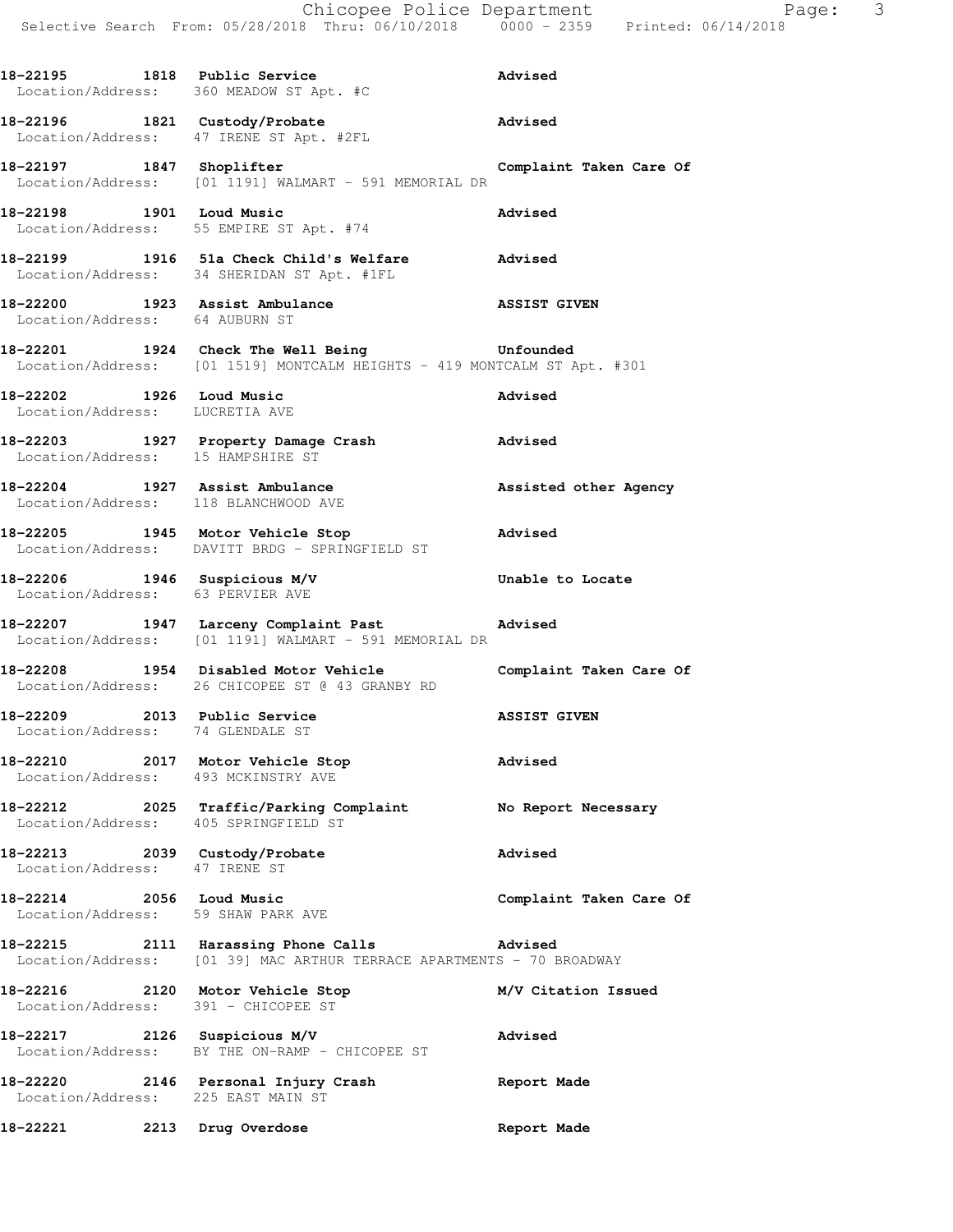|                                                                | 18-22195 1818 Public Service<br>Location/Address: 360 MEADOW ST Apt. #C                                                   | Advised                 |
|----------------------------------------------------------------|---------------------------------------------------------------------------------------------------------------------------|-------------------------|
|                                                                | 18-22196 1821 Custody/Probate <b>Advised</b><br>Location/Address: 47 IRENE ST Apt. #2FL                                   |                         |
| 18-22197 1847 Shoplifter                                       | Location/Address: [01 1191] WALMART - 591 MEMORIAL DR                                                                     | Complaint Taken Care Of |
|                                                                | 18-22198 1901 Loud Music<br>Location/Address: 55 EMPIRE ST Apt. #74                                                       | Advised                 |
|                                                                | 18-22199 1916 51a Check Child's Welfare Advised<br>Location/Address: 34 SHERIDAN ST Apt. #1FL                             |                         |
| Location/Address: 64 AUBURN ST                                 | 18-22200 1923 Assist Ambulance                                                                                            | <b>ASSIST GIVEN</b>     |
|                                                                | 18-22201 1924 Check The Well Being Tunfounded<br>Location/Address: [01 1519] MONTCALM HEIGHTS - 419 MONTCALM ST Apt. #301 |                         |
| 18-22202 1926 Loud Music                                       | Location/Address: LUCRETIA AVE                                                                                            | Advised                 |
| Location/Address: 15 HAMPSHIRE ST                              | 18-22203 1927 Property Damage Crash Movised                                                                               |                         |
|                                                                | 18-22204 1927 Assist Ambulance <b>18 Assisted</b> other Agency<br>Location/Address: 118 BLANCHWOOD AVE                    |                         |
|                                                                | 18-22205 1945 Motor Vehicle Stop 30 Movised<br>Location/Address: DAVITT BRDG - SPRINGFIELD ST                             |                         |
| Location/Address: 63 PERVIER AVE                               | 18-22206 1946 Suspicious M/V<br>Location/Address: 63 PERVIER AVE                                                          | Unable to Locate        |
|                                                                | 18-22207 1947 Larceny Complaint Past Movised Advised<br>Location/Address: [01 1191] WALMART - 591 MEMORIAL DR             |                         |
|                                                                | 18-22208 1954 Disabled Motor Vehicle Complaint Taken Care Of<br>Location/Address: 26 CHICOPEE ST @ 43 GRANBY RD           |                         |
| Location/Address: 74 GLENDALE ST                               | 18-22209 2013 Public Service ASSIST GIVEN                                                                                 |                         |
| Location/Address: 493 MCKINSTRY AVE                            | 18-22210 2017 Motor Vehicle Stop<br><b>Advised</b>                                                                        |                         |
| Location/Address: 405 SPRINGFIELD ST                           | 18-22212 2025 Traffic/Parking Complaint No Report Necessary                                                               |                         |
| 18-22213 2039 Custody/Probate<br>Location/Address: 47 IRENE ST |                                                                                                                           | Advised                 |
| 18-22214 2056 Loud Music<br>Location/Address: 59 SHAW PARK AVE |                                                                                                                           | Complaint Taken Care Of |
|                                                                | 18-22215 2111 Harassing Phone Calls 30 Advised<br>Location/Address: [01 39] MAC ARTHUR TERRACE APARTMENTS - 70 BROADWAY   |                         |
| Location/Address: 391 - CHICOPEE ST                            | 18-22216 2120 Motor Vehicle Stop                                                                                          | M/V Citation Issued     |
| 18-22217 2126 Suspicious M/V                                   | Location/Address: BY THE ON-RAMP - CHICOPEE ST                                                                            | Advised                 |
| Location/Address: 225 EAST MAIN ST                             | 18-22220 2146 Personal Injury Crash Neport Made                                                                           |                         |
|                                                                |                                                                                                                           |                         |

**18-22221 2213 Drug Overdose Report Made**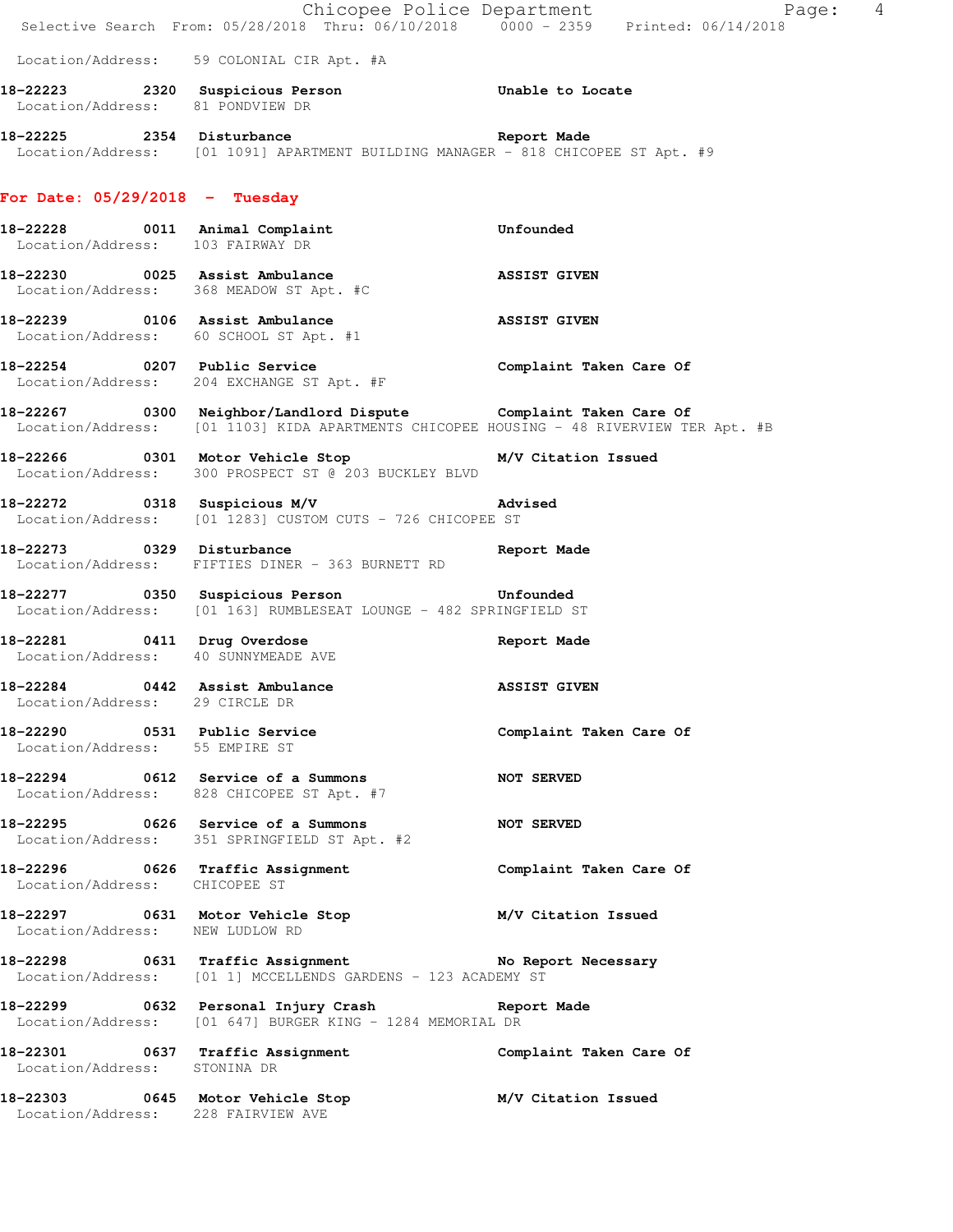|                                     | E Chicopee Police Department<br>Selective Search From: 05/28/2018 Thru: 06/10/2018 0000 - 2359 Printed: 06/14/2018                                         | Page: 4                 |
|-------------------------------------|------------------------------------------------------------------------------------------------------------------------------------------------------------|-------------------------|
|                                     | Location/Address: 59 COLONIAL CIR Apt. #A                                                                                                                  |                         |
| Location/Address: 81 PONDVIEW DR    | 18-22223 2320 Suspicious Person 5 Unable to Locate                                                                                                         |                         |
|                                     | 18-22225 2354 Disturbance and Report Made<br>Location/Address: [01 1091] APARTMENT BUILDING MANAGER - 818 CHICOPEE ST Apt. #9                              |                         |
| For Date: $05/29/2018$ - Tuesday    |                                                                                                                                                            |                         |
| Location/Address: 103 FAIRWAY DR    | 18-22228 0011 Animal Complaint                                                                                                                             | Unfounded               |
|                                     | 18-22230 0025 Assist Ambulance<br>Location/Address: 368 MEADOW ST Apt. #C                                                                                  | <b>ASSIST GIVEN</b>     |
|                                     | 18-22239 0106 Assist Ambulance<br>Location/Address: 60 SCHOOL ST Apt. #1                                                                                   | <b>ASSIST GIVEN</b>     |
|                                     | 18-22254 0207 Public Service<br>Location/Address: 204 EXCHANGE ST Apt. #F                                                                                  | Complaint Taken Care Of |
|                                     | 18-22267 0300 Neighbor/Landlord Dispute Complaint Taken Care Of<br>Location/Address: [01 1103] KIDA APARTMENTS CHICOPEE HOUSING - 48 RIVERVIEW TER Apt. #B |                         |
|                                     | 18-22266 0301 Motor Vehicle Stop M/V Citation Issued<br>Location/Address: 300 PROSPECT ST @ 203 BUCKLEY BLVD                                               |                         |
|                                     | 18-22272 0318 Suspicious M/V 18-22272<br>Location/Address: [01 1283] CUSTOM CUTS - 726 CHICOPEE ST                                                         |                         |
|                                     | 18-22273 0329 Disturbance<br>Location/Address: FIFTIES DINER - 363 BURNETT RD                                                                              | Report Made             |
|                                     | 18-22277 0350 Suspicious Person Confounded<br>Location/Address: [01 163] RUMBLESEAT LOUNGE - 482 SPRINGFIELD ST                                            |                         |
| Location/Address: 40 SUNNYMEADE AVE | 18-22281 0411 Drug Overdose                                                                                                                                | Report Made             |
| Location/Address: 29 CIRCLE DR      | 18-22284 0442 Assist Ambulance ASSIST GIVEN                                                                                                                |                         |
| Location/Address: 55 EMPIRE ST      | 18-22290 0531 Public Service                                                                                                                               | Complaint Taken Care Of |
|                                     | 18-22294 0612 Service of a Summons<br>Location/Address: 828 CHICOPEE ST Apt. #7                                                                            | <b>NOT SERVED</b>       |
|                                     | 18-22295 0626 Service of a Summons<br>Location/Address: 351 SPRINGFIELD ST Apt. #2                                                                         | <b>NOT SERVED</b>       |
| Location/Address: CHICOPEE ST       | 18-22296 0626 Traffic Assignment                                                                                                                           | Complaint Taken Care Of |
| Location/Address: NEW LUDLOW RD     | 18-22297 0631 Motor Vehicle Stop M/V Citation Issued                                                                                                       |                         |
|                                     | 18-22298 0631 Traffic Assignment No Report Necessary<br>Location/Address: [01 1] MCCELLENDS GARDENS - 123 ACADEMY ST                                       |                         |
|                                     | 18-22299 0632 Personal Injury Crash 18-22299 Neport Made<br>Location/Address: [01 647] BURGER KING - 1284 MEMORIAL DR                                      |                         |
| Location/Address: STONINA DR        | 18-22301 0637 Traffic Assignment Complaint Taken Care Of                                                                                                   |                         |
| Location/Address: 228 FAIRVIEW AVE  | 18-22303 0645 Motor Vehicle Stop M/V Citation Issued                                                                                                       |                         |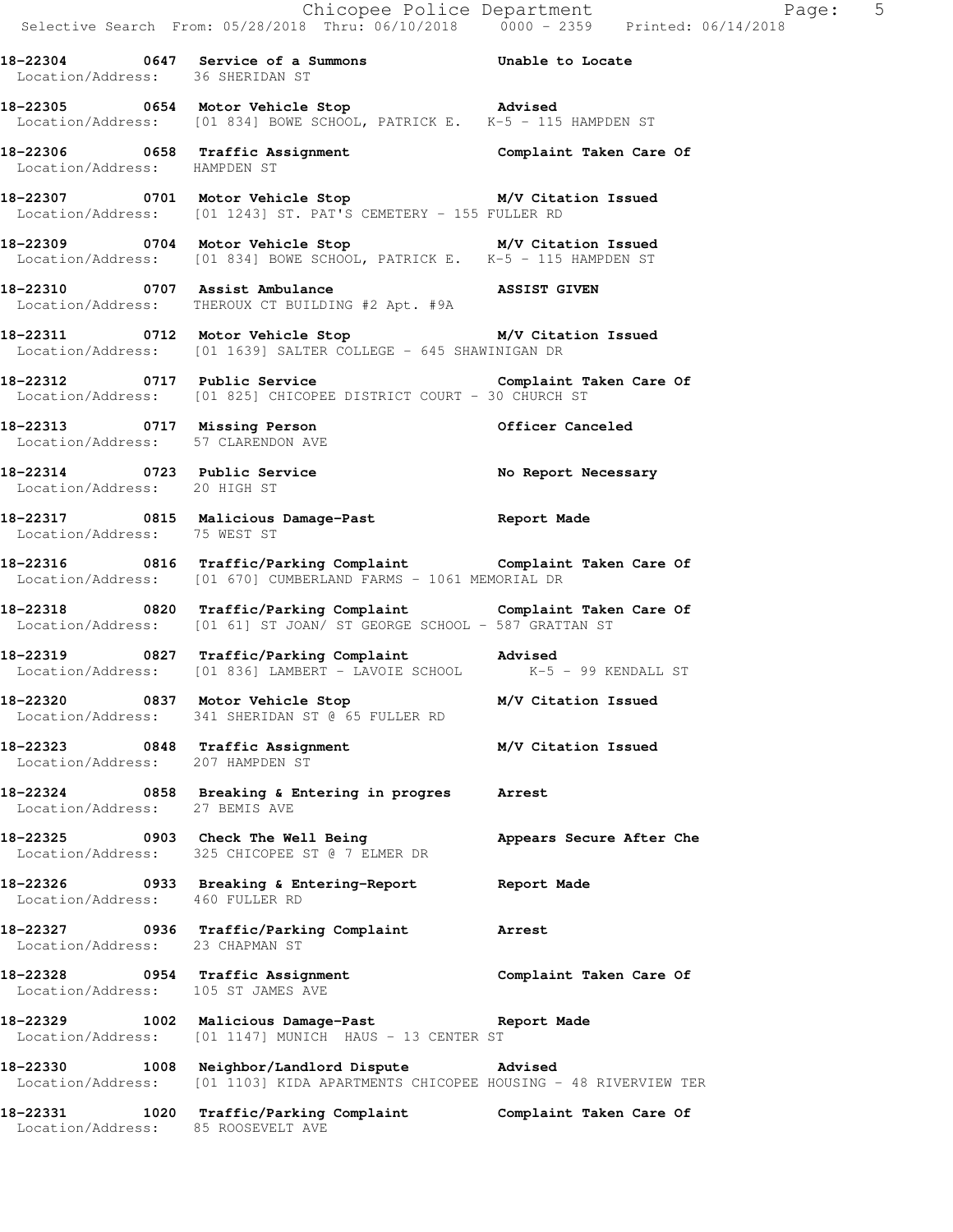**18-22304 0647 Service of a Summons Unable to Locate**  Location/Address: 36 SHERIDAN ST

**18-22305 0654 Motor Vehicle Stop Advised**  Location/Address: [01 834] BOWE SCHOOL, PATRICK E. K-5 - 115 HAMPDEN ST

**18-22306 0658 Traffic Assignment Complaint Taken Care Of**  Location/Address: HAMPDEN ST

**18-22307 0701 Motor Vehicle Stop M/V Citation Issued**  Location/Address: [01 1243] ST. PAT'S CEMETERY - 155 FULLER RD

**18-22309 0704 Motor Vehicle Stop M/V Citation Issued**  Location/Address: [01 834] BOWE SCHOOL, PATRICK E. K-5 - 115 HAMPDEN ST

**18-22310 0707 Assist Ambulance ASSIST GIVEN**  Location/Address: THEROUX CT BUILDING #2 Apt. #9A

**18-22311 0712 Motor Vehicle Stop M/V Citation Issued**  Location/Address: [01 1639] SALTER COLLEGE - 645 SHAWINIGAN DR

18-22312 0717 Public Service **Complaint Taken Care Of** Location/Address: [01 825] CHICOPEE DISTRICT COURT - 30 CHURCH ST

**18-22313 0717 Missing Person Officer Canceled**  Location/Address: 57 CLARENDON AVE

**18-22314 0723 Public Service No Report Necessary**  Location/Address: 20 HIGH ST

**18-22317 0815 Malicious Damage-Past Report Made**  Location/Address: 75 WEST ST

**18-22316 0816 Traffic/Parking Complaint Complaint Taken Care Of**  Location/Address: [01 670] CUMBERLAND FARMS - 1061 MEMORIAL DR

**18-22318 0820 Traffic/Parking Complaint Complaint Taken Care Of**  Location/Address: [01 61] ST JOAN/ ST GEORGE SCHOOL - 587 GRATTAN ST

**18-22319 0827 Traffic/Parking Complaint Advised**  Location/Address: [01 836] LAMBERT - LAVOIE SCHOOL K-5 - 99 KENDALL ST

**18-22320 0837 Motor Vehicle Stop M/V Citation Issued**  Location/Address: 341 SHERIDAN ST @ 65 FULLER RD

**18-22323 0848 Traffic Assignment M/V Citation Issued**  Location/Address: 207 HAMPDEN ST

**18-22324 0858 Breaking & Entering in progres Arrest**  Location/Address: 27 BEMIS AVE

18-22325 0903 Check The Well Being **Appears Secure After Che** Location/Address: 325 CHICOPEE ST @ 7 ELMER DR

**18-22326 0933 Breaking & Entering-Report Report Made**  Location/Address: 460 FULLER RD

**18-22327 0936 Traffic/Parking Complaint Arrest**  Location/Address: 23 CHAPMAN ST

**18-22328 0954 Traffic Assignment Complaint Taken Care Of**  Location/Address: 105 ST JAMES AVE

**18-22329 1002 Malicious Damage-Past Report Made**  Location/Address: [01 1147] MUNICH HAUS - 13 CENTER ST

**18-22330 1008 Neighbor/Landlord Dispute Advised**  Location/Address: [01 1103] KIDA APARTMENTS CHICOPEE HOUSING - 48 RIVERVIEW TER

**18-22331 1020 Traffic/Parking Complaint Complaint Taken Care Of**  Location/Address: 85 ROOSEVELT AVE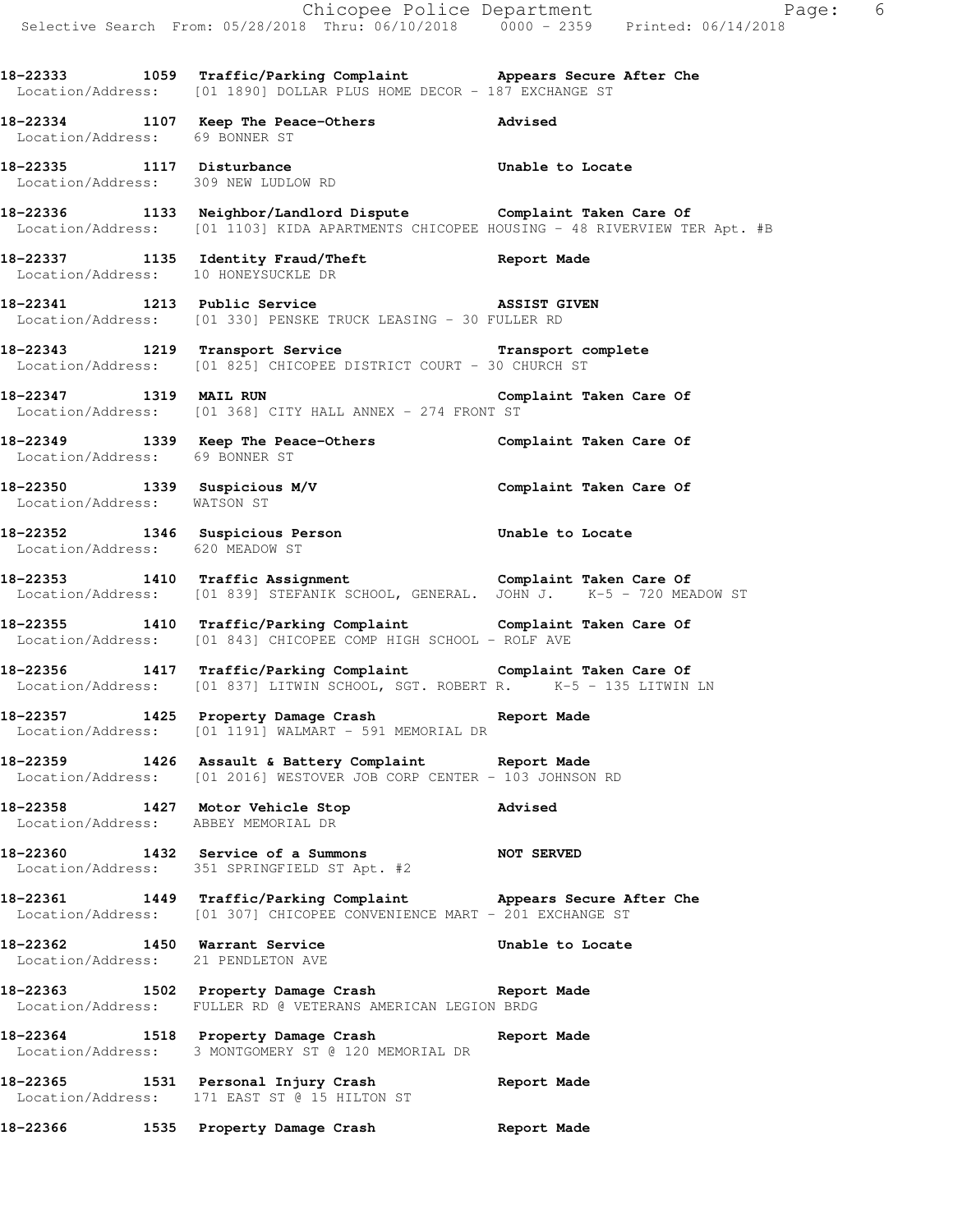|                                 | Selective Search From: 05/28/2018 Thru: 06/10/2018 0000 - 2359 Printed: 06/14/2018                                                                         |         |
|---------------------------------|------------------------------------------------------------------------------------------------------------------------------------------------------------|---------|
|                                 | 18-22333 1059 Traffic/Parking Complaint Appears Secure After Che<br>Location/Address: [01 1890] DOLLAR PLUS HOME DECOR - 187 EXCHANGE ST                   |         |
| Location/Address: 69 BONNER ST  | 18-22334 1107 Keep The Peace-Others 2011 Advised                                                                                                           |         |
|                                 | 18-22335 1117 Disturbance<br>Location/Address: 309 NEW LUDLOW RD Unable to Locate                                                                          |         |
|                                 | 18-22336 1133 Neighbor/Landlord Dispute Complaint Taken Care Of<br>Location/Address: [01 1103] KIDA APARTMENTS CHICOPEE HOUSING - 48 RIVERVIEW TER Apt. #B |         |
|                                 | 18-22337 1135 Identity Fraud/Theft Report Made<br>Tocation/Address: 10 HONEYSUCKLE DR<br>Location/Address: 10 HONEYSUCKLE DR                               |         |
|                                 | 18-22341 1213 Public Service 18 ASSIST GIVEN<br>Location/Address: [01 330] PENSKE TRUCK LEASING - 30 FULLER RD                                             |         |
|                                 | 18-22343 1219 Transport Service <b>18-22343</b> 1219 Transport Service<br>Location/Address: [01 825] CHICOPEE DISTRICT COURT - 30 CHURCH ST                |         |
|                                 | 18-22347 1319 MAIL RUN Complaint Taken Care Of Location/Address: [01 368] CITY HALL ANNEX - 274 FRONT ST                                                   |         |
|                                 | 18-22349 1339 Keep The Peace-Others Complaint Taken Care Of Location/Address: 69 BONNER ST                                                                 |         |
|                                 | 18-22350 1339 Suspicious M/V Complaint Taken Care Of Location/Address: WATSON ST                                                                           |         |
| Location/Address: 620 MEADOW ST | 18-22352 1346 Suspicious Person Consumer Unable to Locate                                                                                                  |         |
|                                 | 18-22353 1410 Traffic Assignment<br>Location/Address: [01 839] STEFANIK SCHOOL, GENERAL. JOHN J. K-5 - 720 MEADOW ST                                       |         |
|                                 | 18-22355 1410 Traffic/Parking Complaint Complaint Taken Care Of<br>Location/Address: [01 843] CHICOPEE COMP HIGH SCHOOL - ROLF AVE                         |         |
|                                 | 18-22356 1417 Traffic/Parking Complaint Complaint Taken Care Of<br>Location/Address: [01 837] LITWIN SCHOOL, SGT. ROBERT R. K-5 - 135 LITWIN LN            |         |
|                                 | 18-22357 1425 Property Damage Crash Report Made<br>Location/Address: [01 1191] WALMART - 591 MEMORIAL DR                                                   |         |
|                                 | 18-22359 1426 Assault & Battery Complaint Report Made<br>Location/Address: [01 2016] WESTOVER JOB CORP CENTER - 103 JOHNSON RD                             |         |
|                                 | 18-22358 1427 Motor Vehicle Stop<br>Location/Address: ABBEY MEMORIAL DR                                                                                    | Advised |
|                                 | 18-22360 1432 Service of a Summons NOT SERVED<br>Location/Address: 351 SPRINGFIELD ST Apt. #2                                                              |         |
|                                 | 18-22361 1449 Traffic/Parking Complaint Appears Secure After Che<br>Location/Address: [01 307] CHICOPEE CONVENIENCE MART - 201 EXCHANGE ST                 |         |
|                                 | 18-22362 1450 Warrant Service Manusculphable to Locate Location/Address: 21 PENDLETON AVE                                                                  |         |
|                                 | 18-22363 1502 Property Damage Crash Report Made<br>Location/Address: FULLER RD @ VETERANS AMERICAN LEGION BRDG                                             |         |
|                                 | 18-22364 1518 Property Damage Crash Report Made<br>Location/Address: 3 MONTGOMERY ST @ 120 MEMORIAL DR                                                     |         |
|                                 | 18-22365 1531 Personal Injury Crash Report Made<br>Location/Address: 171 EAST ST @ 15 HILTON ST                                                            |         |
|                                 | 18-22366 1535 Property Damage Crash Report Made                                                                                                            |         |

Chicopee Police Department The Page: 6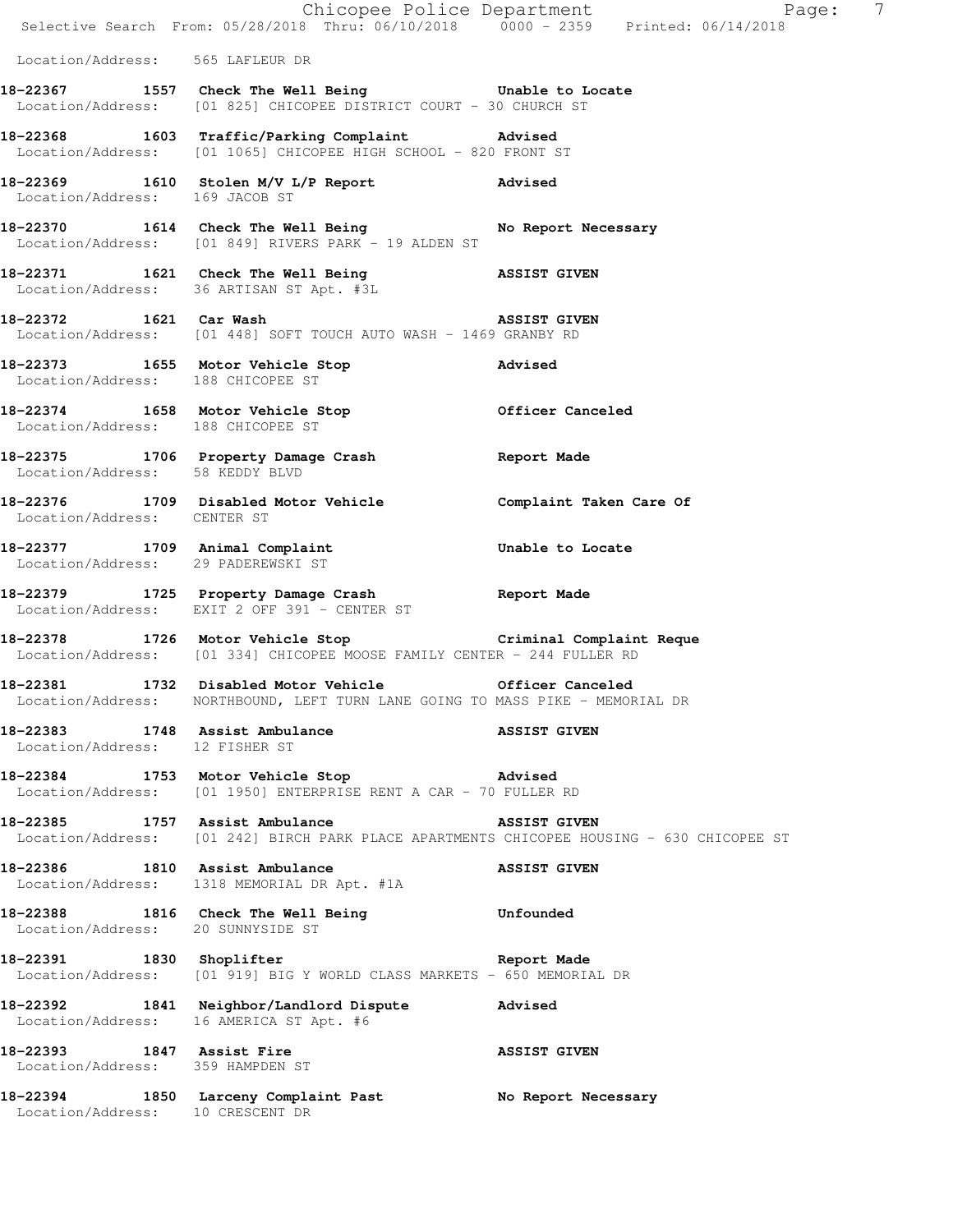|                                                                  |                                                                                                                                          | Chicopee Police Department<br>Selective Search From: 05/28/2018 Thru: 06/10/2018 0000 - 2359 Printed: 06/14/2018 |  |
|------------------------------------------------------------------|------------------------------------------------------------------------------------------------------------------------------------------|------------------------------------------------------------------------------------------------------------------|--|
| Location/Address: 565 LAFLEUR DR                                 |                                                                                                                                          |                                                                                                                  |  |
|                                                                  | 18-22367 1557 Check The Well Being Chable to Locate<br>Location/Address: [01 825] CHICOPEE DISTRICT COURT - 30 CHURCH ST                 |                                                                                                                  |  |
|                                                                  | 18-22368 1603 Traffic/Parking Complaint Advised<br>Location/Address: [01 1065] CHICOPEE HIGH SCHOOL - 820 FRONT ST                       |                                                                                                                  |  |
| Location/Address: 169 JACOB ST                                   | 18-22369 1610 Stolen M/V L/P Report Advised                                                                                              |                                                                                                                  |  |
|                                                                  | 18-22370 1614 Check The Well Being No Report Necessary<br>Location/Address: [01 849] RIVERS PARK - 19 ALDEN ST                           |                                                                                                                  |  |
|                                                                  | 18-22371 1621 Check The Well Being 3SSIST GIVEN<br>Location/Address: 36 ARTISAN ST Apt. #3L                                              |                                                                                                                  |  |
|                                                                  | 18-22372 1621 Car Wash 160 ASSIST GIVEN<br>Location/Address: [01 448] SOFT TOUCH AUTO WASH - 1469 GRANBY RD                              |                                                                                                                  |  |
| Location/Address: 188 CHICOPEE ST                                | 18-22373 1655 Motor Vehicle Stop                                                                                                         | Advised                                                                                                          |  |
|                                                                  | 18-22374 1658 Motor Vehicle Stop Officer Canceled Location/Address: 188 CHICOPEE ST                                                      |                                                                                                                  |  |
| Location/Address: 58 KEDDY BLVD                                  | 18-22375 1706 Property Damage Crash Report Made                                                                                          |                                                                                                                  |  |
| Location/Address: CENTER ST                                      | 18-22376 1709 Disabled Motor Vehicle Complaint Taken Care Of                                                                             |                                                                                                                  |  |
| Location/Address: 29 PADEREWSKI ST                               | 18-22377 1709 Animal Complaint Computer Unable to Locate                                                                                 |                                                                                                                  |  |
|                                                                  | 18-22379 1725 Property Damage Crash Report Made<br>Location/Address: EXIT 2 OFF 391 - CENTER ST                                          |                                                                                                                  |  |
|                                                                  | 18-22378 1726 Motor Vehicle Stop Criminal Complaint Reque<br>Location/Address: [01 334] CHICOPEE MOOSE FAMILY CENTER - 244 FULLER RD     |                                                                                                                  |  |
|                                                                  | 18-22381 1732 Disabled Motor Vehicle<br>Location/Address: NORTHBOUND, LEFT TURN LANE GOING TO MASS PIKE - MEMORIAL DR                    | Officer Canceled                                                                                                 |  |
| 18-22383 1748 Assist Ambulance<br>Location/Address: 12 FISHER ST |                                                                                                                                          | <b>ASSIST GIVEN</b>                                                                                              |  |
|                                                                  | 18-22384 1753 Motor Vehicle Stop Movised<br>Location/Address: [01 1950] ENTERPRISE RENT A CAR - 70 FULLER RD                             |                                                                                                                  |  |
|                                                                  | 18-22385 1757 Assist Ambulance ASSIST GIVEN<br>Location/Address: [01 242] BIRCH PARK PLACE APARTMENTS CHICOPEE HOUSING - 630 CHICOPEE ST |                                                                                                                  |  |
|                                                                  | 18-22386 1810 Assist Ambulance<br>Location/Address: 1318 MEMORIAL DR Apt. #1A                                                            | <b>ASSIST GIVEN</b>                                                                                              |  |
| Location/Address: 20 SUNNYSIDE ST                                | 18-22388 1816 Check The Well Being Gunfounded                                                                                            |                                                                                                                  |  |
|                                                                  | 18-22391 1830 Shoplifter<br>Location/Address: [01 919] BIG Y WORLD CLASS MARKETS - 650 MEMORIAL DR                                       | Report Made                                                                                                      |  |
|                                                                  | 18-22392 1841 Neighbor/Landlord Dispute Advised<br>Location/Address: 16 AMERICA ST Apt. #6                                               |                                                                                                                  |  |
| 18-22393 1847 Assist Fire<br>Location/Address: 359 HAMPDEN ST    |                                                                                                                                          | <b>ASSIST GIVEN</b>                                                                                              |  |
| Location/Address: 10 CRESCENT DR                                 | 18-22394 1850 Larceny Complaint Past                                                                                                     | No Report Necessary                                                                                              |  |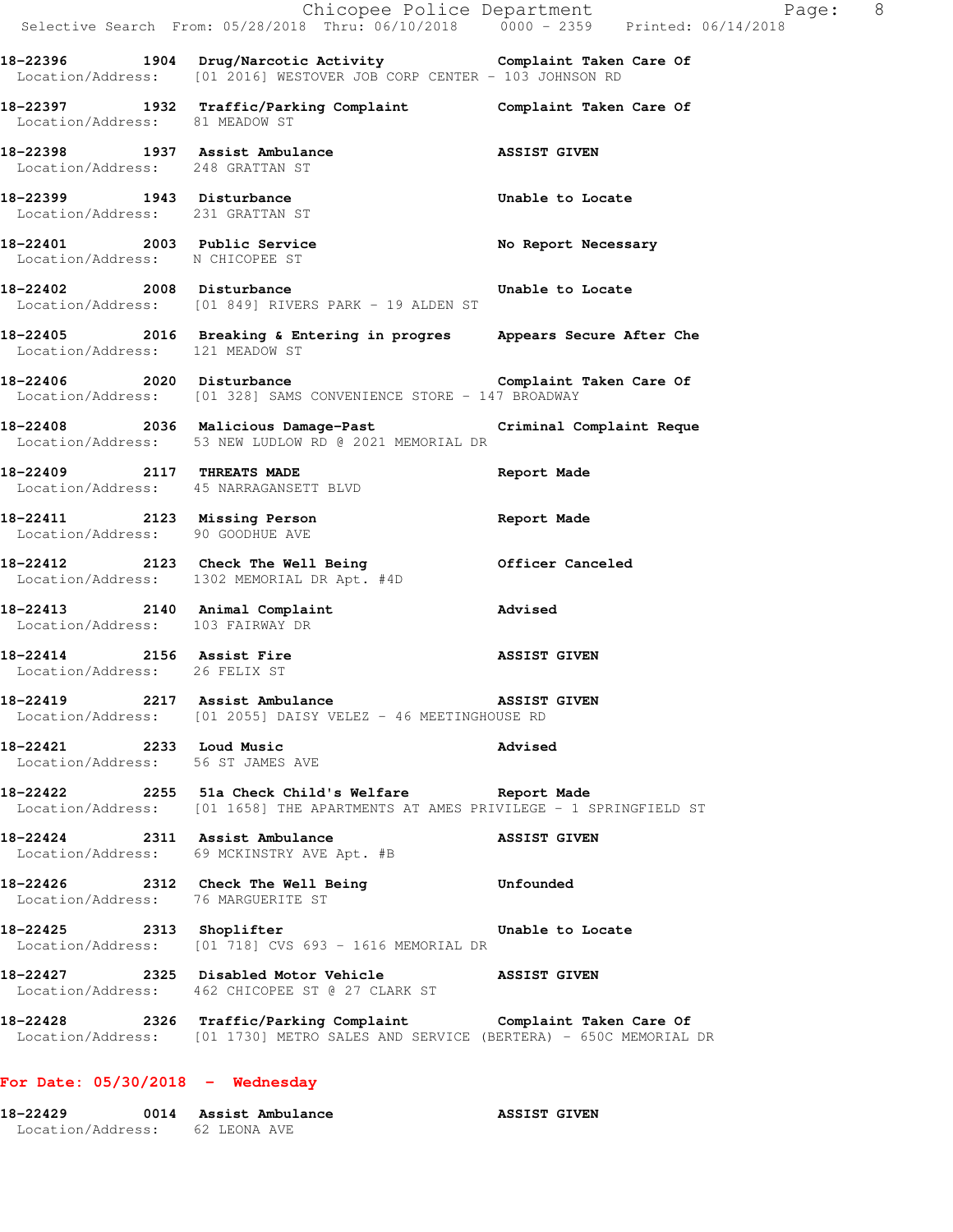|                                                                    | E Chicopee Police Department<br>Selective Search From: 05/28/2018 Thru: 06/10/2018 0000 - 2359 Printed: 06/14/2018                                  | Page: 8             |  |
|--------------------------------------------------------------------|-----------------------------------------------------------------------------------------------------------------------------------------------------|---------------------|--|
|                                                                    | 18-22396 1904 Drug/Narcotic Activity Complaint Taken Care Of Location/Address: [01 2016] WESTOVER JOB CORP CENTER - 103 JOHNSON RD                  |                     |  |
| Location/Address: 81 MEADOW ST                                     | 18-22397 1932 Traffic/Parking Complaint Complaint Taken Care Of                                                                                     |                     |  |
| Location/Address: 248 GRATTAN ST                                   | 18-22398 1937 Assist Ambulance                                                                                                                      | <b>ASSIST GIVEN</b> |  |
|                                                                    | 18-22399 1943 Disturbance<br>Location/Address: 231 GRATTAN ST                                                                                       | Unable to Locate    |  |
| 18-22401 2003 Public Service<br>Location/Address: N CHICOPEE ST    |                                                                                                                                                     | No Report Necessary |  |
| 18-22402 2008 Disturbance                                          | Location/Address: [01 849] RIVERS PARK - 19 ALDEN ST                                                                                                | Unable to Locate    |  |
| Location/Address: 121 MEADOW ST                                    | 18-22405 2016 Breaking & Entering in progres Appears Secure After Che                                                                               |                     |  |
|                                                                    | 18-22406 2020 Disturbance Complaint Taken Care Of<br>Location/Address: [01 328] SAMS CONVENIENCE STORE - 147 BROADWAY                               |                     |  |
|                                                                    | 18-22408 2036 Malicious Damage-Past Criminal Complaint Reque<br>Location/Address: 53 NEW LUDLOW RD @ 2021 MEMORIAL DR                               |                     |  |
| Location/Address: 45 NARRAGANSETT BLVD                             | 18-22409 2117 THREATS MADE                                                                                                                          | Report Made         |  |
| Location/Address: 90 GOODHUE AVE                                   | 18-22411 2123 Missing Person                                                                                                                        | Report Made         |  |
|                                                                    | 18-22412 2123 Check The Well Being 61 Officer Canceled<br>Location/Address: 1302 MEMORIAL DR Apt. #4D                                               |                     |  |
| 18-22413 2140 Animal Complaint<br>Location/Address: 103 FAIRWAY DR |                                                                                                                                                     | <b>Advised</b>      |  |
| Location/Address: 26 FELIX ST                                      | 18-22414 2156 Assist Fire                                                                                                                           | <b>ASSIST GIVEN</b> |  |
|                                                                    | 18-22419 2217 Assist Ambulance ASSIST GIVEN<br>Location/Address: [01 2055] DAISY VELEZ - 46 MEETINGHOUSE RD                                         |                     |  |
| 18-22421 2233 Loud Music<br>Location/Address: 56 ST JAMES AVE      |                                                                                                                                                     | Advised             |  |
|                                                                    | 18-22422 2255 51a Check Child's Welfare Report Made<br>Location/Address: [01 1658] THE APARTMENTS AT AMES PRIVILEGE - 1 SPRINGFIELD ST              |                     |  |
|                                                                    | 18-22424 2311 Assist Ambulance ASSIST GIVEN<br>Location/Address: 69 MCKINSTRY AVE Apt. #B                                                           |                     |  |
| Location/Address: 76 MARGUERITE ST                                 | 18-22426 2312 Check The Well Being Confounded                                                                                                       |                     |  |
|                                                                    | 18-22425 2313 Shoplifter 2000 Unable to Locate<br>Location/Address: [01 718] CVS 693 - 1616 MEMORIAL DR                                             |                     |  |
|                                                                    | 18-22427 2325 Disabled Motor Vehicle ASSIST GIVEN<br>Location/Address: 462 CHICOPEE ST @ 27 CLARK ST                                                |                     |  |
|                                                                    | 18-22428 2326 Traffic/Parking Complaint Complaint Taken Care Of<br>Location/Address: [01 1730] METRO SALES AND SERVICE (BERTERA) - 650C MEMORIAL DR |                     |  |
|                                                                    |                                                                                                                                                     |                     |  |

# **For Date: 05/30/2018 - Wednesday**

| 18-22429          | Assist Ambulance | <b>ASSIST GIVEN</b> |
|-------------------|------------------|---------------------|
| Location/Address: | 62 LEONA AVE     |                     |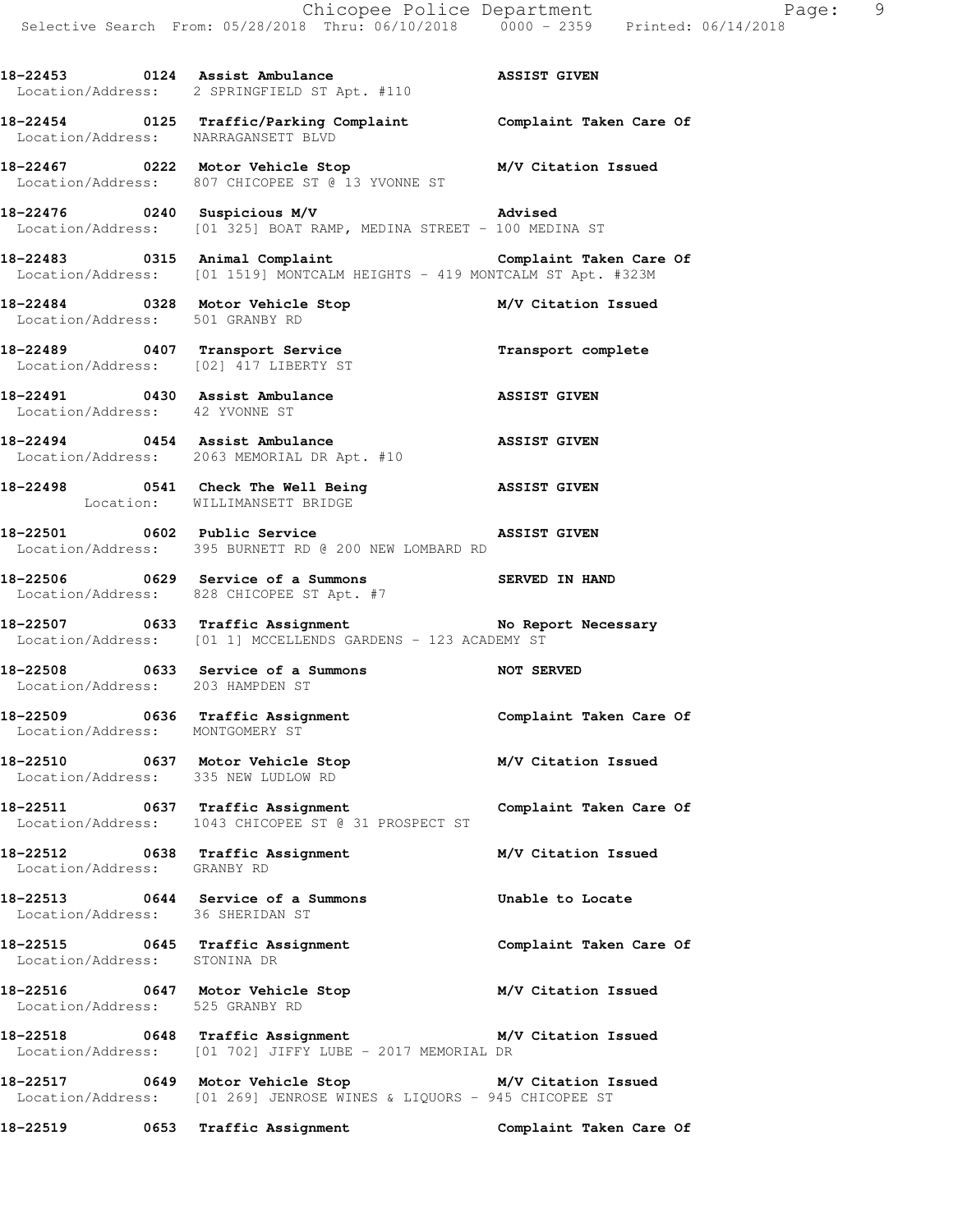**18-22453 0124 Assist Ambulance ASSIST GIVEN**  Location/Address: 2 SPRINGFIELD ST Apt. #110 **18-22454 0125 Traffic/Parking Complaint Complaint Taken Care Of**  Location/Address: NARRAGANSETT BLVD **18-22467 0222 Motor Vehicle Stop M/V Citation Issued**  Location/Address: 807 CHICOPEE ST @ 13 YVONNE ST **18-22476 0240 Suspicious M/V Advised**  Location/Address: [01 325] BOAT RAMP, MEDINA STREET - 100 MEDINA ST **18-22483 0315 Animal Complaint Complaint Taken Care Of**  Location/Address: [01 1519] MONTCALM HEIGHTS - 419 MONTCALM ST Apt. #323M **18-22484 0328 Motor Vehicle Stop M/V Citation Issued**  Location/Address: 501 GRANBY RD **18-22489 0407 Transport Service Transport complete**  Location/Address: [02] 417 LIBERTY ST **18-22491 0430 Assist Ambulance ASSIST GIVEN**  Location/Address: 42 YVONNE ST **18-22494 0454 Assist Ambulance ASSIST GIVEN**  Location/Address: 2063 MEMORIAL DR Apt. #10 **18-22498 0541 Check The Well Being ASSIST GIVEN**  Location: WILLIMANSETT BRIDGE **18-22501 0602 Public Service ASSIST GIVEN**  Location/Address: 395 BURNETT RD @ 200 NEW LOMBARD RD **18-22506 0629 Service of a Summons SERVED IN HAND**  Location/Address: 828 CHICOPEE ST Apt. #7 18-22507 **0633** Traffic Assignment **No Report Necessary**  Location/Address: [01 1] MCCELLENDS GARDENS - 123 ACADEMY ST **18-22508 0633 Service of a Summons NOT SERVED**  Location/Address: 203 HAMPDEN ST **18-22509 0636 Traffic Assignment Complaint Taken Care Of**  Location/Address: MONTGOMERY ST **18-22510 0637 Motor Vehicle Stop M/V Citation Issued**  Location/Address: 335 NEW LUDLOW RD **18-22511 0637 Traffic Assignment Complaint Taken Care Of**  Location/Address: 1043 CHICOPEE ST @ 31 PROSPECT ST **18-22512 0638 Traffic Assignment M/V Citation Issued**  Location/Address: GRANBY RD **18-22513 0644 Service of a Summons Unable to Locate**  Location/Address: 36 SHERIDAN ST **18-22515 0645 Traffic Assignment Complaint Taken Care Of**  Location/Address: STONINA DR **18-22516 0647 Motor Vehicle Stop M/V Citation Issued**  Location/Address: 525 GRANBY RD **18-22518 0648 Traffic Assignment M/V Citation Issued**  Location/Address: [01 702] JIFFY LUBE - 2017 MEMORIAL DR **18-22517 0649 Motor Vehicle Stop M/V Citation Issued**  Location/Address: [01 269] JENROSE WINES & LIQUORS - 945 CHICOPEE ST

**18-22519 0653 Traffic Assignment Complaint Taken Care Of**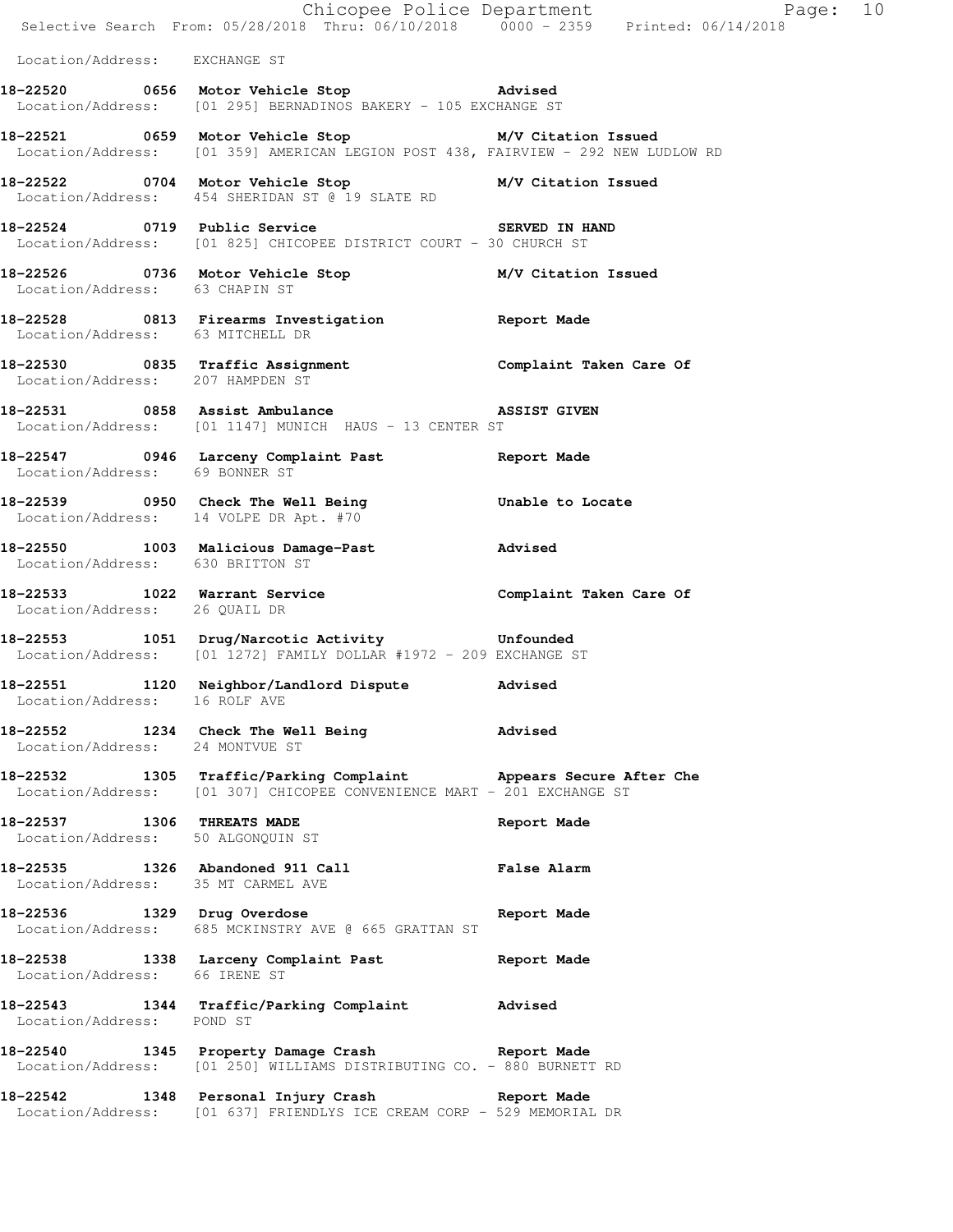|                                                                 | E Chicopee Police Department<br>Selective Search From: 05/28/2018 Thru: 06/10/2018 0000 - 2359 Printed: 06/14/2018                           | Page: 10           |  |
|-----------------------------------------------------------------|----------------------------------------------------------------------------------------------------------------------------------------------|--------------------|--|
| Location/Address: EXCHANGE ST                                   |                                                                                                                                              |                    |  |
|                                                                 | 18-22520 0656 Motor Vehicle Stop 31 Movised<br>Location/Address: [01 295] BERNADINOS BAKERY - 105 EXCHANGE ST                                |                    |  |
|                                                                 | 18-22521 0659 Motor Vehicle Stop 30 M/V Citation Issued<br>Location/Address: [01 359] AMERICAN LEGION POST 438, FAIRVIEW - 292 NEW LUDLOW RD |                    |  |
|                                                                 | 18-22522 0704 Motor Vehicle Stop M/V Citation Issued<br>Location/Address: 454 SHERIDAN ST @ 19 SLATE RD                                      |                    |  |
|                                                                 | 18-22524 0719 Public Service SERVED IN HAND<br>Location/Address: [01 825] CHICOPEE DISTRICT COURT - 30 CHURCH ST                             |                    |  |
| Location/Address: 63 CHAPIN ST                                  | 18-22526 0736 Motor Vehicle Stop M/V Citation Issued                                                                                         |                    |  |
|                                                                 | 18-22528 0813 Firearms Investigation Report Made<br>Location/Address: 63 MITCHELL DR                                                         |                    |  |
| Location/Address: 207 HAMPDEN ST                                | 18-22530 0835 Traffic Assignment Complaint Taken Care Of                                                                                     |                    |  |
|                                                                 | 18-22531 0858 Assist Ambulance 31 ASSIST GIVEN<br>Location/Address: [01 1147] MUNICH HAUS - 13 CENTER ST                                     |                    |  |
| Location/Address: 69 BONNER ST                                  | 18-22547 0946 Larceny Complaint Past 18-22547                                                                                                |                    |  |
| Location/Address: 14 VOLPE DR Apt. #70                          | 18-22539 0950 Check The Well Being The Unable to Locate                                                                                      |                    |  |
| Location/Address: 630 BRITTON ST                                | 18-22550 1003 Malicious Damage-Past 18-22550                                                                                                 |                    |  |
| Location/Address: 26 QUAIL DR                                   | 18-22533 1022 Warrant Service Complaint Taken Care Of                                                                                        |                    |  |
|                                                                 | 18-22553 1051 Drug/Narcotic Activity Confounded<br>Location/Address: [01 1272] FAMILY DOLLAR #1972 - 209 EXCHANGE ST                         |                    |  |
| 18–22551<br>Location/Address: 16 ROLF AVE                       | 1120 Neighbor/Landlord Dispute Madvised                                                                                                      |                    |  |
| Location/Address: 24 MONTVUE ST                                 | 18-22552 1234 Check The Well Being 30 Advised                                                                                                |                    |  |
|                                                                 | 18-22532 1305 Traffic/Parking Complaint Appears Secure After Che<br>Location/Address: [01 307] CHICOPEE CONVENIENCE MART - 201 EXCHANGE ST   |                    |  |
| 18-22537 1306 THREATS MADE<br>Location/Address: 50 ALGONQUIN ST |                                                                                                                                              | Report Made        |  |
| Location/Address: 35 MT CARMEL AVE                              | 18-22535 1326 Abandoned 911 Call                                                                                                             | <b>False Alarm</b> |  |
|                                                                 | 18-22536 1329 Drug Overdose<br>Location/Address: 685 MCKINSTRY AVE @ 665 GRATTAN ST                                                          | Report Made        |  |
| Location/Address: 66 IRENE ST                                   | 18-22538 1338 Larceny Complaint Past Report Made                                                                                             |                    |  |
| Location/Address: POND ST                                       | 18-22543 1344 Traffic/Parking Complaint Advised                                                                                              |                    |  |
|                                                                 | 18-22540 1345 Property Damage Crash Report Made<br>Location/Address: [01 250] WILLIAMS DISTRIBUTING CO. - 880 BURNETT RD                     |                    |  |
|                                                                 | 18-22542 1348 Personal Injury Crash Report Made<br>Location/Address: [01 637] FRIENDLYS ICE CREAM CORP - 529 MEMORIAL DR                     |                    |  |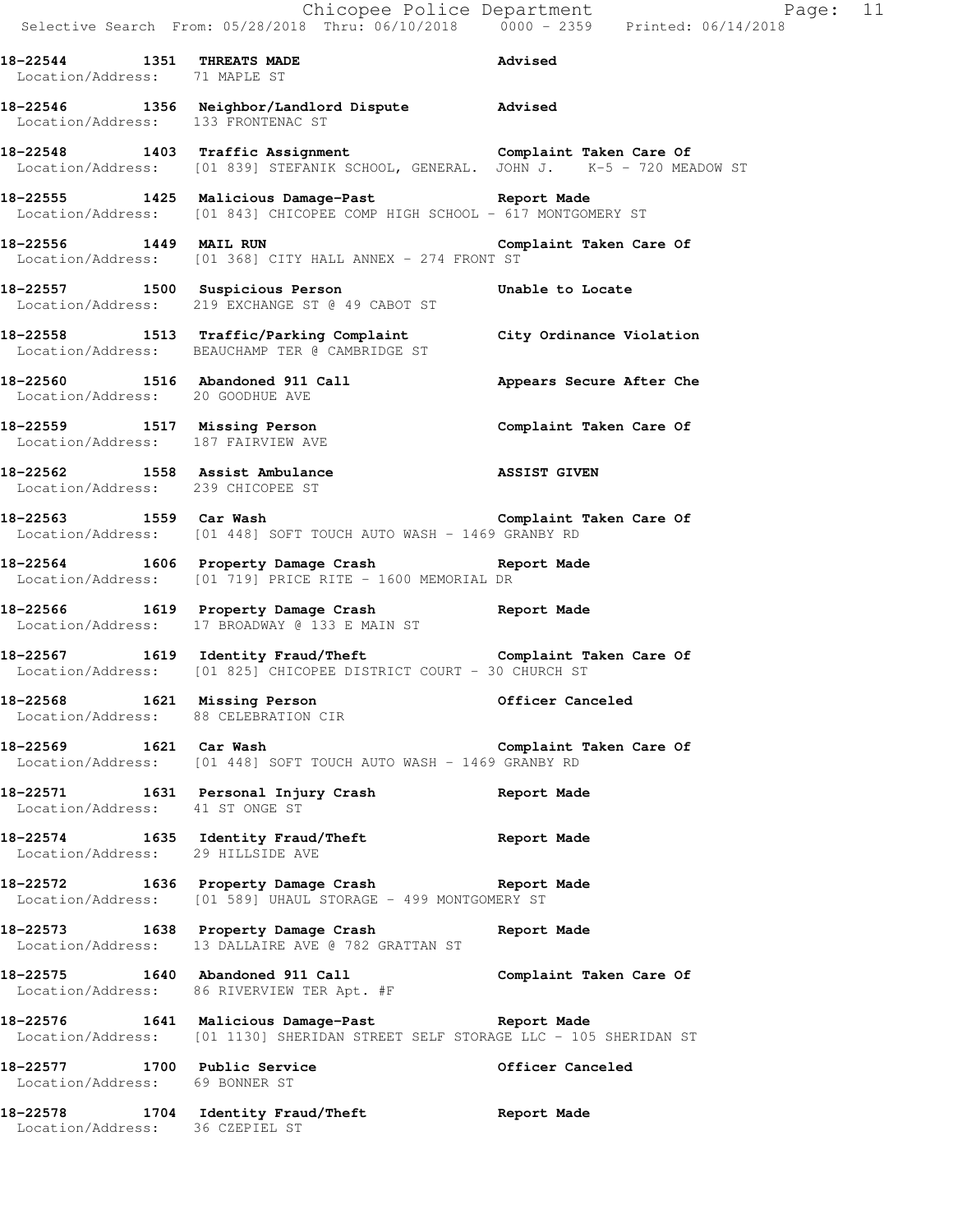Chicopee Police Department Fage: 11 Selective Search From: 05/28/2018 Thru: 06/10/2018 0000 - 2359 Printed: 06/14/2018 **18-22544 1351 THREATS MADE Advised**  Location/Address: 71 MAPLE ST **18-22546 1356 Neighbor/Landlord Dispute Advised**  Location/Address: 133 FRONTENAC ST **18-22548 1403 Traffic Assignment Complaint Taken Care Of**  Location/Address: [01 839] STEFANIK SCHOOL, GENERAL. JOHN J. K-5 - 720 MEADOW ST **18-22555 1425 Malicious Damage-Past Report Made**  Location/Address: [01 843] CHICOPEE COMP HIGH SCHOOL - 617 MONTGOMERY ST **18-22556 1449 MAIL RUN Complaint Taken Care Of**  Location/Address: [01 368] CITY HALL ANNEX - 274 FRONT ST **18-22557 1500 Suspicious Person Unable to Locate**  Location/Address: 219 EXCHANGE ST @ 49 CABOT ST **18-22558 1513 Traffic/Parking Complaint City Ordinance Violation**  Location/Address: BEAUCHAMP TER @ CAMBRIDGE ST **18-22560 1516 Abandoned 911 Call Appears Secure After Che**  Location/Address: 20 GOODHUE AVE **18-22559 1517 Missing Person Complaint Taken Care Of**  Location/Address: 187 FAIRVIEW AVE **18-22562 1558 Assist Ambulance ASSIST GIVEN**  Location/Address: 239 CHICOPEE ST **18-22563 1559 Car Wash Complaint Taken Care Of**  Location/Address: [01 448] SOFT TOUCH AUTO WASH - 1469 GRANBY RD **18-22564 1606 Property Damage Crash Report Made**  Location/Address: [01 719] PRICE RITE - 1600 MEMORIAL DR **18-22566 1619 Property Damage Crash Report Made**  Location/Address: 17 BROADWAY @ 133 E MAIN ST 18-22567 1619 Identity Fraud/Theft **Complaint Taken Care Of**  Location/Address: [01 825] CHICOPEE DISTRICT COURT - 30 CHURCH ST **18-22568 1621 Missing Person Officer Canceled**  Location/Address: 88 CELEBRATION CIR **18-22569 1621 Car Wash Complaint Taken Care Of**  Location/Address: [01 448] SOFT TOUCH AUTO WASH - 1469 GRANBY RD **18-22571 1631 Personal Injury Crash Report Made**  Location/Address: 41 ST ONGE ST **18-22574 1635 Identity Fraud/Theft Report Made**  Location/Address: 29 HILLSIDE AVE **18-22572 1636 Property Damage Crash Report Made**  Location/Address: [01 589] UHAUL STORAGE - 499 MONTGOMERY ST **18-22573 1638 Property Damage Crash Report Made**  Location/Address: 13 DALLAIRE AVE @ 782 GRATTAN ST **18-22575 1640 Abandoned 911 Call Complaint Taken Care Of**  Location/Address: 86 RIVERVIEW TER Apt. #F **18-22576 1641 Malicious Damage-Past Report Made**  Location/Address: [01 1130] SHERIDAN STREET SELF STORAGE LLC - 105 SHERIDAN ST **18-22577 1700 Public Service Officer Canceled**  Location/Address: 69 BONNER ST **18-22578 1704 Identity Fraud/Theft Report Made**  Location/Address: 36 CZEPIEL ST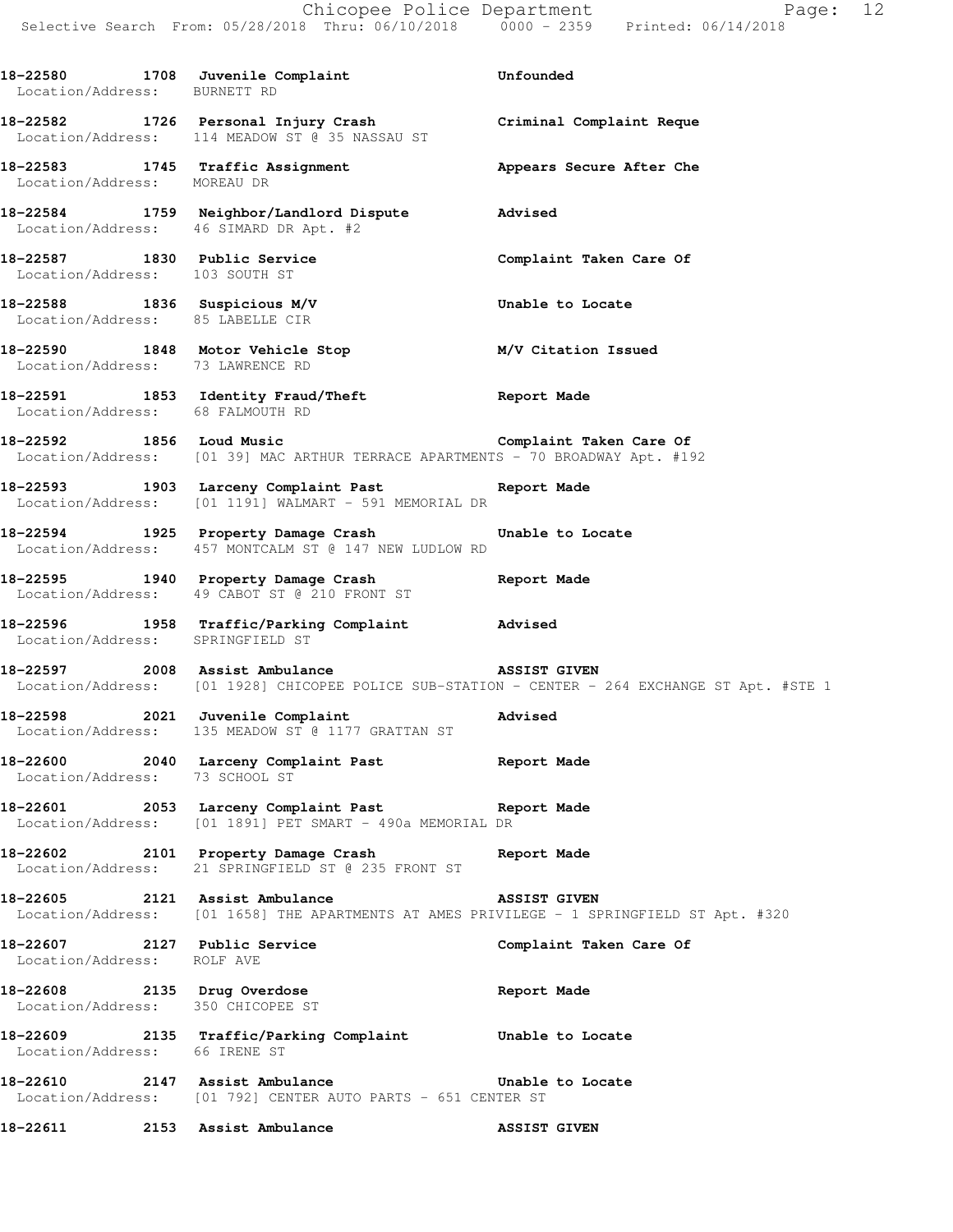**18-22580 1708 Juvenile Complaint Unfounded**  Location/Address: BURNETT RD **18-22582 1726 Personal Injury Crash Criminal Complaint Reque**  Location/Address: 114 MEADOW ST @ 35 NASSAU ST **18-22583 1745 Traffic Assignment Appears Secure After Che**  Location/Address: MOREAU DR **18-22584 1759 Neighbor/Landlord Dispute Advised**  Location/Address: 46 SIMARD DR Apt. #2 **18-22587 1830 Public Service Complaint Taken Care Of**  Location/Address: 103 SOUTH ST **18-22588 1836 Suspicious M/V Unable to Locate**  Location/Address: 85 LABELLE CIR **18-22590 1848 Motor Vehicle Stop M/V Citation Issued**  Location/Address: 73 LAWRENCE RD **18-22591 1853 Identity Fraud/Theft Report Made**  Location/Address: 68 FALMOUTH RD **18-22592 1856 Loud Music Complaint Taken Care Of**  Location/Address: [01 39] MAC ARTHUR TERRACE APARTMENTS - 70 BROADWAY Apt. #192 **18-22593 1903 Larceny Complaint Past Report Made**  Location/Address: [01 1191] WALMART - 591 MEMORIAL DR **18-22594 1925 Property Damage Crash Unable to Locate**  Location/Address: 457 MONTCALM ST @ 147 NEW LUDLOW RD **18-22595 1940 Property Damage Crash Report Made**  Location/Address: 49 CABOT ST @ 210 FRONT ST **18-22596 1958 Traffic/Parking Complaint Advised**  Location/Address: SPRINGFIELD ST **18-22597 2008 Assist Ambulance ASSIST GIVEN**  Location/Address: [01 1928] CHICOPEE POLICE SUB-STATION - CENTER - 264 EXCHANGE ST Apt. #STE 1 **18-22598 2021 Juvenile Complaint Advised**  Location/Address: 135 MEADOW ST @ 1177 GRATTAN ST **18-22600 2040 Larceny Complaint Past Report Made**  Location/Address: 73 SCHOOL ST **18-22601 2053 Larceny Complaint Past Report Made**  Location/Address: [01 1891] PET SMART - 490a MEMORIAL DR **18-22602 2101 Property Damage Crash Report Made**  Location/Address: 21 SPRINGFIELD ST @ 235 FRONT ST **18-22605 2121 Assist Ambulance ASSIST GIVEN**  Location/Address: [01 1658] THE APARTMENTS AT AMES PRIVILEGE - 1 SPRINGFIELD ST Apt. #320 **18-22607 2127 Public Service Complaint Taken Care Of**  Location/Address: ROLF AVE **18-22608 2135 Drug Overdose Report Made**  Location/Address: 350 CHICOPEE ST **18-22609 2135 Traffic/Parking Complaint Unable to Locate**  Location/Address: 66 IRENE ST **18-22610 2147 Assist Ambulance Unable to Locate**  Location/Address: [01 792] CENTER AUTO PARTS - 651 CENTER ST **18-22611 2153 Assist Ambulance ASSIST GIVEN**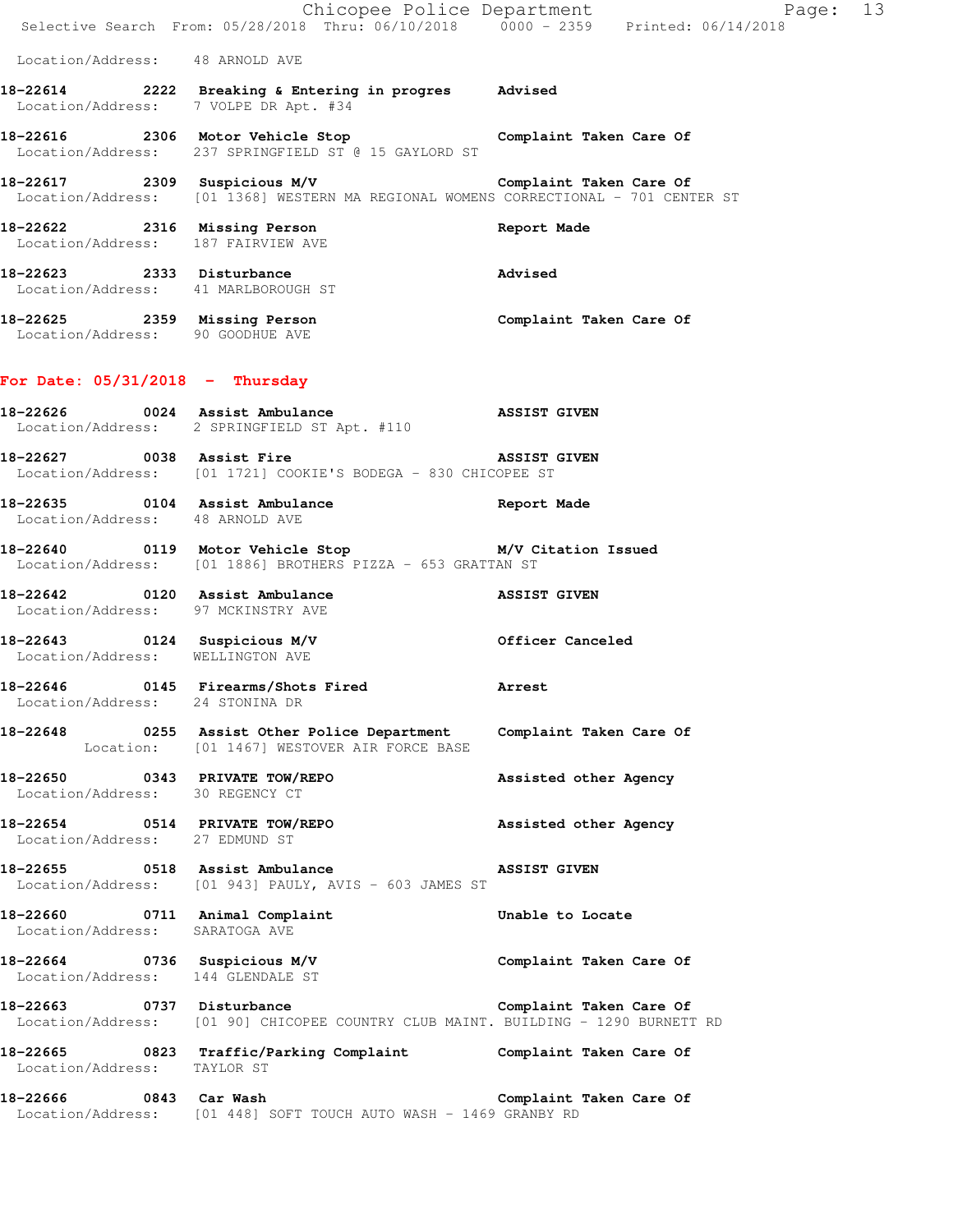|                                                                   | Chicopee Police Department<br>Selective Search From: 05/28/2018 Thru: 06/10/2018 0000 - 2359 Printed: 06/14/2018                       | Page: 13                |
|-------------------------------------------------------------------|----------------------------------------------------------------------------------------------------------------------------------------|-------------------------|
| Location/Address: 48 ARNOLD AVE                                   |                                                                                                                                        |                         |
| Location/Address: 7 VOLPE DR Apt. #34                             | 18-22614 2222 Breaking & Entering in progres Advised                                                                                   |                         |
|                                                                   | 18-22616 2306 Motor Vehicle Stop Complaint Taken Care Of<br>Location/Address: 237 SPRINGFIELD ST @ 15 GAYLORD ST                       |                         |
|                                                                   | 18-22617 2309 Suspicious M/V<br>Location/Address: [01 1368] WESTERN MA REGIONAL WOMENS CORRECTIONAL - 701 CENTER ST                    | Complaint Taken Care Of |
| Location/Address: 187 FAIRVIEW AVE                                | 18-22622 2316 Missing Person                                                                                                           | Report Made             |
| 18-22623 2333 Disturbance<br>Location/Address: 41 MARLBOROUGH ST  |                                                                                                                                        | Advised                 |
|                                                                   | 18-22625 2359 Missing Person<br>Location/Address: 90 GOODHUE AVE                                                                       | Complaint Taken Care Of |
| For Date: $05/31/2018$ - Thursday                                 |                                                                                                                                        |                         |
|                                                                   | <br> 18-22626 0024 Assist Ambulance<br>Location/Address: 2 SPRINGFIELD ST Apt. #110                                                    | <b>ASSIST GIVEN</b>     |
| 18-22627 0038 Assist Fire                                         | Location/Address: [01 1721] COOKIE'S BODEGA - 830 CHICOPEE ST                                                                          | <b>ASSIST GIVEN</b>     |
| Location/Address: 48 ARNOLD AVE                                   | 18-22635 0104 Assist Ambulance and Report Made                                                                                         |                         |
|                                                                   | Location/Address: [01 1886] BROTHERS PIZZA - 653 GRATTAN ST                                                                            |                         |
| Location/Address: 97 MCKINSTRY AVE                                |                                                                                                                                        |                         |
| Location/Address: WELLINGTON AVE                                  |                                                                                                                                        |                         |
| Location/Address: 24 STONINA DR                                   |                                                                                                                                        |                         |
|                                                                   | 18-22648 0255 Assist Other Police Department Complaint Taken Care Of<br>Location: [01 1467] WESTOVER AIR FORCE BASE                    |                         |
| 18-22650 0343 PRIVATE TOW/REPO<br>Location/Address: 30 REGENCY CT |                                                                                                                                        | Assisted other Agency   |
|                                                                   | 18-22654 0514 PRIVATE TOW/REPO Assisted other Agency<br>Location/Address: 27 EDMUND ST                                                 |                         |
|                                                                   | 18-22655 0518 Assist Ambulance<br>Location/Address: [01 943] PAULY, AVIS - 603 JAMES ST                                                | <b>ASSIST GIVEN</b>     |
| Location/Address: SARATOGA AVE                                    | 18-22660 0711 Animal Complaint                                                                                                         | Unable to Locate        |
|                                                                   | 18-22664 0736 Suspicious M/V<br>Location/Address: 144 GLENDALE ST                                                                      | Complaint Taken Care Of |
|                                                                   | 18-22663 0737 Disturbance Complaint Taken Care Of<br>Location/Address: [01 90] CHICOPEE COUNTRY CLUB MAINT. BUILDING - 1290 BURNETT RD |                         |
| Location/Address: TAYLOR ST                                       | 18-22665 0823 Traffic/Parking Complaint Complaint Taken Care Of                                                                        |                         |
|                                                                   | 18-22666 0843 Car Wash<br>Location/Address: [01 448] SOFT TOUCH AUTO WASH - 1469 GRANBY RD                                             | Complaint Taken Care Of |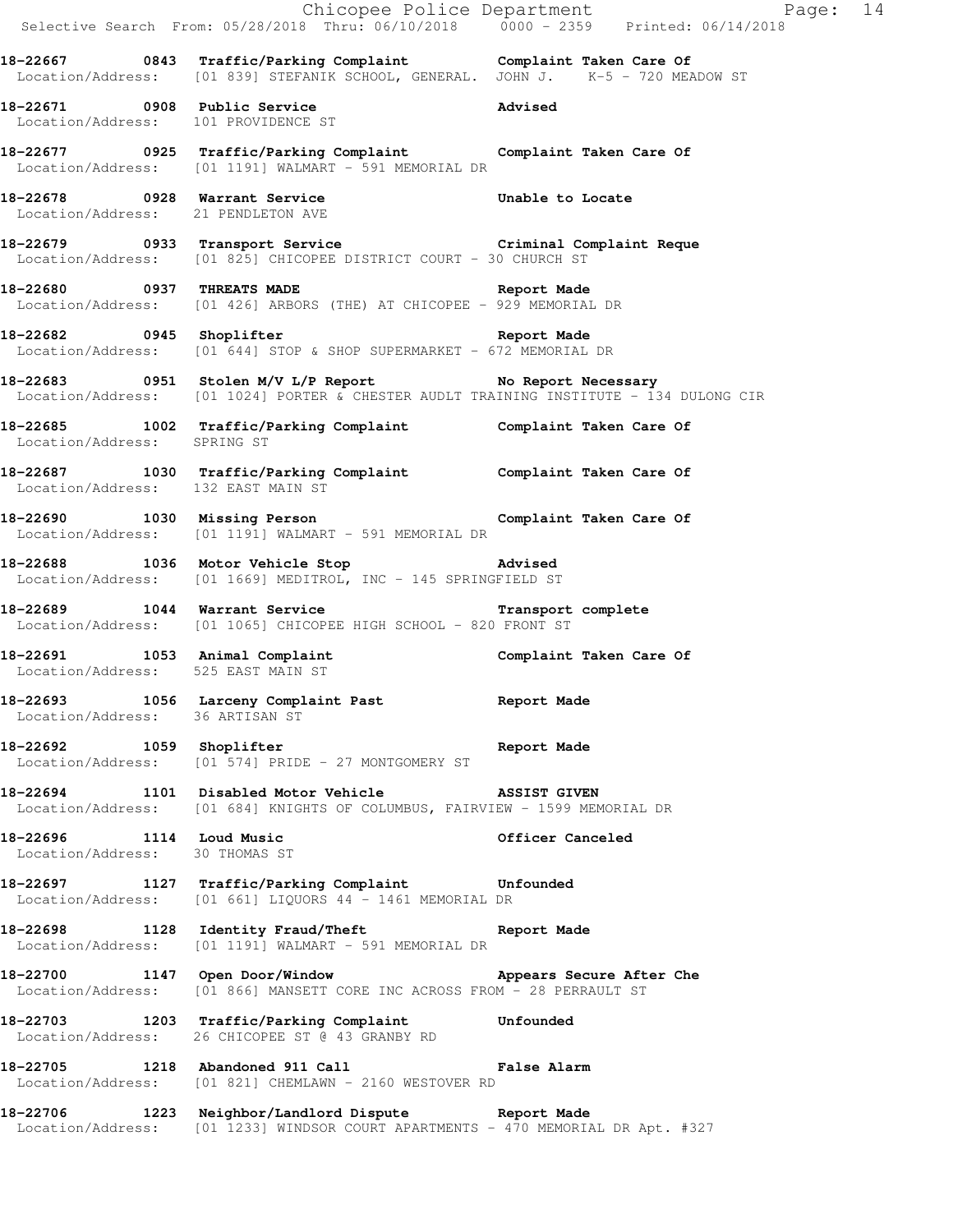|                                                            |                                                                                                                                                   | Chicopee Police Department<br>Selective Search From: 05/28/2018 Thru: 06/10/2018 0000 - 2359 Printed: 06/14/2018 |  |
|------------------------------------------------------------|---------------------------------------------------------------------------------------------------------------------------------------------------|------------------------------------------------------------------------------------------------------------------|--|
|                                                            | 18-22667 0843 Traffic/Parking Complaint Complaint Taken Care Of Location/Address: [01 839] STEFANIK SCHOOL, GENERAL. JOHN J. K-5 - 720 MEADOW ST  |                                                                                                                  |  |
| Location/Address: 101 PROVIDENCE ST                        | 18-22671 0908 Public Service                                                                                                                      | <b>Advised</b>                                                                                                   |  |
|                                                            | 18-22677 0925 Traffic/Parking Complaint Complaint Taken Care Of Location/Address: [01 1191] WALMART - 591 MEMORIAL DR                             |                                                                                                                  |  |
| Location/Address: 21 PENDLETON AVE                         | 18-22678 0928 Warrant Service Unable to Locate                                                                                                    |                                                                                                                  |  |
|                                                            | 18-22679 0933 Transport Service Criminal Complaint Reque<br>Location/Address: [01 825] CHICOPEE DISTRICT COURT - 30 CHURCH ST                     |                                                                                                                  |  |
|                                                            | 18-22680 0937 THREATS MADE 22680 Report Made<br>Location/Address: [01 426] ARBORS (THE) AT CHICOPEE - 929 MEMORIAL DR                             |                                                                                                                  |  |
|                                                            | 18-22682 0945 Shoplifter 2008 and Report Made<br>Location/Address: [01 644] STOP & SHOP SUPERMARKET - 672 MEMORIAL DR                             |                                                                                                                  |  |
|                                                            | 18-22683 0951 Stolen M/V L/P Report No Report Necessary<br>Location/Address: [01 1024] PORTER & CHESTER AUDLT TRAINING INSTITUTE - 134 DULONG CIR |                                                                                                                  |  |
| Location/Address: SPRING ST                                | 18-22685 1002 Traffic/Parking Complaint Complaint Taken Care Of                                                                                   |                                                                                                                  |  |
| Location/Address: 132 EAST MAIN ST                         | 18-22687 1030 Traffic/Parking Complaint Complaint Taken Care Of                                                                                   |                                                                                                                  |  |
|                                                            | 18-22690 1030 Missing Person <b>18-22690</b> Complaint Taken Care Of<br>Location/Address: [01 1191] WALMART - 591 MEMORIAL DR                     |                                                                                                                  |  |
|                                                            | 18-22688 1036 Motor Vehicle Stop 30 Advised<br>Location/Address: [01 1669] MEDITROL, INC - 145 SPRINGFIELD ST                                     |                                                                                                                  |  |
|                                                            | 18-22689 1044 Warrant Service <b>18-22689</b> Transport complete<br>Location/Address: [01 1065] CHICOPEE HIGH SCHOOL - 820 FRONT ST               |                                                                                                                  |  |
|                                                            | 18-22691 1053 Animal Complaint Complaint Complaint Taken Care Of Location/Address: 525 EAST MAIN ST                                               |                                                                                                                  |  |
| Location/Address: 36 ARTISAN ST                            | 18-22693 1056 Larceny Complaint Past Report Made                                                                                                  |                                                                                                                  |  |
| 18-22692 1059 Shoplifter                                   | Report Made<br>Location/Address: [01 574] PRIDE - 27 MONTGOMERY ST                                                                                |                                                                                                                  |  |
|                                                            | 18-22694 1101 Disabled Motor Vehicle ASSIST GIVEN<br>Location/Address: [01 684] KNIGHTS OF COLUMBUS, FAIRVIEW - 1599 MEMORIAL DR                  |                                                                                                                  |  |
| 18-22696 1114 Loud Music<br>Location/Address: 30 THOMAS ST |                                                                                                                                                   | Officer Canceled                                                                                                 |  |
|                                                            | 18-22697 1127 Traffic/Parking Complaint Unfounded<br>Location/Address: [01 661] LIQUORS 44 - 1461 MEMORIAL DR                                     |                                                                                                                  |  |
|                                                            | 18-22698 1128 Identity Fraud/Theft Report Made<br>Location/Address: [01 1191] WALMART - 591 MEMORIAL DR                                           |                                                                                                                  |  |
| 18-22700 1147 Open Door/Window                             | Location/Address: [01 866] MANSETT CORE INC ACROSS FROM - 28 PERRAULT ST                                                                          | Appears Secure After Che                                                                                         |  |
|                                                            | 18-22703 1203 Traffic/Parking Complaint Unfounded<br>Location/Address: 26 CHICOPEE ST @ 43 GRANBY RD                                              |                                                                                                                  |  |
|                                                            | 18-22705 1218 Abandoned 911 Call Call False Alarm<br>Location/Address: [01 821] CHEMLAWN - 2160 WESTOVER RD                                       |                                                                                                                  |  |
|                                                            | 18-22706 1223 Neighbor/Landlord Dispute Report Made<br>Location/Address: [01 1233] WINDSOR COURT APARTMENTS - 470 MEMORIAL DR Apt. #327           |                                                                                                                  |  |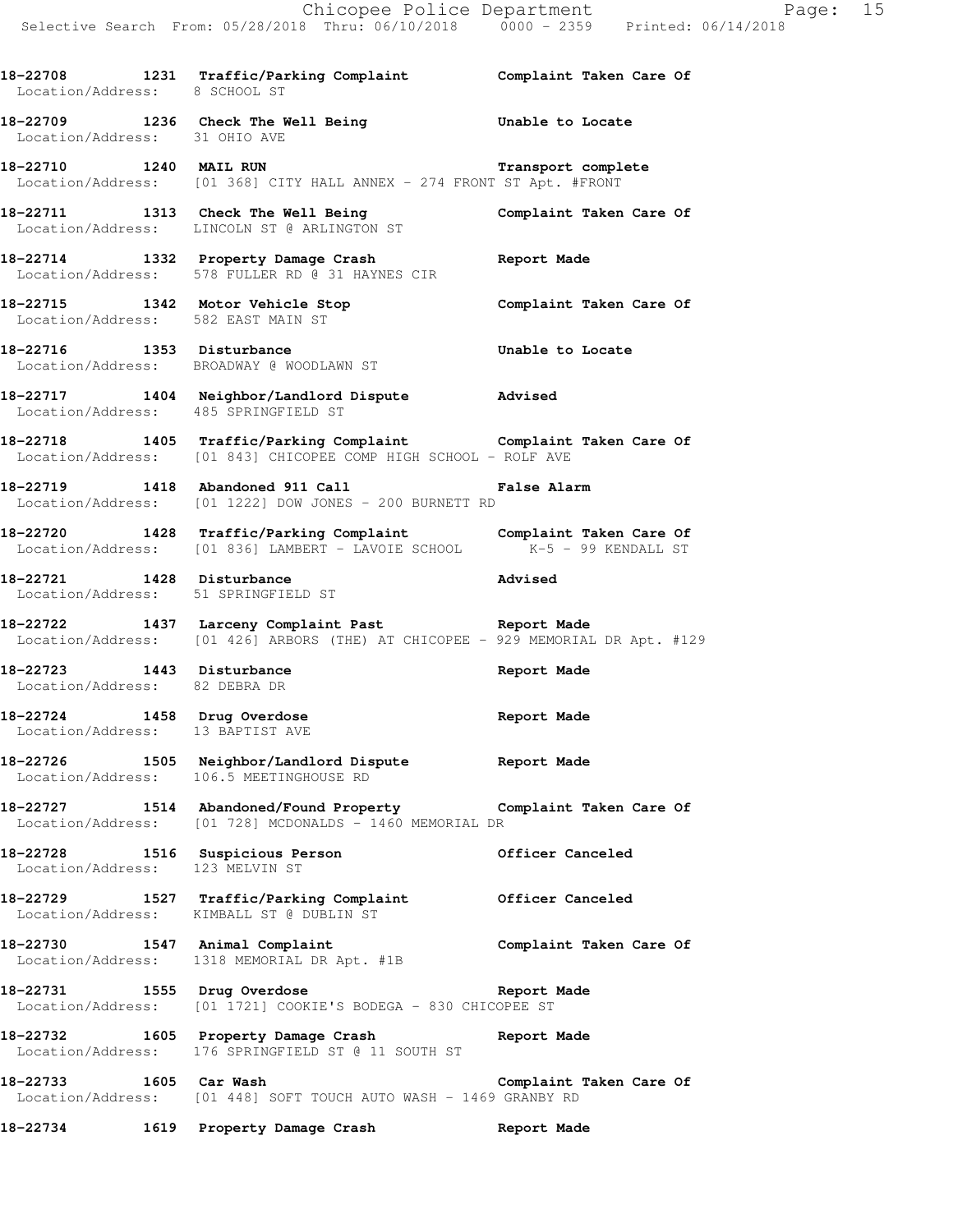**18-22708 1231 Traffic/Parking Complaint Complaint Taken Care Of** 

Location/Address: 8 SCHOOL ST

**18-22709 1236 Check The Well Being Unable to Locate**  Location/Address: 31 OHIO AVE **18-22710 1240 MAIL RUN Transport complete**  Location/Address: [01 368] CITY HALL ANNEX - 274 FRONT ST Apt. #FRONT **18-22711 1313 Check The Well Being Complaint Taken Care Of**  Location/Address: LINCOLN ST @ ARLINGTON ST **18-22714 1332 Property Damage Crash Report Made**  Location/Address: 578 FULLER RD @ 31 HAYNES CIR **18-22715 1342 Motor Vehicle Stop Complaint Taken Care Of**  Location/Address: 582 EAST MAIN ST **18-22716 1353 Disturbance Unable to Locate**  Location/Address: BROADWAY @ WOODLAWN ST **18-22717 1404 Neighbor/Landlord Dispute Advised**  Location/Address: 485 SPRINGFIELD ST **18-22718 1405 Traffic/Parking Complaint Complaint Taken Care Of**  Location/Address: [01 843] CHICOPEE COMP HIGH SCHOOL - ROLF AVE **18-22719 1418 Abandoned 911 Call False Alarm**  Location/Address: [01 1222] DOW JONES - 200 BURNETT RD **18-22720 1428 Traffic/Parking Complaint Complaint Taken Care Of**  Location/Address: [01 836] LAMBERT - LAVOIE SCHOOL K-5 - 99 KENDALL ST **18-22721 1428 Disturbance Advised**  Location/Address: 51 SPRINGFIELD ST **18-22722 1437 Larceny Complaint Past Report Made**  Location/Address: [01 426] ARBORS (THE) AT CHICOPEE - 929 MEMORIAL DR Apt. #129 **18-22723 1443 Disturbance Report Made**  Location/Address: 82 DEBRA DR 18-22724 1458 Drug Overdose **Report Made**  Location/Address: 13 BAPTIST AVE **18-22726 1505 Neighbor/Landlord Dispute Report Made**  Location/Address: 106.5 MEETINGHOUSE RD **18-22727 1514 Abandoned/Found Property Complaint Taken Care Of**  Location/Address: [01 728] MCDONALDS - 1460 MEMORIAL DR **18-22728 1516 Suspicious Person Officer Canceled**  Location/Address: 123 MELVIN ST **18-22729 1527 Traffic/Parking Complaint Officer Canceled**  Location/Address: KIMBALL ST @ DUBLIN ST **18-22730 1547 Animal Complaint Complaint Taken Care Of**  Location/Address: 1318 MEMORIAL DR Apt. #1B **18-22731 1555 Drug Overdose Report Made**  Location/Address: [01 1721] COOKIE'S BODEGA - 830 CHICOPEE ST **18-22732 1605 Property Damage Crash Report Made**  Location/Address: 176 SPRINGFIELD ST @ 11 SOUTH ST

**18-22733 1605 Car Wash Complaint Taken Care Of**  Location/Address: [01 448] SOFT TOUCH AUTO WASH - 1469 GRANBY RD

**18-22734 1619 Property Damage Crash Report Made**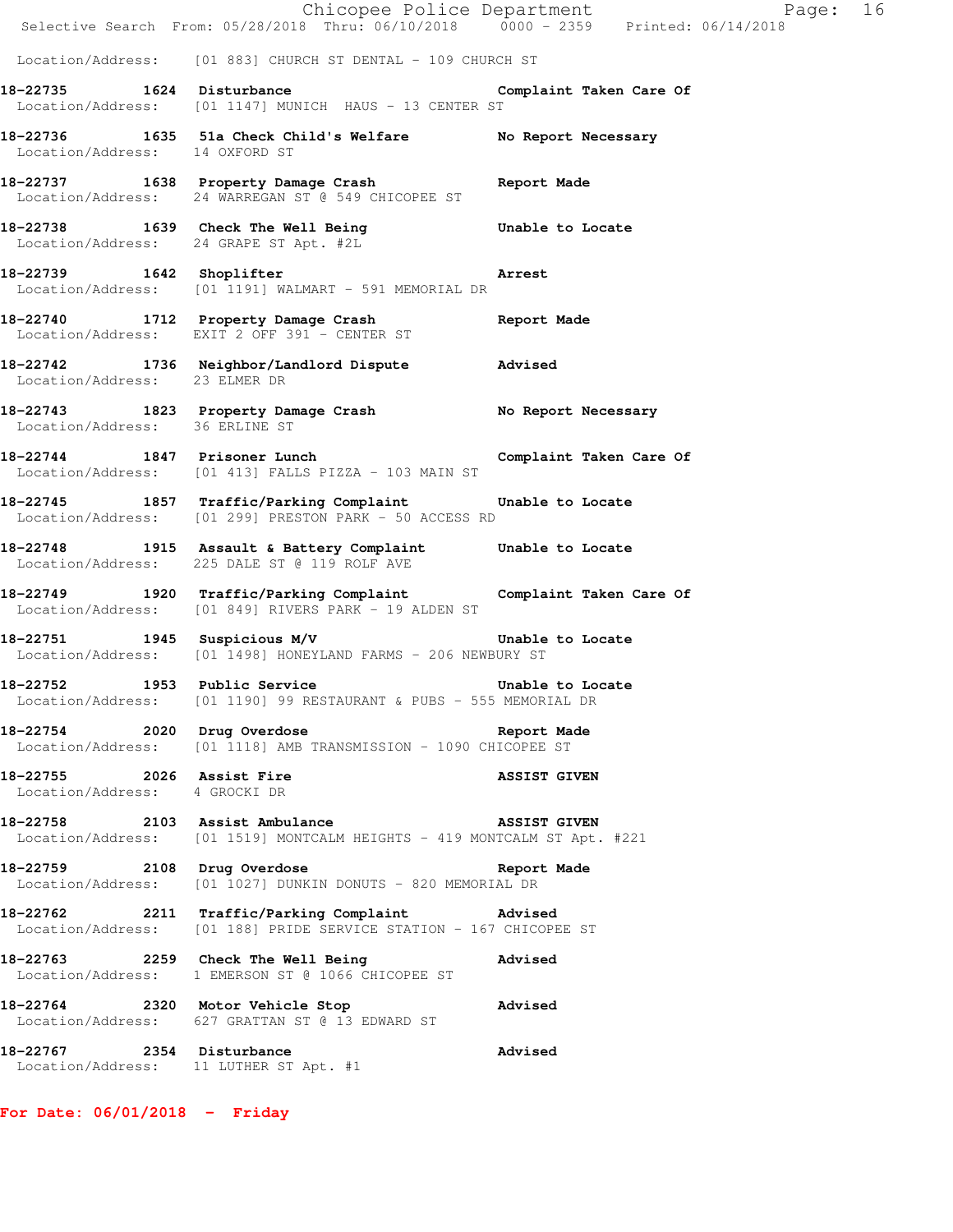|                                                                     | Chicopee Police Department<br>Selective Search From: 05/28/2018 Thru: 06/10/2018 0000 - 2359 Printed: 06/14/2018        | Page: 16                |
|---------------------------------------------------------------------|-------------------------------------------------------------------------------------------------------------------------|-------------------------|
|                                                                     | Location/Address: [01 883] CHURCH ST DENTAL - 109 CHURCH ST                                                             |                         |
| 18-22735 1624 Disturbance                                           | Location/Address: [01 1147] MUNICH HAUS - 13 CENTER ST                                                                  | Complaint Taken Care Of |
| Location/Address: 14 OXFORD ST                                      | 18-22736 1635 51a Check Child's Welfare No Report Necessary                                                             |                         |
|                                                                     | 18-22737 1638 Property Damage Crash Report Made<br>Location/Address: 24 WARREGAN ST @ 549 CHICOPEE ST                   |                         |
| Location/Address: 24 GRAPE ST Apt. #2L                              | 18-22738 1639 Check The Well Being 18-22738                                                                             |                         |
| 18-22739 1642 Shoplifter                                            | <b>Arrest</b><br>Location/Address: [01 1191] WALMART - 591 MEMORIAL DR                                                  |                         |
|                                                                     | 18-22740 1712 Property Damage Crash Report Made Location/Address: EXIT 2 OFF 391 - CENTER ST                            |                         |
| Location/Address: 23 ELMER DR                                       | 18-22742 1736 Neighbor/Landlord Dispute Advised                                                                         |                         |
|                                                                     | 18-22743 1823 Property Damage Crash No Report Necessary<br>Location/Address: 36 ERLINE ST                               |                         |
|                                                                     | 18-22744 1847 Prisoner Lunch<br>Location/Address: [01 413] FALLS PIZZA - 103 MAIN ST                                    | Complaint Taken Care Of |
|                                                                     | 18-22745 1857 Traffic/Parking Complaint Unable to Locate<br>Location/Address: [01 299] PRESTON PARK - 50 ACCESS RD      |                         |
|                                                                     | 18-22748 1915 Assault & Battery Complaint Unable to Locate<br>Location/Address: 225 DALE ST @ 119 ROLF AVE              |                         |
|                                                                     | 18-22749 1920 Traffic/Parking Complaint Complaint Taken Care Of<br>Location/Address: [01 849] RIVERS PARK - 19 ALDEN ST |                         |
|                                                                     | 18-22751 1945 Suspicious M/V Chable to Locate<br>Location/Address: [01 1498] HONEYLAND FARMS - 206 NEWBURY ST           |                         |
| 18-22752 1953 Public Service                                        | Location/Address: [01 1190] 99 RESTAURANT & PUBS - 555 MEMORIAL DR                                                      | Unable to Locate        |
|                                                                     | 18-22754 2020 Drug Overdose<br>Location/Address: [01 1118] AMB TRANSMISSION - 1090 CHICOPEE ST                          | Report Made             |
| 18-22755 2026 Assist Fire<br>Location/Address: 4 GROCKI DR          |                                                                                                                         | <b>ASSIST GIVEN</b>     |
| 18-22758 2103 Assist Ambulance                                      | Location/Address: [01 1519] MONTCALM HEIGHTS - 419 MONTCALM ST Apt. #221                                                | <b>ASSIST GIVEN</b>     |
|                                                                     | 18-22759 2108 Drug Overdose<br>Location/Address: [01 1027] DUNKIN DONUTS - 820 MEMORIAL DR                              | Report Made             |
|                                                                     | 18-22762 2211 Traffic/Parking Complaint Advised<br>Location/Address: [01 188] PRIDE SERVICE STATION - 167 CHICOPEE ST   |                         |
|                                                                     | 18-22763 2259 Check The Well Being<br>Location/Address: 1 EMERSON ST @ 1066 CHICOPEE ST                                 | <b>Advised</b>          |
|                                                                     | 18-22764 2320 Motor Vehicle Stop<br>Location/Address: 627 GRATTAN ST @ 13 EDWARD ST                                     | <b>Advised</b>          |
| 18-22767 2354 Disturbance<br>Location/Address: 11 LUTHER ST Apt. #1 |                                                                                                                         | Advised                 |

**For Date: 06/01/2018 - Friday**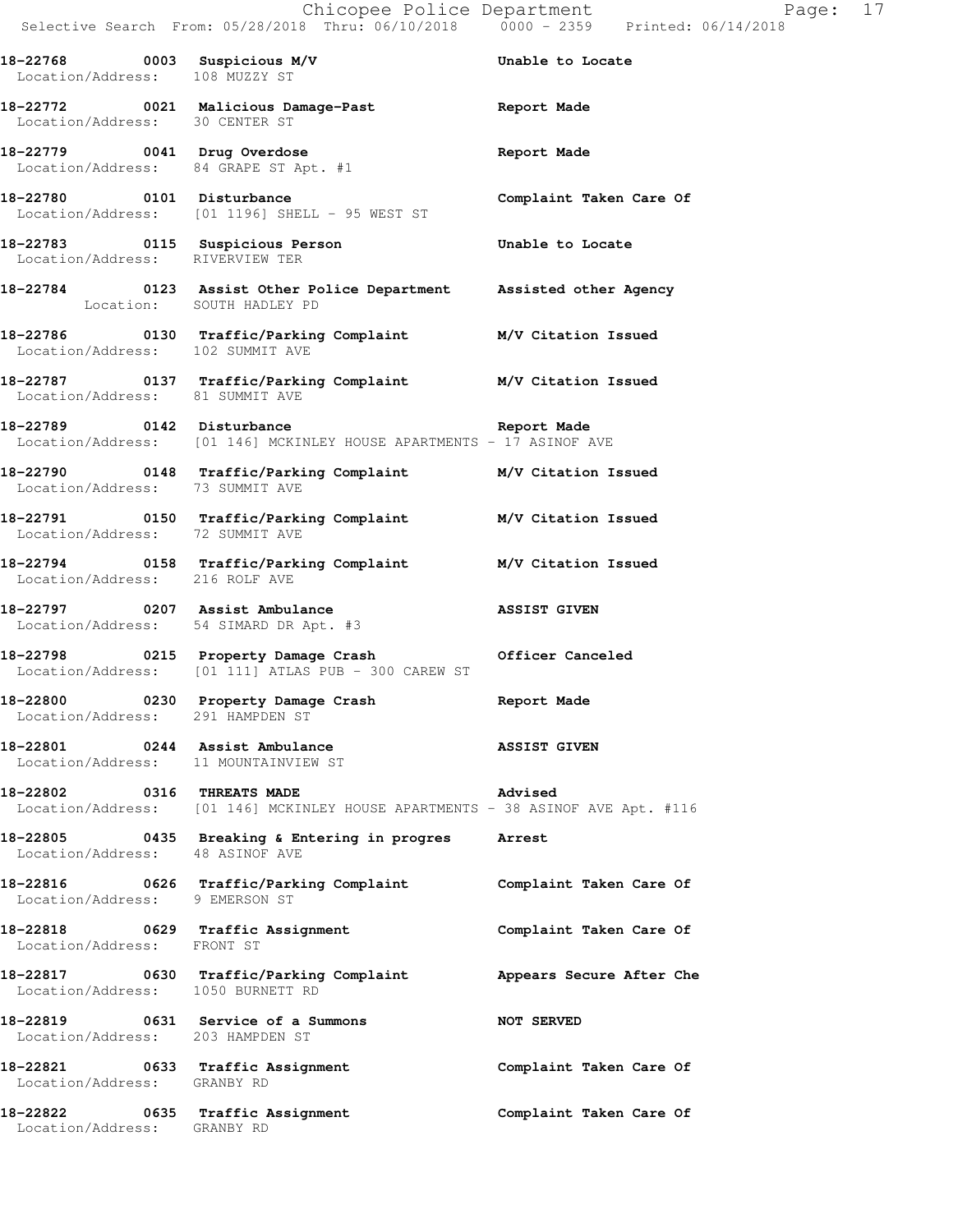Selective Search From: 05/28/2018 Thru: 06/10/2018 0000 - 2359 Printed: 06/14/2018

| 18-22768 0003 Suspicious M/V<br>Location/Address: 108 MUZZY ST         |                                                                                                             | Unable to Locate         |
|------------------------------------------------------------------------|-------------------------------------------------------------------------------------------------------------|--------------------------|
| Location/Address: 30 CENTER ST                                         | 18-22772 0021 Malicious Damage-Past 1997 Report Made                                                        |                          |
| 18-22779 0041 Drug Overdose                                            | Location/Address: 84 GRAPE ST Apt. #1                                                                       | Report Made              |
| 18-22780 0101 Disturbance                                              | Location/Address: [01 1196] SHELL - 95 WEST ST                                                              | Complaint Taken Care Of  |
| 18-22783 0115 Suspicious Person<br>Location/Address: RIVERVIEW TER     |                                                                                                             | Unable to Locate         |
| Location: SOUTH HADLEY PD                                              | 18-22784 0123 Assist Other Police Department Assisted other Agency                                          |                          |
| Location/Address: 102 SUMMIT AVE                                       | 18-22786   0130 Traffic/Parking Complaint   M/V Citation Issued                                             |                          |
| Location/Address: 81 SUMMIT AVE                                        | 18-22787 0137 Traffic/Parking Complaint M/V Citation Issued                                                 |                          |
|                                                                        | 18-22789 0142 Disturbance<br>Location/Address: [01 146] MCKINLEY HOUSE APARTMENTS - 17 ASINOF AVE           | Report Made              |
|                                                                        | 18-22790 0148 Traffic/Parking Complaint M/V Citation Issued<br>Location/Address: 73 SUMMIT AVE              |                          |
|                                                                        | 18-22791 0150 Traffic/Parking Complaint M/V Citation Issued<br>Location/Address: 72 SUMMIT AVE              |                          |
|                                                                        | 18-22794 0158 Traffic/Parking Complaint M/V Citation Issued<br>Location/Address: 216 ROLF AVE               |                          |
| 18-22797 0207 Assist Ambulance                                         | Location/Address: 54 SIMARD DR Apt. #3                                                                      | <b>ASSIST GIVEN</b>      |
|                                                                        | 18-22798 0215 Property Damage Crash 6fficer Canceled<br>Location/Address: [01 111] ATLAS PUB - 300 CAREW ST |                          |
| Location/Address: 291 HAMPDEN ST                                       | 18-22800 0230 Property Damage Crash (Report Made                                                            |                          |
| 18-22801 0244 Assist Ambulance<br>Location/Address: 11 MOUNTAINVIEW ST |                                                                                                             | <b>ASSIST GIVEN</b>      |
| 18-22802 0316 THREATS MADE                                             | Location/Address: [01 146] MCKINLEY HOUSE APARTMENTS - 38 ASINOF AVE Apt. #116                              | <b>Advised</b>           |
| Location/Address: 48 ASINOF AVE                                        | 18-22805 0435 Breaking & Entering in progres Arrest                                                         |                          |
| Location/Address: 9 EMERSON ST                                         | 18-22816 0626 Traffic/Parking Complaint                                                                     | Complaint Taken Care Of  |
| 18-22818 0629 Traffic Assignment<br>Location/Address: FRONT ST         |                                                                                                             | Complaint Taken Care Of  |
|                                                                        | 18-22817 0630 Traffic/Parking Complaint<br>Location/Address: 1050 BURNETT RD                                | Appears Secure After Che |
| 18-22819 0631 Service of a Summons<br>Location/Address: 203 HAMPDEN ST |                                                                                                             | <b>NOT SERVED</b>        |
| 18-22821 0633 Traffic Assignment<br>Location/Address: GRANBY RD        |                                                                                                             | Complaint Taken Care Of  |
| 18-22822 0635 Traffic Assignment<br>Location/Address: GRANBY RD        |                                                                                                             | Complaint Taken Care Of  |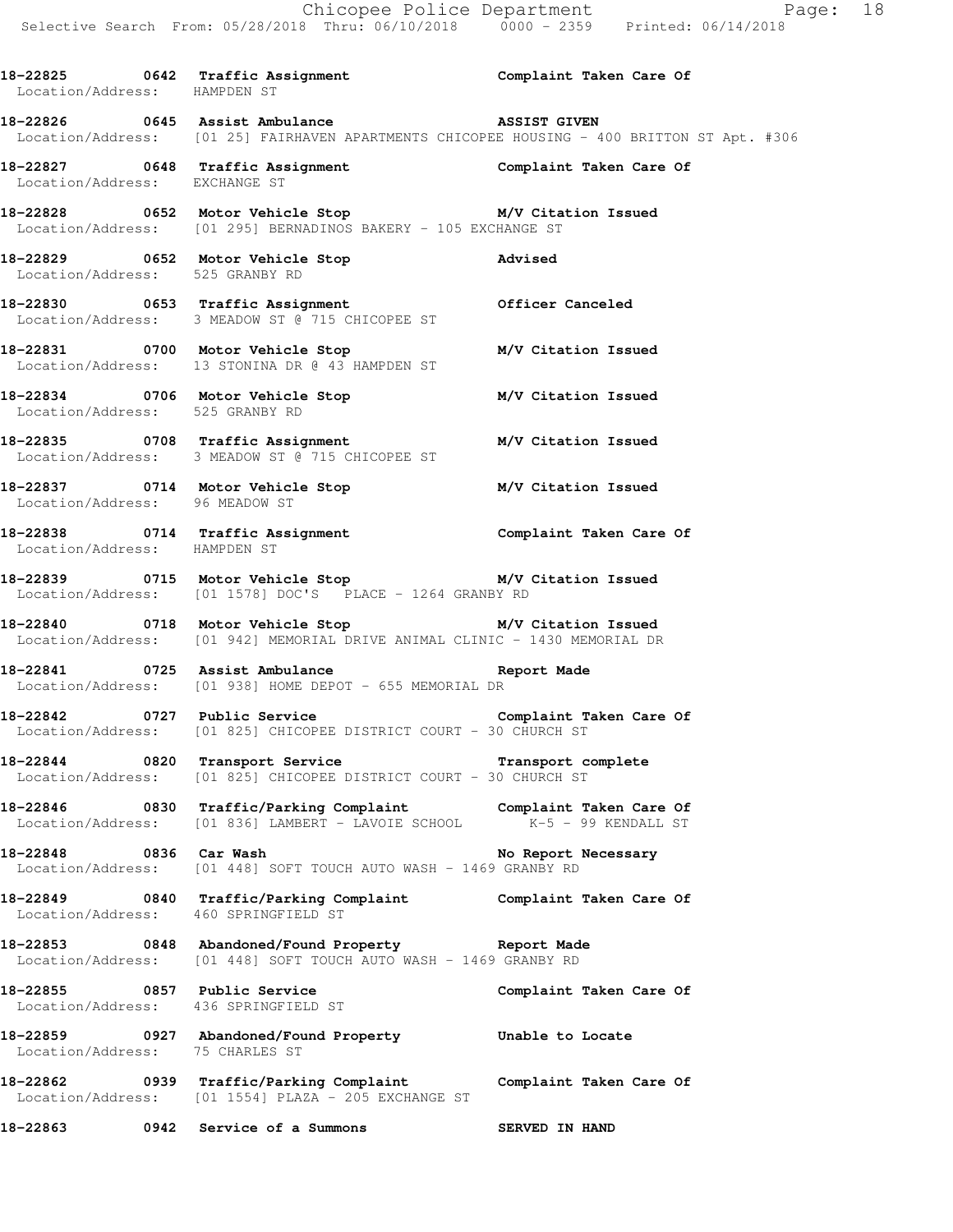18-22825 0642 Traffic Assignment **Complaint Taken Care Of**  Location/Address: HAMPDEN ST **18-22826 0645 Assist Ambulance ASSIST GIVEN**  Location/Address: [01 25] FAIRHAVEN APARTMENTS CHICOPEE HOUSING - 400 BRITTON ST Apt. #306 **18-22827 0648 Traffic Assignment Complaint Taken Care Of**  Location/Address: EXCHANGE ST **18-22828 0652 Motor Vehicle Stop M/V Citation Issued**  Location/Address: [01 295] BERNADINOS BAKERY - 105 EXCHANGE ST **18-22829 0652 Motor Vehicle Stop Advised**  Location/Address: 525 GRANBY RD **18-22830 0653 Traffic Assignment Officer Canceled**  Location/Address: 3 MEADOW ST @ 715 CHICOPEE ST **18-22831 0700 Motor Vehicle Stop M/V Citation Issued**  Location/Address: 13 STONINA DR @ 43 HAMPDEN ST **18-22834 0706 Motor Vehicle Stop M/V Citation Issued**  Location/Address: 525 GRANBY RD **18-22835 0708 Traffic Assignment M/V Citation Issued**  Location/Address: 3 MEADOW ST @ 715 CHICOPEE ST **18-22837 0714 Motor Vehicle Stop M/V Citation Issued**  Location/Address: 96 MEADOW ST **18-22838 0714 Traffic Assignment Complaint Taken Care Of**  Location/Address: HAMPDEN ST **18-22839 0715 Motor Vehicle Stop M/V Citation Issued**  Location/Address: [01 1578] DOC'S PLACE - 1264 GRANBY RD **18-22840 0718 Motor Vehicle Stop M/V Citation Issued**  Location/Address: [01 942] MEMORIAL DRIVE ANIMAL CLINIC - 1430 MEMORIAL DR **18-22841 0725 Assist Ambulance Report Made**  Location/Address: [01 938] HOME DEPOT - 655 MEMORIAL DR **18-22842 0727 Public Service Complaint Taken Care Of**  Location/Address: [01 825] CHICOPEE DISTRICT COURT - 30 CHURCH ST **18-22844 0820 Transport Service Transport complete**  Location/Address: [01 825] CHICOPEE DISTRICT COURT - 30 CHURCH ST **18-22846 0830 Traffic/Parking Complaint Complaint Taken Care Of <br>Location/Address:** [01 836] LAMBERT - LAVOIE SCHOOL K-5 - 99 KENDALL ST Location/Address: [01 836] LAMBERT - LAVOIE SCHOOL 18-22848 0836 Car Wash **No Report Necessary**  Location/Address: [01 448] SOFT TOUCH AUTO WASH - 1469 GRANBY RD **18-22849 0840 Traffic/Parking Complaint Complaint Taken Care Of**  Location/Address: 460 SPRINGFIELD ST **18-22853 0848 Abandoned/Found Property Report Made**  Location/Address: [01 448] SOFT TOUCH AUTO WASH - 1469 GRANBY RD **18-22855 0857 Public Service Complaint Taken Care Of**  Location/Address: 436 SPRINGFIELD ST **18-22859 0927 Abandoned/Found Property Unable to Locate**  Location/Address: 75 CHARLES ST **18-22862 0939 Traffic/Parking Complaint Complaint Taken Care Of**  Location/Address: [01 1554] PLAZA - 205 EXCHANGE ST **18-22863 0942 Service of a Summons SERVED IN HAND**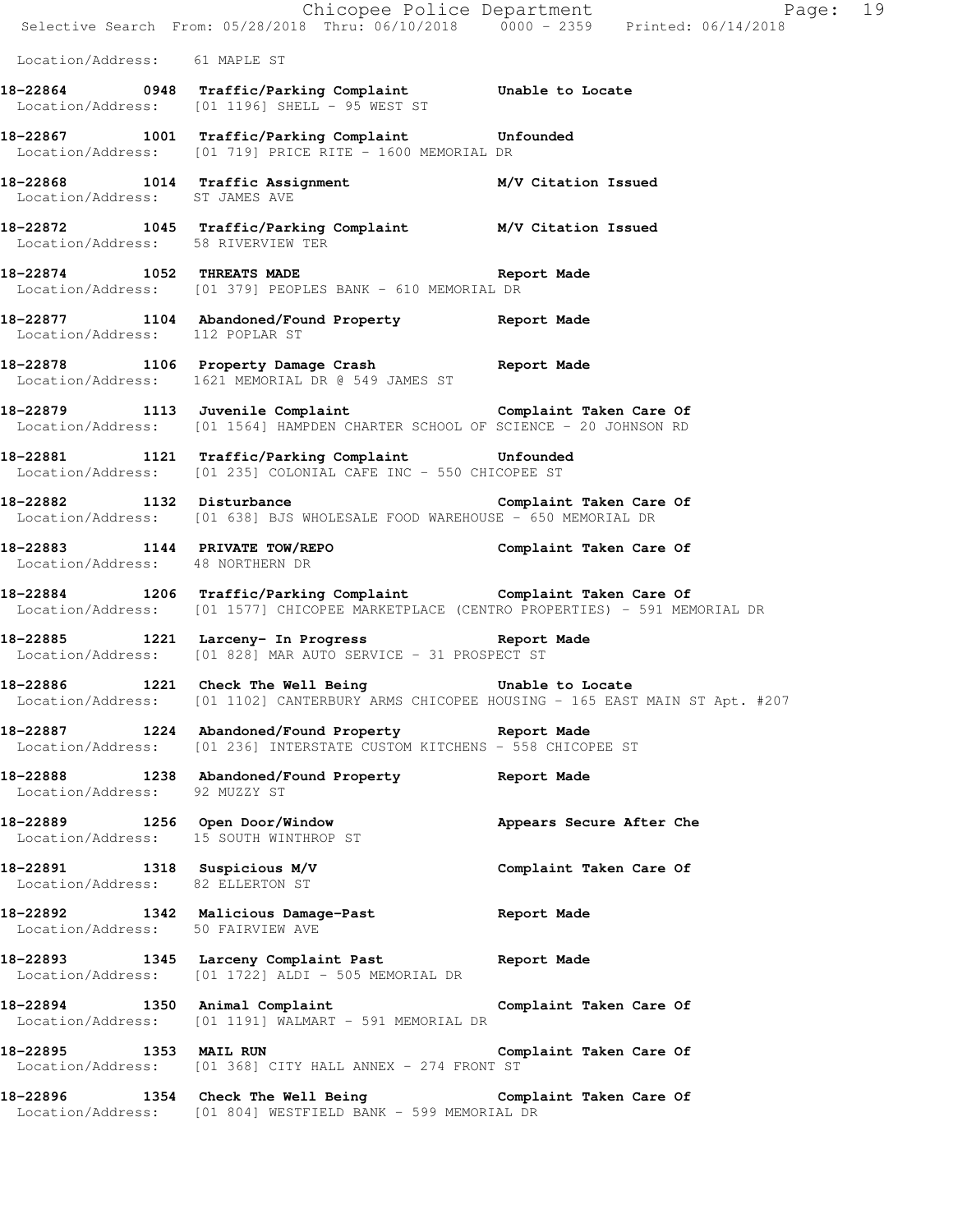|                                    |                                                                                                                                                           | Chicopee Police Department<br>Page: 19 |
|------------------------------------|-----------------------------------------------------------------------------------------------------------------------------------------------------------|----------------------------------------|
|                                    | Selective Search From: 05/28/2018 Thru: 06/10/2018 0000 - 2359 Printed: 06/14/2018                                                                        |                                        |
| Location/Address: 61 MAPLE ST      |                                                                                                                                                           |                                        |
|                                    | 18-22864 0948 Traffic/Parking Complaint Unable to Locate<br>Location/Address: [01 1196] SHELL - 95 WEST ST                                                |                                        |
|                                    | 18-22867 1001 Traffic/Parking Complaint Unfounded<br>Location/Address: [01 719] PRICE RITE - 1600 MEMORIAL DR                                             |                                        |
| Location/Address: ST JAMES AVE     | 18-22868 1014 Traffic Assignment M/V Citation Issued                                                                                                      |                                        |
| Location/Address: 58 RIVERVIEW TER | 18-22872 1045 Traffic/Parking Complaint M/V Citation Issued                                                                                               |                                        |
| 18-22874 1052 THREATS MADE         | Report Made<br>Location/Address: [01 379] PEOPLES BANK - 610 MEMORIAL DR                                                                                  |                                        |
| Location/Address: 112 POPLAR ST    | 18-22877 1104 Abandoned/Found Property Report Made                                                                                                        |                                        |
|                                    | 18-22878 1106 Property Damage Crash Report Made<br>Location/Address: 1621 MEMORIAL DR @ 549 JAMES ST                                                      |                                        |
|                                    | 18-22879 1113 Juvenile Complaint Composition Complaint Taken Care Of<br>Location/Address: [01 1564] HAMPDEN CHARTER SCHOOL OF SCIENCE - 20 JOHNSON RD     |                                        |
|                                    | 18-22881 1121 Traffic/Parking Complaint Unfounded<br>Location/Address: [01 235] COLONIAL CAFE INC - 550 CHICOPEE ST                                       |                                        |
|                                    | 18-22882 1132 Disturbance Complaint Taken Care Of<br>Location/Address: [01 638] BJS WHOLESALE FOOD WAREHOUSE - 650 MEMORIAL DR                            |                                        |
| Location/Address: 48 NORTHERN DR   | 18-22883 1144 PRIVATE TOW/REPO 10 Complaint Taken Care Of                                                                                                 |                                        |
|                                    | 18-22884 1206 Traffic/Parking Complaint Complaint Taken Care Of<br>Location/Address: [01 1577] CHICOPEE MARKETPLACE (CENTRO PROPERTIES) - 591 MEMORIAL DR |                                        |
|                                    | 18-22885 1221 Larceny- In Progress 18-22885<br>Location/Address: [01 828] MAR AUTO SERVICE - 31 PROSPECT ST                                               |                                        |
|                                    | 18-22886 1221 Check The Well Being<br>Location/Address: [01 1102] CANTERBURY ARMS CHICOPEE HOUSING - 165 EAST MAIN ST Apt. #207                           | Unable to Locate                       |
|                                    | 18-22887 1224 Abandoned/Found Property Report Made<br>Location/Address: [01 236] INTERSTATE CUSTOM KITCHENS - 558 CHICOPEE ST                             |                                        |
| Location/Address: 92 MUZZY ST      | 18-22888 1238 Abandoned/Found Property Report Made                                                                                                        |                                        |
|                                    | 18-22889 1256 Open Door/Window <b>Appears Secure After Che</b><br>Location/Address: 15 SOUTH WINTHROP ST                                                  |                                        |
| Location/Address: 82 ELLERTON ST   | 18-22891 1318 Suspicious M/V                                                                                                                              | Complaint Taken Care Of                |
| Location/Address: 50 FAIRVIEW AVE  | 18-22892 1342 Malicious Damage-Past Report Made                                                                                                           |                                        |
|                                    | 18-22893 1345 Larceny Complaint Past Report Made<br>Location/Address: [01 1722] ALDI - 505 MEMORIAL DR                                                    |                                        |
| 18-22894 1350 Animal Complaint     | Location/Address: [01 1191] WALMART - 591 MEMORIAL DR                                                                                                     | Complaint Taken Care Of                |
|                                    | 18-22895 1353 MAIL RUN<br>Location/Address: [01 368] CITY HALL ANNEX - 274 FRONT ST                                                                       | Complaint Taken Care Of                |
|                                    | 18-22896 1354 Check The Well Being Complaint Taken Care Of<br>Location/Address: [01 804] WESTFIELD BANK - 599 MEMORIAL DR                                 |                                        |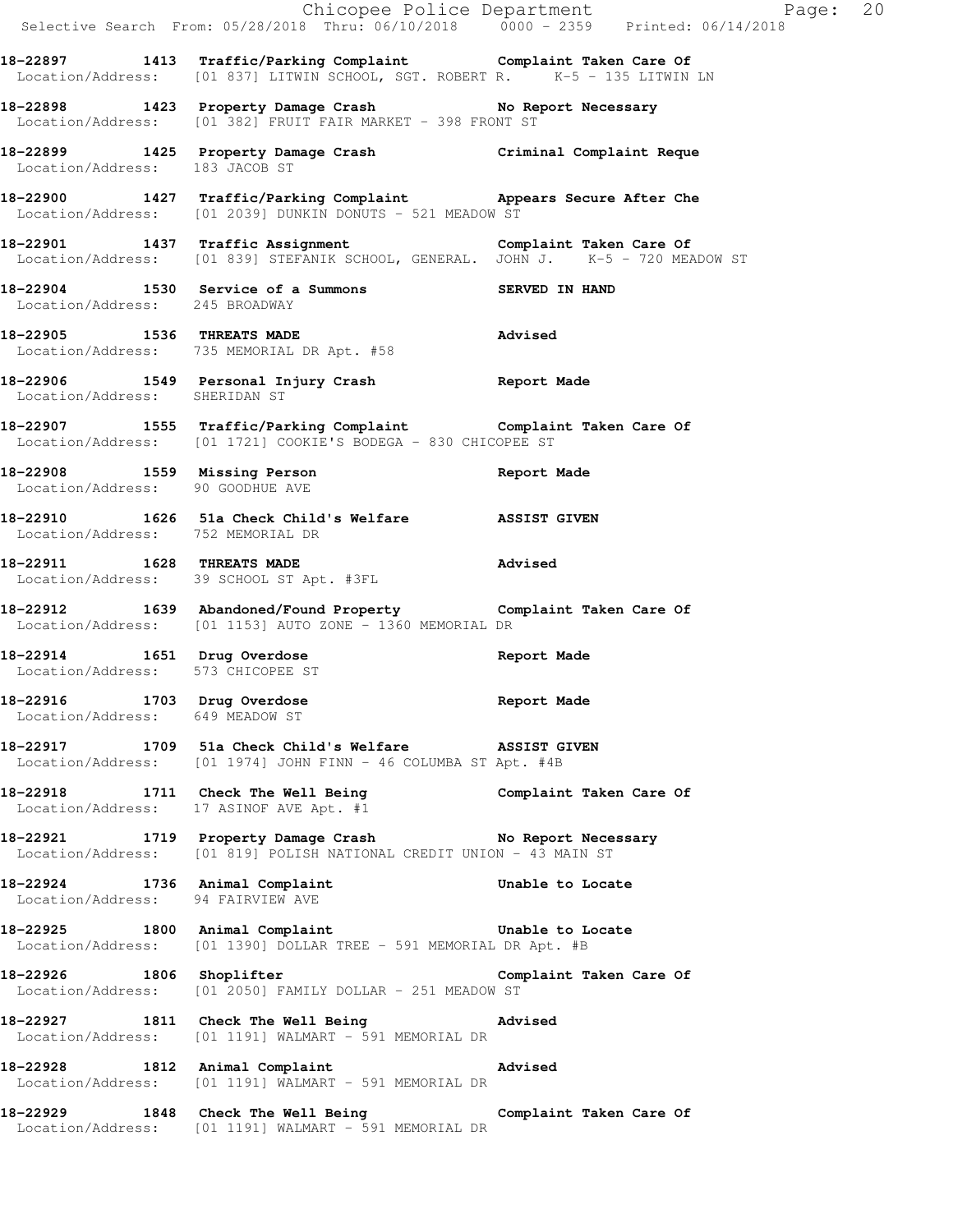|                                                                | Selective Search From: 05/28/2018 Thru: 06/10/2018 0000 - 2359 Printed: 06/14/2018                                                                                | Chicopee Police Department<br>Page: 20 |
|----------------------------------------------------------------|-------------------------------------------------------------------------------------------------------------------------------------------------------------------|----------------------------------------|
|                                                                | 18-22897 1413 Traffic/Parking Complaint Complaint Taken Care Of Location/Address: [01 837] LITWIN SCHOOL, SGT. ROBERT R. K-5 - 135 LITWIN LN                      |                                        |
|                                                                | 18-22898 1423 Property Damage Crash No Report Necessary<br>Location/Address: [01 382] FRUIT FAIR MARKET - 398 FRONT ST                                            |                                        |
| Location/Address: 183 JACOB ST                                 | 18-22899 1425 Property Damage Crash Criminal Complaint Reque                                                                                                      |                                        |
|                                                                | 18-22900 1427 Traffic/Parking Complaint Appears Secure After Che<br>Location/Address: [01 2039] DUNKIN DONUTS - 521 MEADOW ST                                     |                                        |
|                                                                | 18-22901 1437 Traffic Assignment Complaint Taken Care Of Complaint Taken Care Of Election/Address: [01 839] STEFANIK SCHOOL, GENERAL. JOHN J. K-5 - 720 MEADOW ST |                                        |
| Location/Address: 245 BROADWAY                                 | 18-22904 1530 Service of a Summons                                                                                                                                | SERVED IN HAND                         |
|                                                                | 18-22905 1536 THREATS MADE<br>Elocation/Address: 735 MEMORIAL DR Apt. #58                                                                                         | <b>Advised</b>                         |
| Location/Address: SHERIDAN ST                                  | 18-22906 1549 Personal Injury Crash 18-22906 Neport Made                                                                                                          |                                        |
|                                                                | 18-22907 1555 Traffic/Parking Complaint Complaint Taken Care Of<br>Location/Address: [01 1721] COOKIE'S BODEGA - 830 CHICOPEE ST                                  |                                        |
| Location/Address: 90 GOODHUE AVE                               | 18-22908 1559 Missing Person                                                                                                                                      | Report Made                            |
| Location/Address: 752 MEMORIAL DR                              | 18-22910 1626 51a Check Child's Welfare 3SSIST GIVEN                                                                                                              |                                        |
|                                                                | 18-22911 1628 THREATS MADE<br>Location/Address: 39 SCHOOL ST Apt. #3FL                                                                                            | Advised                                |
|                                                                | 18-22912 1639 Abandoned/Found Property Complaint Taken Care Of<br>Location/Address: [01 1153] AUTO ZONE - 1360 MEMORIAL DR                                        |                                        |
|                                                                | 18-22914 1651 Drug Overdose<br>Location/Address: 573 CHICOPEE ST                                                                                                  | Report Made                            |
| 18-22916 1703 Drug Overdose<br>Location/Address: 649 MEADOW ST |                                                                                                                                                                   | Report Made                            |
|                                                                | 18-22917 1709 51a Check Child's Welfare ASSIST GIVEN<br>Location/Address: [01 1974] JOHN FINN - 46 COLUMBA ST Apt. #4B                                            |                                        |
|                                                                | 18-22918 1711 Check The Well Being Complaint Taken Care Of<br>Location/Address: 17 ASINOF AVE Apt. #1                                                             |                                        |
|                                                                | 18-22921 1719 Property Damage Crash No Report Necessary<br>Location/Address: [01 819] POLISH NATIONAL CREDIT UNION - 43 MAIN ST                                   |                                        |
|                                                                | 18-22924 1736 Animal Complaint <b>18-22924</b> Unable to Locate<br>Location/Address: 94 FAIRVIEW AVE                                                              |                                        |
|                                                                | 18-22925 1800 Animal Complaint <b>18-22925</b> Unable to Locate<br>Location/Address: [01 1390] DOLLAR TREE - 591 MEMORIAL DR Apt. #B                              |                                        |
| 18-22926 1806 Shoplifter                                       | Location/Address: [01 2050] FAMILY DOLLAR - 251 MEADOW ST                                                                                                         | Complaint Taken Care Of                |
|                                                                | 18-22927 1811 Check The Well Being 30 Marised<br>Location/Address: [01 1191] WALMART - 591 MEMORIAL DR                                                            |                                        |
| 18-22928 1812 Animal Complaint                                 | <b>Example 2018</b> Advised<br>Location/Address: [01 1191] WALMART - 591 MEMORIAL DR                                                                              |                                        |
|                                                                | 18-22929 1848 Check The Well Being <b>Example 18-22929</b> 20 and the Vietnam 1848 Check The Well Being<br>Location/Address: [01 1191] WALMART - 591 MEMORIAL DR  |                                        |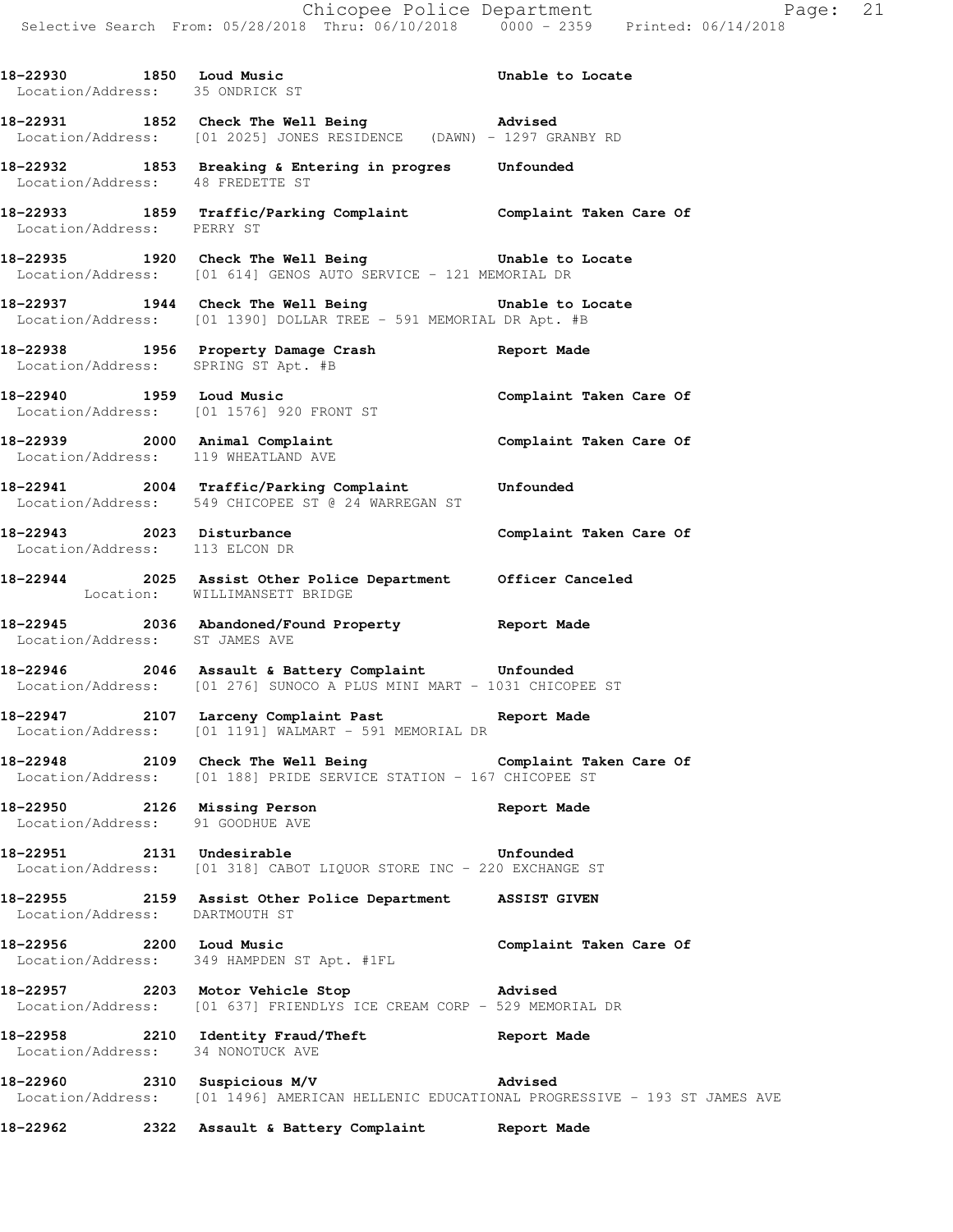**18-22931 1852 Check The Well Being Advised**  Location/Address: [01 2025] JONES RESIDENCE (DAWN) - 1297 GRANBY RD **18-22932 1853 Breaking & Entering in progres Unfounded**  Location/Address: 48 FREDETTE ST **18-22933 1859 Traffic/Parking Complaint Complaint Taken Care Of**  Location/Address: PERRY ST **18-22935 1920 Check The Well Being Unable to Locate**  Location/Address: [01 614] GENOS AUTO SERVICE - 121 MEMORIAL DR **18-22937 1944 Check The Well Being Unable to Locate**  Location/Address: [01 1390] DOLLAR TREE - 591 MEMORIAL DR Apt. #B **18-22938 1956 Property Damage Crash Report Made**  Location/Address: SPRING ST Apt. #B **18-22940 1959 Loud Music Complaint Taken Care Of**  Location/Address: [01 1576] 920 FRONT ST **18-22939 2000 Animal Complaint Complaint Taken Care Of**  Location/Address: 119 WHEATLAND AVE **18-22941 2004 Traffic/Parking Complaint Unfounded**  Location/Address: 549 CHICOPEE ST @ 24 WARREGAN ST 18-22943 2023 Disturbance **Complaint Taken Care Of**  Location/Address: 113 ELCON DR **18-22944 2025 Assist Other Police Department Officer Canceled**  Location: WILLIMANSETT BRIDGE **18-22945 2036 Abandoned/Found Property Report Made**  Location/Address: ST JAMES AVE **18-22946 2046 Assault & Battery Complaint Unfounded**  Location/Address: [01 276] SUNOCO A PLUS MINI MART - 1031 CHICOPEE ST **18-22947 2107 Larceny Complaint Past Report Made**  Location/Address: [01 1191] WALMART - 591 MEMORIAL DR **18-22948 2109 Check The Well Being Complaint Taken Care Of**  Location/Address: [01 188] PRIDE SERVICE STATION - 167 CHICOPEE ST **18-22950 2126 Missing Person Report Made**  Location/Address: 91 GOODHUE AVE **18-22951 2131 Undesirable Unfounded**  Location/Address: [01 318] CABOT LIQUOR STORE INC - 220 EXCHANGE ST **18-22955 2159 Assist Other Police Department ASSIST GIVEN**  Location/Address: DARTMOUTH ST **18-22956 2200 Loud Music Complaint Taken Care Of**  Location/Address: 349 HAMPDEN ST Apt. #1FL **18-22957 2203 Motor Vehicle Stop Advised**  Location/Address: [01 637] FRIENDLYS ICE CREAM CORP - 529 MEMORIAL DR **18-22958 2210 Identity Fraud/Theft Report Made**  Location/Address: 34 NONOTUCK AVE **18-22960 2310 Suspicious M/V Advised**  Location/Address: [01 1496] AMERICAN HELLENIC EDUCATIONAL PROGRESSIVE - 193 ST JAMES AVE **18-22962 2322 Assault & Battery Complaint Report Made** 

18-22930 1850 Loud Music **18-22930** Unable to Locate

Location/Address: 35 ONDRICK ST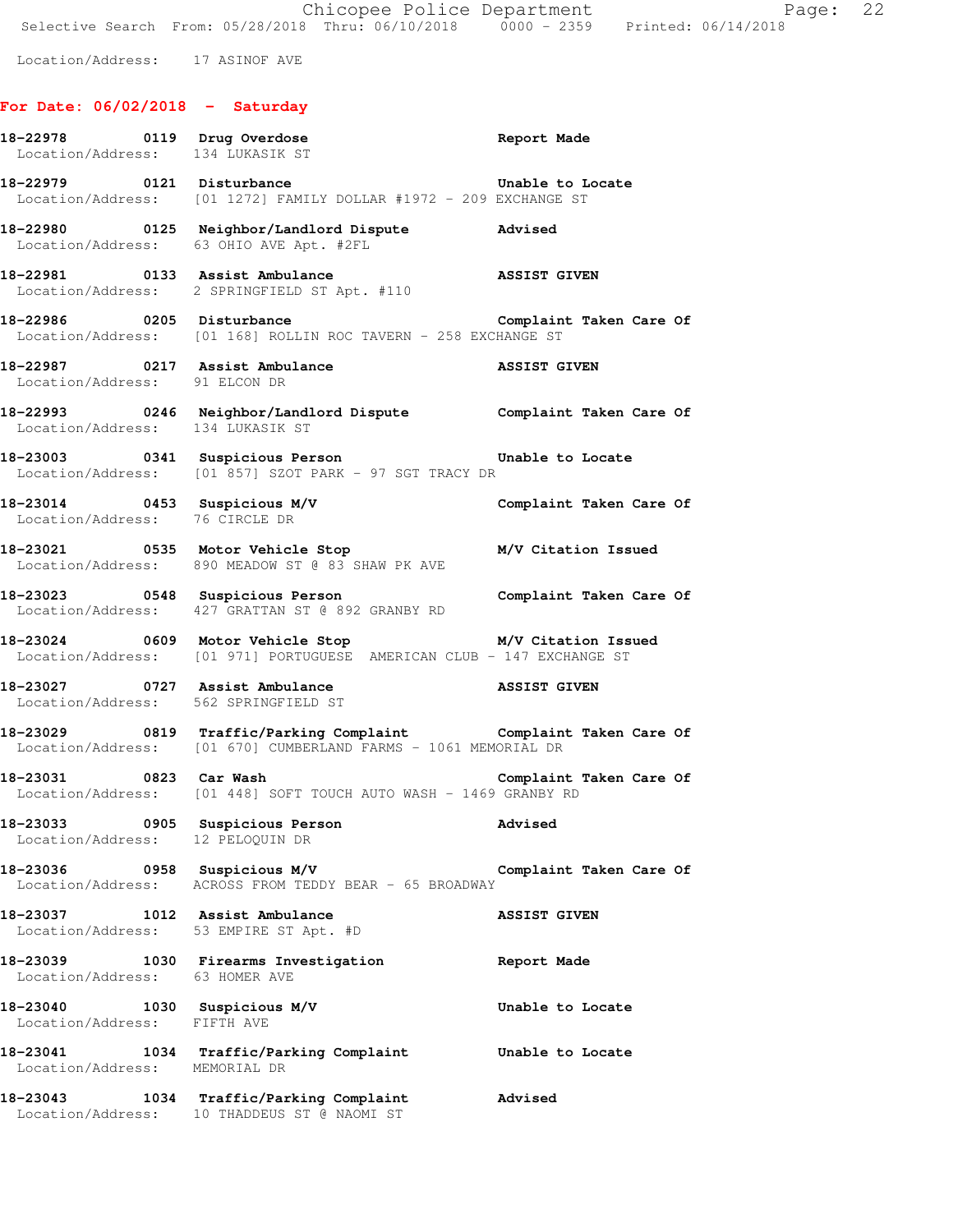Location/Address: 17 ASINOF AVE

### **For Date: 06/02/2018 - Saturday**

| Location/Address: 134 LUKASIK ST                                         | 18-22978 0119 Drug Overdose Report Made                                                                                            |                         |
|--------------------------------------------------------------------------|------------------------------------------------------------------------------------------------------------------------------------|-------------------------|
| 18-22979 0121 Disturbance                                                | Location/Address: [01 1272] FAMILY DOLLAR #1972 - 209 EXCHANGE ST                                                                  | Unable to Locate        |
|                                                                          | Location/Address: 63 OHIO AVE Apt. #2FL                                                                                            |                         |
|                                                                          | 18-22981 0133 Assist Ambulance ASSIST GIVEN<br>Location/Address: 2 SPRINGFIELD ST Apt. #110                                        |                         |
|                                                                          | 18-22986 0205 Disturbance<br>Location/Address: [01 168] ROLLIN ROC TAVERN - 258 EXCHANGE ST                                        | Complaint Taken Care Of |
| Location/Address: 91 ELCON DR                                            | 18-22987 0217 Assist Ambulance <b>1888</b> ASSIST GIVEN                                                                            |                         |
|                                                                          | 18-22993 0246 Neighbor/Landlord Dispute Complaint Taken Care Of Location/Address: 134 LUKASIK ST                                   |                         |
|                                                                          | 18-23003 0341 Suspicious Person <b>18-23003</b> Unable to Locate<br>Location/Address: [01 857] SZOT PARK - 97 SGT TRACY DR         |                         |
| Location/Address: 76 CIRCLE DR                                           | 18-23014   0453   Suspicious M/V   Complaint Taken Care Of   Location/Address: 76   CIRCLE DR                                      |                         |
|                                                                          | 18-23021 0535 Motor Vehicle Stop M/V Citation Issued<br>Location/Address: 890 MEADOW ST @ 83 SHAW PK AVE                           |                         |
|                                                                          | 18-23023 0548 Suspicious Person <b>18-23023</b> Complaint Taken Care Of<br>Location/Address: 427 GRATTAN ST @ 892 GRANBY RD        |                         |
|                                                                          | 18-23024 0609 Motor Vehicle Stop M/V Citation Issued<br>Location/Address: [01 971] PORTUGUESE AMERICAN CLUB - 147 EXCHANGE ST      |                         |
|                                                                          | 18-23027 0727 Assist Ambulance <b>ASSIST GIVEN</b><br>Location/Address: 562 SPRINGEIELD ST<br>Location/Address: 562 SPRINGFIELD ST |                         |
|                                                                          | 18-23029 0819 Traffic/Parking Complaint Complaint Taken Care Of<br>Location/Address: [01 670] CUMBERLAND FARMS - 1061 MEMORIAL DR  |                         |
| 18-23031 0823 Car Wash                                                   | Location/Address: [01 448] SOFT TOUCH AUTO WASH - 1469 GRANBY RD                                                                   | Complaint Taken Care Of |
| Location/Address: 12 PELOQUIN DR                                         | 18-23033 0905 Suspicious Person                                                                                                    | Advised                 |
|                                                                          |                                                                                                                                    | Complaint Taken Care Of |
| 18-23037 1012 Assist Ambulance<br>Location/Address: 53 EMPIRE ST Apt. #D |                                                                                                                                    | <b>ASSIST GIVEN</b>     |
| Location/Address: 63 HOMER AVE                                           | 18-23039 1030 Firearms Investigation                                                                                               | Report Made             |
| 18-23040 1030 Suspicious M/V<br>Location/Address: FIFTH AVE              |                                                                                                                                    | Unable to Locate        |
| Location/Address: MEMORIAL DR                                            | 18-23041 1034 Traffic/Parking Complaint Unable to Locate                                                                           |                         |
|                                                                          | 18-23043 1034 Traffic/Parking Complaint<br>Location/Address: 10 THADDEUS ST @ NAOMI ST                                             | Advised                 |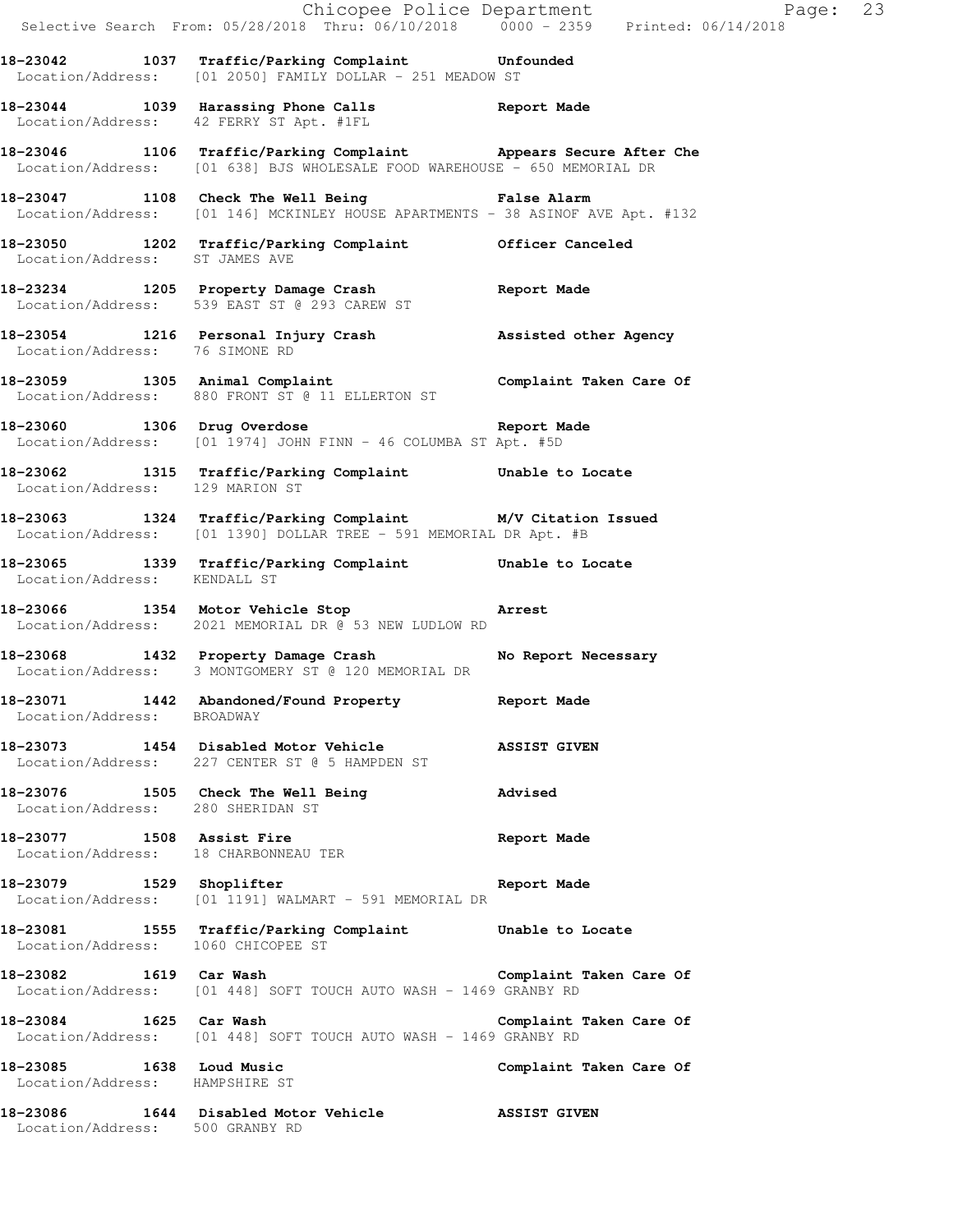|                                                            | Chicopee Police Department<br>Selective Search From: 05/28/2018 Thru: 06/10/2018 0000 - 2359 Printed: 06/14/2018                              | Page: 23                |  |
|------------------------------------------------------------|-----------------------------------------------------------------------------------------------------------------------------------------------|-------------------------|--|
|                                                            | 18-23042 1037 Traffic/Parking Complaint Unfounded<br>Location/Address: [01 2050] FAMILY DOLLAR - 251 MEADOW ST                                |                         |  |
|                                                            | 18-23044 1039 Harassing Phone Calls Report Made<br>Location/Address: 42 FERRY ST Apt. #1FL                                                    |                         |  |
|                                                            | 18-23046 1106 Traffic/Parking Complaint Appears Secure After Che<br>Location/Address: [01 638] BJS WHOLESALE FOOD WAREHOUSE - 650 MEMORIAL DR |                         |  |
|                                                            | 18-23047 1108 Check The Well Being Talse Alarm<br>Location/Address: [01 146] MCKINLEY HOUSE APARTMENTS - 38 ASINOF AVE Apt. #132              |                         |  |
| Location/Address: ST JAMES AVE                             | 18-23050 1202 Traffic/Parking Complaint Officer Canceled                                                                                      |                         |  |
|                                                            | 18-23234 1205 Property Damage Crash Communist Report Made<br>Location/Address: 539 EAST ST @ 293 CAREW ST                                     |                         |  |
| Location/Address: 76 SIMONE RD                             | 18-23054 1216 Personal Injury Crash Massisted other Agency                                                                                    |                         |  |
|                                                            | -<br>18-23059 1305 Animal Complaint 1990 Complaint Taken Care Of<br>Location/Address: 880 FRONT ST @ 11 ELLERTON ST                           |                         |  |
|                                                            | 18-23060 1306 Drug Overdose Report Made<br>Location/Address: [01 1974] JOHN FINN - 46 COLUMBA ST Apt. #5D                                     |                         |  |
| Location/Address: 129 MARION ST                            | 18-23062 1315 Traffic/Parking Complaint Unable to Locate                                                                                      |                         |  |
|                                                            | 18-23063 1324 Traffic/Parking Complaint M/V Citation Issued<br>Location/Address: [01 1390] DOLLAR TREE - 591 MEMORIAL DR Apt. #B              |                         |  |
| Location/Address: KENDALL ST                               | 18-23065 1339 Traffic/Parking Complaint Unable to Locate                                                                                      |                         |  |
|                                                            | 18-23066 1354 Motor Vehicle Stop 18-23066<br>Location/Address: 2021 MEMORIAL DR @ 53 NEW LUDLOW RD                                            |                         |  |
|                                                            | 18-23068 1432 Property Damage Crash No Report Necessary<br>Location/Address: 3 MONTGOMERY ST @ 120 MEMORIAL DR                                |                         |  |
| Location/Address: BROADWAY                                 | 18-23071 1442 Abandoned/Found Property Report Made                                                                                            |                         |  |
|                                                            | 18-23073 1454 Disabled Motor Vehicle ASSIST GIVEN<br>Location/Address: 227 CENTER ST @ 5 HAMPDEN ST                                           |                         |  |
| Location/Address: 280 SHERIDAN ST                          | 18-23076 1505 Check The Well Being                                                                                                            | Advised                 |  |
|                                                            | 18-23077 1508 Assist Fire<br>Location/Address: 18 CHARBONNEAU TER                                                                             | <b>Report Made</b>      |  |
|                                                            | 18-23079 1529 Shoplifter R<br>Location/Address: [01 1191] WALMART - 591 MEMORIAL DR                                                           | Report Made             |  |
|                                                            | 18-23081 1555 Traffic/Parking Complaint Unable to Locate<br>Location/Address: 1060 CHICOPEE ST                                                |                         |  |
|                                                            | 18-23082 1619 Car Wash Complaint Taken Care Of<br>Location/Address: [01 448] SOFT TOUCH AUTO WASH - 1469 GRANBY RD                            |                         |  |
| 18-23084 1625 Car Wash                                     | Location/Address: [01 448] SOFT TOUCH AUTO WASH - 1469 GRANBY RD                                                                              | Complaint Taken Care Of |  |
| 18-23085 1638 Loud Music<br>Location/Address: HAMPSHIRE ST |                                                                                                                                               | Complaint Taken Care Of |  |
| Location/Address: 500 GRANBY RD                            | 18-23086 1644 Disabled Motor Vehicle ASSIST GIVEN                                                                                             |                         |  |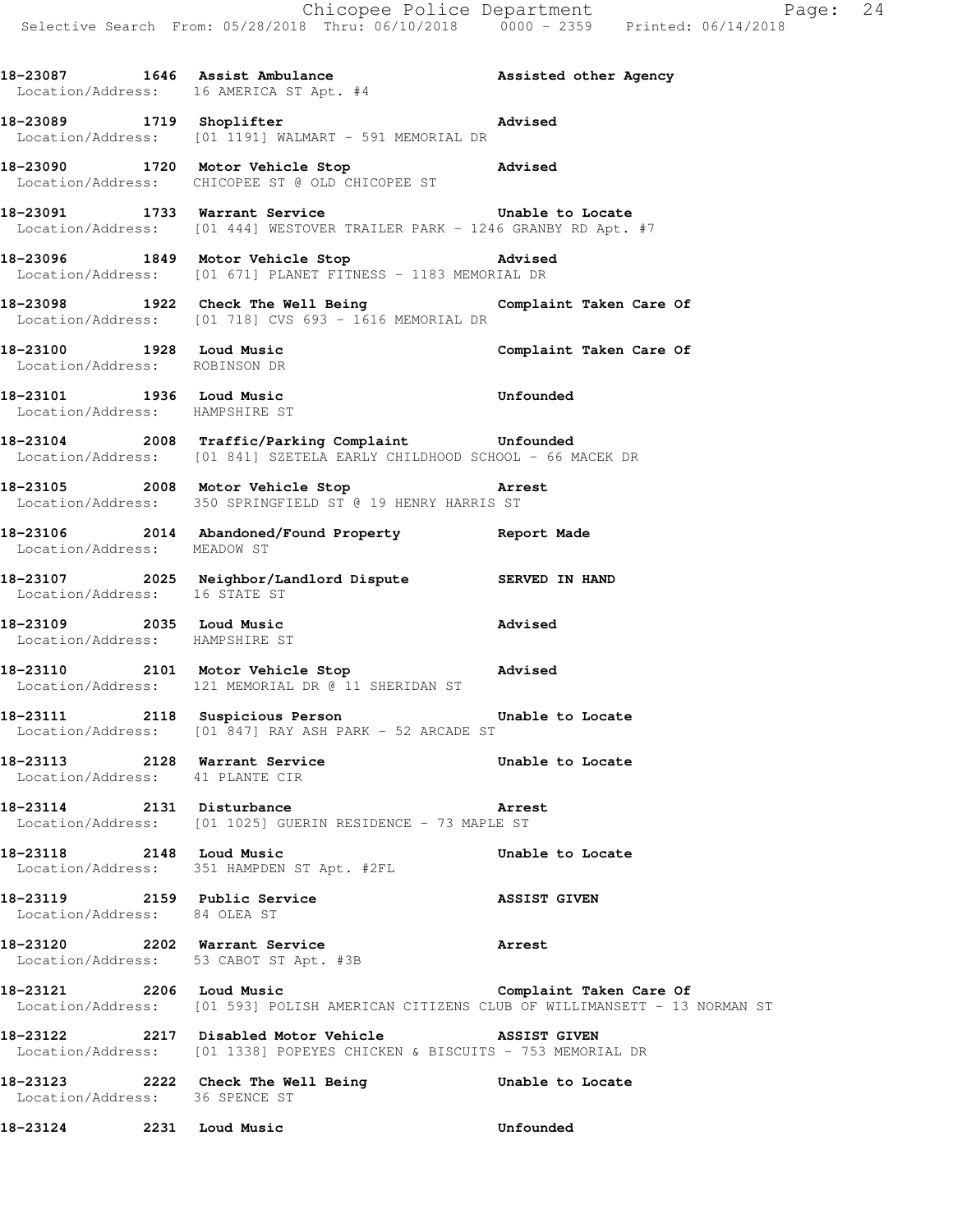18-23087 1646 Assist Ambulance **18-23087** 1646 Assisted other Agency

 Location/Address: 16 AMERICA ST Apt. #4 **18-23089 1719 Shoplifter Advised**  Location/Address: [01 1191] WALMART - 591 MEMORIAL DR **18-23090 1720 Motor Vehicle Stop Advised**  Location/Address: CHICOPEE ST @ OLD CHICOPEE ST **18-23091 1733 Warrant Service Unable to Locate**  Location/Address: [01 444] WESTOVER TRAILER PARK - 1246 GRANBY RD Apt. #7 **18-23096 1849 Motor Vehicle Stop Advised**  Location/Address: [01 671] PLANET FITNESS - 1183 MEMORIAL DR **18-23098 1922 Check The Well Being Complaint Taken Care Of**  Location/Address: [01 718] CVS 693 - 1616 MEMORIAL DR **18-23100 1928 Loud Music Complaint Taken Care Of**  Location/Address: ROBINSON DR **18-23101 1936 Loud Music Unfounded**  Location/Address: HAMPSHIRE ST **18-23104 2008 Traffic/Parking Complaint Unfounded**  Location/Address: [01 841] SZETELA EARLY CHILDHOOD SCHOOL - 66 MACEK DR **18-23105 2008 Motor Vehicle Stop Arrest**  Location/Address: 350 SPRINGFIELD ST @ 19 HENRY HARRIS ST **18-23106 2014 Abandoned/Found Property Report Made**  Location/Address: MEADOW ST **18-23107 2025 Neighbor/Landlord Dispute SERVED IN HAND**  Location/Address: 16 STATE ST **18-23109 2035 Loud Music Advised**  Location/Address: HAMPSHIRE ST **18-23110 2101 Motor Vehicle Stop Advised**  Location/Address: 121 MEMORIAL DR @ 11 SHERIDAN ST **18-23111 2118 Suspicious Person Unable to Locate**  Location/Address: [01 847] RAY ASH PARK - 52 ARCADE ST **18-23113 2128 Warrant Service Unable to Locate**  Location/Address: 41 PLANTE CIR **18-23114 2131 Disturbance Arrest**  Location/Address: [01 1025] GUERIN RESIDENCE - 73 MAPLE ST **18-23118 2148 Loud Music Unable to Locate**  Location/Address: 351 HAMPDEN ST Apt. #2FL **18-23119 2159 Public Service ASSIST GIVEN**  Location/Address: 84 OLEA ST **18-23120 2202 Warrant Service Arrest**  Location/Address: 53 CABOT ST Apt. #3B **18-23121 2206 Loud Music Complaint Taken Care Of**  Location/Address: [01 593] POLISH AMERICAN CITIZENS CLUB OF WILLIMANSETT - 13 NORMAN ST **18-23122 2217 Disabled Motor Vehicle ASSIST GIVEN**  Location/Address: [01 1338] POPEYES CHICKEN & BISCUITS - 753 MEMORIAL DR **18-23123 2222 Check The Well Being Unable to Locate**  Location/Address: 36 SPENCE ST **18-23124 2231 Loud Music Unfounded**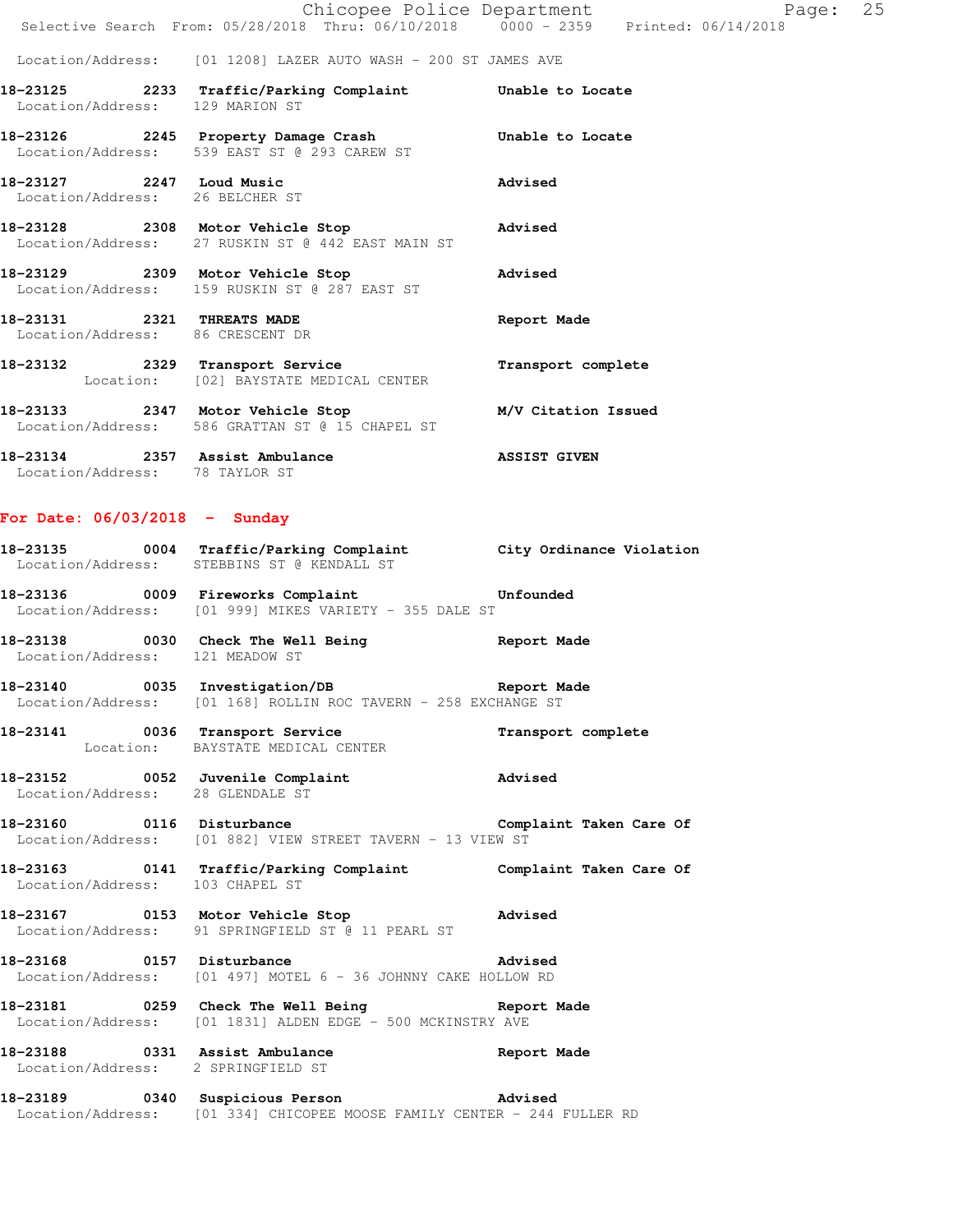|                                  |                                                                                                         | Page: 25<br>Chicopee Police Department<br>Selective Search From: 05/28/2018 Thru: 06/10/2018 0000 - 2359 Printed: 06/14/2018 |  |
|----------------------------------|---------------------------------------------------------------------------------------------------------|------------------------------------------------------------------------------------------------------------------------------|--|
|                                  | Location/Address: [01 1208] LAZER AUTO WASH - 200 ST JAMES AVE                                          |                                                                                                                              |  |
| Location/Address: 129 MARION ST  | 18-23125 2233 Traffic/Parking Complaint Unable to Locate                                                |                                                                                                                              |  |
|                                  | 18-23126 2245 Property Damage Crash Chable to Locate<br>Location/Address: 539 EAST ST @ 293 CAREW ST    |                                                                                                                              |  |
| Location/Address: 26 BELCHER ST  | 18-23127 2247 Loud Music                                                                                | Advised                                                                                                                      |  |
|                                  | 18-23128 2308 Motor Vehicle Stop 30 Advised<br>Location/Address: 27 RUSKIN ST @ 442 EAST MAIN ST        |                                                                                                                              |  |
|                                  | 18-23129 2309 Motor Vehicle Stop 300 Advised<br>Location/Address: 159 RUSKIN ST @ 287 EAST ST           |                                                                                                                              |  |
| Location/Address: 86 CRESCENT DR | 18-23131 2321 THREATS MADE                                                                              | Report Made                                                                                                                  |  |
|                                  | 18-23132 2329 Transport Service<br>Location: [02] BAYSTATE MEDICAL CENTER                               | Transport complete                                                                                                           |  |
|                                  | 18-23133 2347 Motor Vehicle Stop M/V Citation Issued<br>Location/Address: 586 GRATTAN ST @ 15 CHAPEL ST |                                                                                                                              |  |
| Location/Address: 78 TAYLOR ST   | 18-23134 2357 Assist Ambulance                                                                          | <b>ASSIST GIVEN</b>                                                                                                          |  |

#### **For Date: 06/03/2018 - Sunday**

| 18-23135          | 0004 Traffic/Parking Complaint | City Ordinance Violation |
|-------------------|--------------------------------|--------------------------|
| Location/Address: | STEBBINS ST @ KENDALL ST       |                          |
|                   |                                |                          |

**18-23136 0009 Fireworks Complaint Unfounded**  Location/Address: [01 999] MIKES VARIETY - 355 DALE ST

**18-23138 0030 Check The Well Being Report Made**  Location/Address: 121 MEADOW ST

**18-23140 0035 Investigation/DB Report Made**  Location/Address: [01 168] ROLLIN ROC TAVERN - 258 EXCHANGE ST

**18-23141 0036 Transport Service Transport complete**  Location: BAYSTATE MEDICAL CENTER

**18-23152 0052 Juvenile Complaint Advised**  Location/Address: 28 GLENDALE ST

18-23160 **0116** Disturbance **Complaint Taken Care Of** Location/Address: [01 882] VIEW STREET TAVERN - 13 VIEW ST

**18-23163 0141 Traffic/Parking Complaint Complaint Taken Care Of**  Location/Address: 103 CHAPEL ST

### **18-23167 0153 Motor Vehicle Stop Advised**  Location/Address: 91 SPRINGFIELD ST @ 11 PEARL ST

**18-23168 0157 Disturbance Advised**  Location/Address: [01 497] MOTEL 6 - 36 JOHNNY CAKE HOLLOW RD

**18-23181 0259 Check The Well Being Report Made**  Location/Address: [01 1831] ALDEN EDGE - 500 MCKINSTRY AVE

**18-23188 0331 Assist Ambulance Report Made**  Location/Address: 2 SPRINGFIELD ST

**18-23189 0340 Suspicious Person Advised**  Location/Address: [01 334] CHICOPEE MOOSE FAMILY CENTER - 244 FULLER RD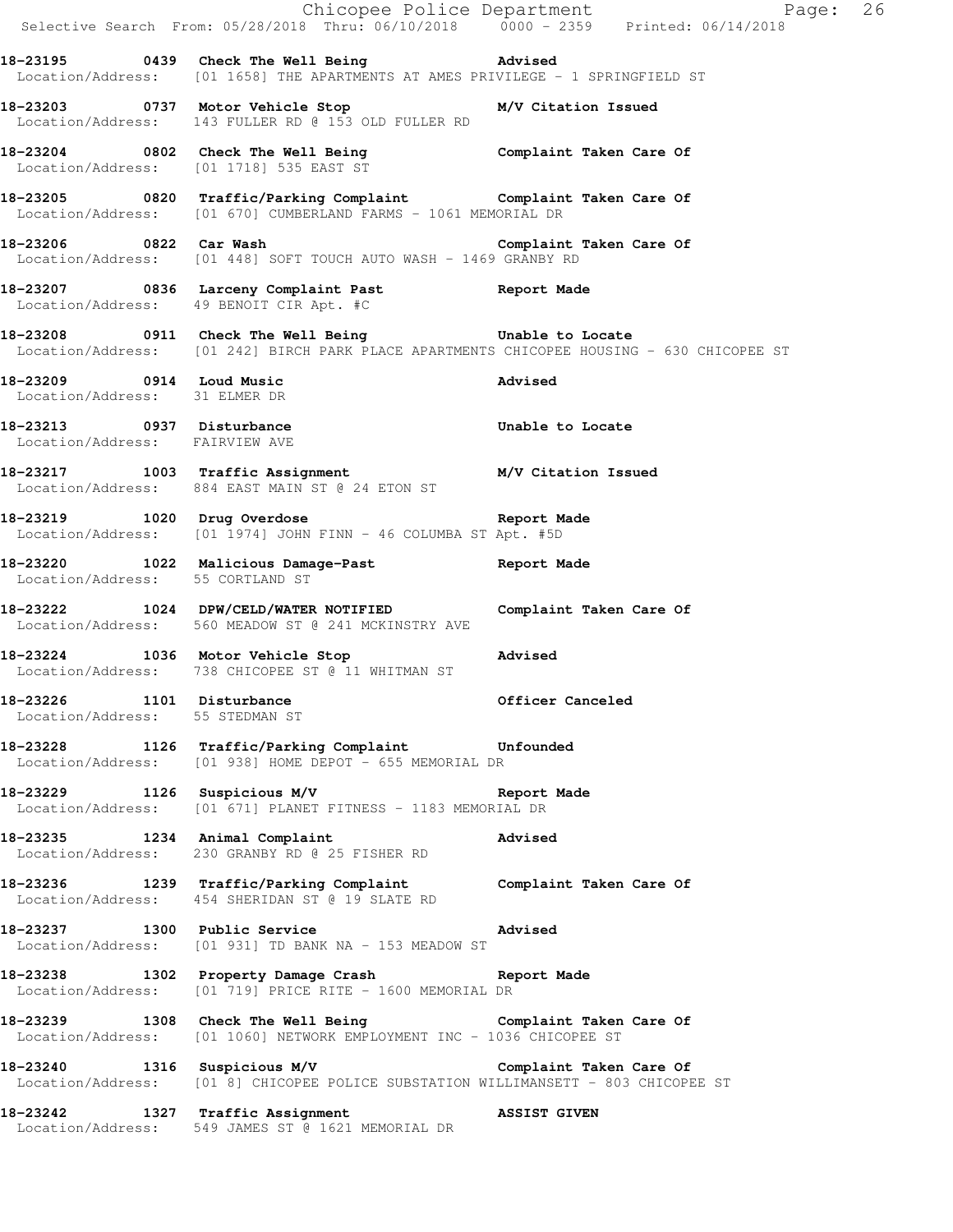|                                                              |                                                                                                                                                    | Chicopee Police Department<br>Selective Search From: 05/28/2018 Thru: 06/10/2018 0000 - 2359 Printed: 06/14/2018 |
|--------------------------------------------------------------|----------------------------------------------------------------------------------------------------------------------------------------------------|------------------------------------------------------------------------------------------------------------------|
|                                                              | 18-23195 0439 Check The Well Being Network and Madvised<br>Location/Address: [01 1658] THE APARTMENTS AT AMES PRIVILEGE - 1 SPRINGFIELD ST         |                                                                                                                  |
|                                                              | 18-23203 0737 Motor Vehicle Stop M/V Citation Issued<br>Location/Address: 143 FULLER RD @ 153 OLD FULLER RD                                        |                                                                                                                  |
|                                                              | 18-23204 0802 Check The Well Being Complaint Taken Care Of Location/Address: [01 1718] 535 EAST ST                                                 |                                                                                                                  |
|                                                              | 18-23205 0820 Traffic/Parking Complaint Complaint Taken Care Of Location/Address: [01 670] CUMBERLAND FARMS - 1061 MEMORIAL DR                     |                                                                                                                  |
|                                                              | 18-23206 		 0822 Car Wash 		 Complaint Taken Care Of<br>Location/Address: [01 448] SOFT TOUCH AUTO WASH - 1469 GRANBY RD                           |                                                                                                                  |
|                                                              | 18-23207 0836 Larceny Complaint Past Report Made<br>Location/Address: 49 BENOIT CIR Apt. #C                                                        |                                                                                                                  |
|                                                              | 18-23208 0911 Check The Well Being 5 Unable to Locate<br>Location/Address: [01 242] BIRCH PARK PLACE APARTMENTS CHICOPEE HOUSING - 630 CHICOPEE ST |                                                                                                                  |
| Location/Address: 31 ELMER DR                                | 18-23209 0914 Loud Music 2008 advised                                                                                                              |                                                                                                                  |
| Location/Address: FAIRVIEW AVE                               | 18-23213 0937 Disturbance <b>1998</b> Unable to Locate                                                                                             |                                                                                                                  |
|                                                              | 18-23217 1003 Traffic Assignment M/V Citation Issued<br>Location/Address: 884 EAST MAIN ST @ 24 ETON ST                                            |                                                                                                                  |
|                                                              | 18-23219 1020 Drug Overdose 10 Report Made<br>Location/Address: [01 1974] JOHN FINN - 46 COLUMBA ST Apt. #5D                                       |                                                                                                                  |
| Location/Address: 55 CORTLAND ST                             | 18-23220 1022 Malicious Damage-Past 18-23220                                                                                                       |                                                                                                                  |
|                                                              | 18-23222 1024 DPW/CELD/WATER NOTIFIED Complaint Taken Care Of<br>Location/Address: 560 MEADOW ST @ 241 MCKINSTRY AVE                               |                                                                                                                  |
|                                                              | 18-23224 1036 Motor Vehicle Stop<br>Location/Address: 738 CHICOPEE ST @ 11 WHITMAN ST                                                              | Advised                                                                                                          |
| 18-23226 1101 Disturbance<br>Location/Address: 55 STEDMAN ST |                                                                                                                                                    | Officer Canceled                                                                                                 |
|                                                              | 18-23228 1126 Traffic/Parking Complaint Unfounded<br>Location/Address: [01 938] HOME DEPOT - 655 MEMORIAL DR                                       |                                                                                                                  |
|                                                              | 18-23229 1126 Suspicious M/V 18-23229<br>Location/Address: [01 671] PLANET FITNESS - 1183 MEMORIAL DR                                              |                                                                                                                  |
|                                                              | 18-23235 1234 Animal Complaint 18-23235<br>Location/Address: 230 GRANBY RD @ 25 FISHER RD                                                          |                                                                                                                  |
|                                                              | 18-23236 1239 Traffic/Parking Complaint Complaint Taken Care Of<br>Location/Address: 454 SHERIDAN ST @ 19 SLATE RD                                 |                                                                                                                  |
|                                                              | 18-23237 1300 Public Service 2015 2015 Advised<br>Location/Address: [01 931] TD BANK NA - 153 MEADOW ST                                            |                                                                                                                  |
|                                                              | 18-23238 1302 Property Damage Crash Report Made<br>Location/Address: [01 719] PRICE RITE - 1600 MEMORIAL DR                                        |                                                                                                                  |
|                                                              | 18-23239 1308 Check The Well Being Complaint Taken Care Of<br>Location/Address: [01 1060] NETWORK EMPLOYMENT INC - 1036 CHICOPEE ST                |                                                                                                                  |
|                                                              | 18-23240 1316 Suspicious M/V Complaint Taken Care Of<br>Location/Address: [01 8] CHICOPEE POLICE SUBSTATION WILLIMANSETT - 803 CHICOPEE ST         |                                                                                                                  |
|                                                              | 18-23242 1327 Traffic Assignment ASSIST GIVEN Location/Address: 549 JAMES ST @ 1621 MEMORIAL DR                                                    |                                                                                                                  |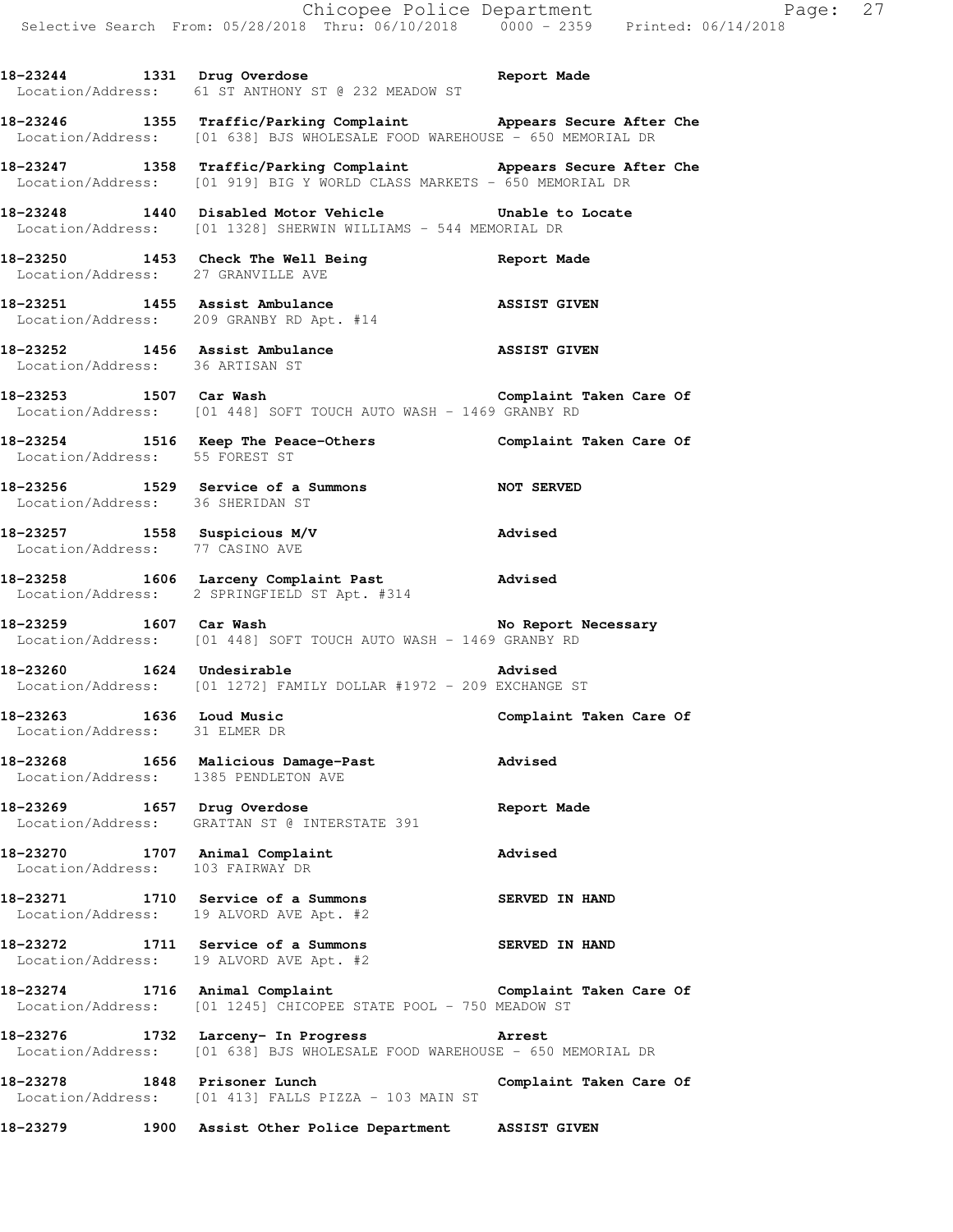**18-23246 1355 Traffic/Parking Complaint Appears Secure After Che**  Location/Address: [01 638] BJS WHOLESALE FOOD WAREHOUSE - 650 MEMORIAL DR **18-23247 1358 Traffic/Parking Complaint Appears Secure After Che**  Location/Address: [01 919] BIG Y WORLD CLASS MARKETS - 650 MEMORIAL DR **18-23248 1440 Disabled Motor Vehicle Unable to Locate**  Location/Address: [01 1328] SHERWIN WILLIAMS - 544 MEMORIAL DR **18-23250 1453 Check The Well Being Report Made**  Location/Address: 27 GRANVILLE AVE **18-23251 1455 Assist Ambulance ASSIST GIVEN**  Location/Address: 209 GRANBY RD Apt. #14 **18-23252 1456 Assist Ambulance ASSIST GIVEN**  Location/Address: 36 ARTISAN ST **18-23253 1507 Car Wash Complaint Taken Care Of**  Location/Address: [01 448] SOFT TOUCH AUTO WASH - 1469 GRANBY RD **18-23254 1516 Keep The Peace-Others Complaint Taken Care Of**  Location/Address: 55 FOREST ST **18-23256 1529 Service of a Summons NOT SERVED**  Location/Address: 36 SHERIDAN ST **18-23257 1558 Suspicious M/V Advised**  Location/Address: 77 CASINO AVE **18-23258 1606 Larceny Complaint Past Advised**  Location/Address: 2 SPRINGFIELD ST Apt. #314 18-23259 1607 Car Wash **No Report Necessary**  Location/Address: [01 448] SOFT TOUCH AUTO WASH - 1469 GRANBY RD **18-23260 1624 Undesirable Advised**  Location/Address: [01 1272] FAMILY DOLLAR #1972 - 209 EXCHANGE ST **18-23263 1636 Loud Music Complaint Taken Care Of**  Location/Address: 31 ELMER DR **18-23268 1656 Malicious Damage-Past Advised**  Location/Address: 1385 PENDLETON AVE **18-23269 1657 Drug Overdose Report Made**  Location/Address: GRATTAN ST @ INTERSTATE 391 **18-23270 1707 Animal Complaint Advised**  Location/Address: 103 FAIRWAY DR **18-23271 1710 Service of a Summons SERVED IN HAND**  Location/Address: 19 ALVORD AVE Apt. #2 **18-23272 1711 Service of a Summons SERVED IN HAND**  Location/Address: 19 ALVORD AVE Apt. #2

**18-23244 1331 Drug Overdose Report Made** 

Location/Address: 61 ST ANTHONY ST @ 232 MEADOW ST

**18-23274 1716 Animal Complaint Complaint Taken Care Of**  Location/Address: [01 1245] CHICOPEE STATE POOL - 750 MEADOW ST

**18-23276 1732 Larceny- In Progress Arrest**  Location/Address: [01 638] BJS WHOLESALE FOOD WAREHOUSE - 650 MEMORIAL DR

**18-23278 1848 Prisoner Lunch Complaint Taken Care Of**  Location/Address: [01 413] FALLS PIZZA - 103 MAIN ST

**18-23279 1900 Assist Other Police Department ASSIST GIVEN**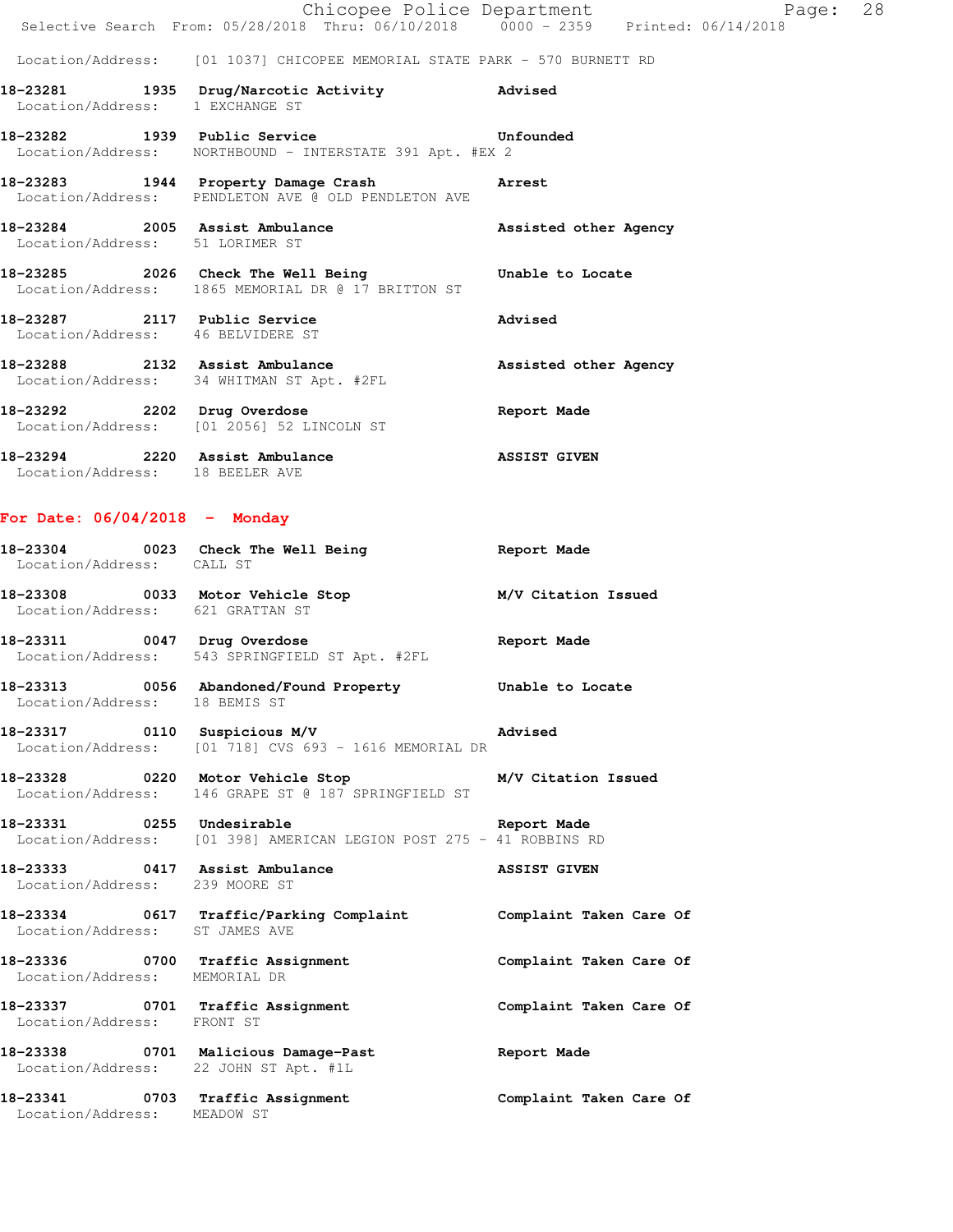|                                                                                                             |  | Chicopee Police Department<br>Selective Search From: 05/28/2018 Thru: 06/10/2018 0000 - 2359 Printed: 06/14/2018 | Page: 28 |  |
|-------------------------------------------------------------------------------------------------------------|--|------------------------------------------------------------------------------------------------------------------|----------|--|
|                                                                                                             |  | Location/Address: [01 1037] CHICOPEE MEMORIAL STATE PARK - 570 BURNETT RD                                        |          |  |
| 18-23281 1935 Drug/Narcotic Activity 6 Advised<br>Location/Address: 1 EXCHANGE ST                           |  |                                                                                                                  |          |  |
| 18-23282 1939 Public Service Contract Unfounded<br>Location/Address: NORTHBOUND - INTERSTATE 391 Apt. #EX 2 |  |                                                                                                                  |          |  |
| 18-23283 1944 Property Damage Crash Marrest<br>Location/Address: PENDLETON AVE @ OLD PENDLETON AVE          |  |                                                                                                                  |          |  |
| Location/Address: 51 LORIMER ST                                                                             |  | 18-23284 2005 Assist Ambulance Massisted other Agency                                                            |          |  |
| Location/Address: 1865 MEMORIAL DR @ 17 BRITTON ST                                                          |  | 18-23285 2026 Check The Well Being 30 Unable to Locate                                                           |          |  |
| 18-23287 2117 Public Service<br>Location/Address: 46 BELVIDERE ST                                           |  | Advised                                                                                                          |          |  |
| 18-23288 2132 Assist Ambulance<br>Location/Address: 34 WHITMAN ST Apt. #2FL                                 |  | Assisted other Agency                                                                                            |          |  |
| 18-23292 2202 Drug Overdose<br>Location/Address: [01 2056] 52 LINCOLN ST                                    |  | Report Made                                                                                                      |          |  |
| 18-23294 2220 Assist Ambulance<br>Location/Address: 18 BEELER AVE                                           |  | <b>ASSIST GIVEN</b>                                                                                              |          |  |

## **For Date: 06/04/2018 - Monday**

| Location/Address: CALL ST             | 18-23304 0023 Check The Well Being The Report Made                                                                  |                         |
|---------------------------------------|---------------------------------------------------------------------------------------------------------------------|-------------------------|
| Location/Address: 621 GRATTAN ST      | 18-23308 0033 Motor Vehicle Stop M/V Citation Issued                                                                |                         |
|                                       | 18-23311 0047 Drug Overdose 1988 and Report Made<br>Location/Address: 543 SPRINGFIELD ST Apt. #2FL                  |                         |
| Location/Address: 18 BEMIS ST         | 18-23313 0056 Abandoned/Found Property Unable to Locate                                                             |                         |
|                                       | 18-23317 0110 Suspicious M/V advised<br>Location/Address: [01 718] CVS 693 - 1616 MEMORIAL DR                       |                         |
|                                       | 18-23328 			 0220 Motor Vehicle Stop 			 M/V Citation Issued<br>Location/Address: 146 GRAPE ST @ 187 SPRINGFIELD ST |                         |
|                                       | 18-23331 0255 Undesirable 20 Report Made<br>Location/Address: [01 398] AMERICAN LEGION POST 275 - 41 ROBBINS RD     |                         |
| Location/Address: 239 MOORE ST        | 18-23333 0417 Assist Ambulance ASSIST GIVEN                                                                         |                         |
| Location/Address: ST JAMES AVE        | 18-23334 0617 Traffic/Parking Complaint Complaint Taken Care Of                                                     |                         |
| Location/Address: MEMORIAL DR         | 18-23336 0700 Traffic Assignment <b>18-23336</b> Complaint Taken Care Of                                            |                         |
| Location/Address: FRONT ST            | 18-23337 0701 Traffic Assignment                                                                                    | Complaint Taken Care Of |
| Location/Address: 22 JOHN ST Apt. #1L | 18-23338 0701 Malicious Damage-Past 1997 Report Made                                                                |                         |
| Location/Address: MEADOW ST           | 18-23341 0703 Traffic Assignment                                                                                    | Complaint Taken Care Of |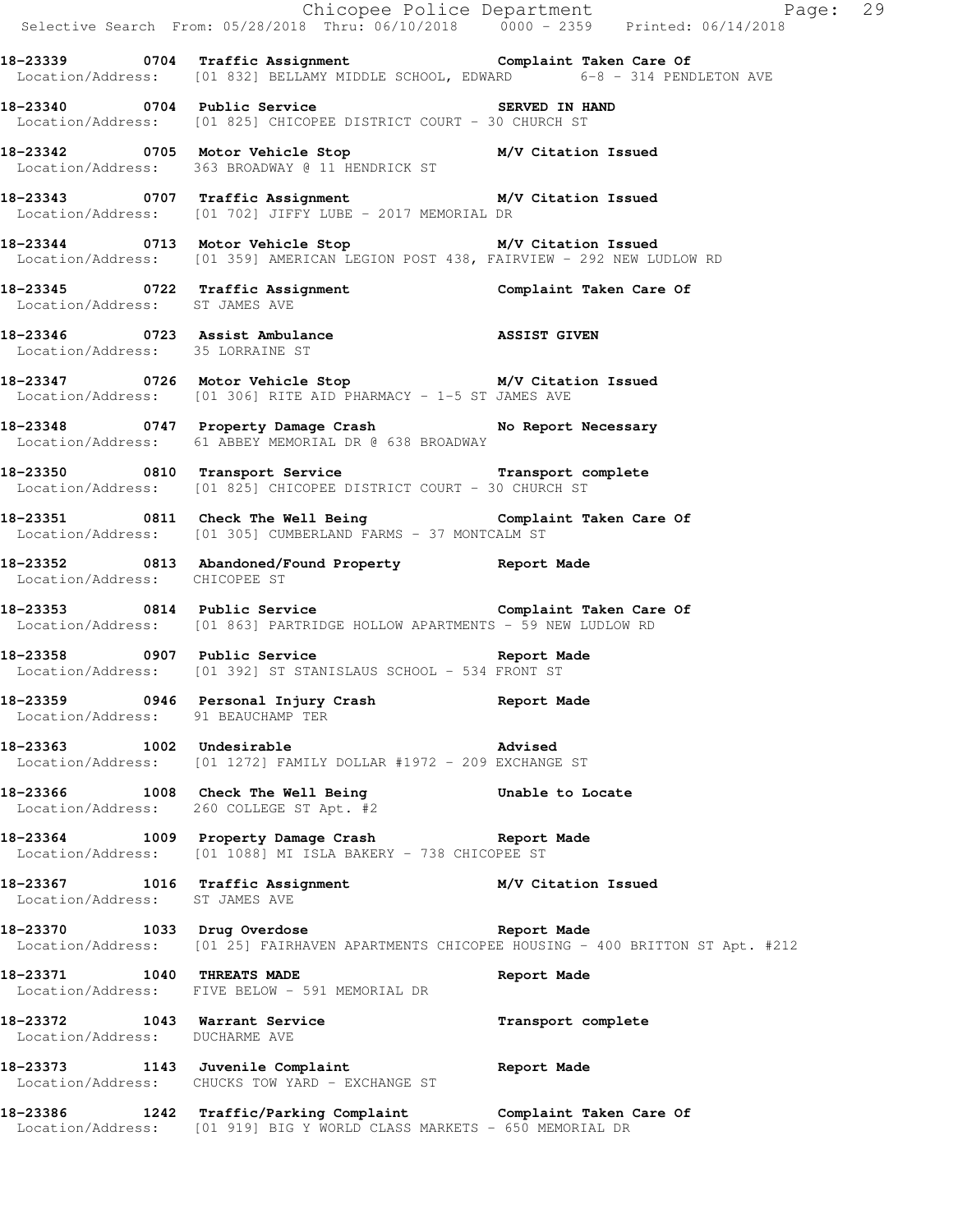|                                    |                                                                                                                                                  | Chicopee Police Department<br>Selective Search From: 05/28/2018 Thru: 06/10/2018 0000 - 2359 Printed: 06/14/2018 |
|------------------------------------|--------------------------------------------------------------------------------------------------------------------------------------------------|------------------------------------------------------------------------------------------------------------------|
|                                    | 18-23339 0704 Traffic Assignment<br>Location/Address: [01 832] BELLAMY MIDDLE SCHOOL, EDWARD 6-8 - 314 PENDLETON AVE                             |                                                                                                                  |
|                                    | 18-23340 0704 Public Service Contract CONTERT SERVED IN HAND<br>Location/Address: [01 825] CHICOPEE DISTRICT COURT - 30 CHURCH ST                |                                                                                                                  |
|                                    | 18-23342 0705 Motor Vehicle Stop M/V Citation Issued<br>Location/Address: 363 BROADWAY @ 11 HENDRICK ST                                          |                                                                                                                  |
|                                    | 18-23343 0707 Traffic Assignment M/V Citation Issued<br>Location/Address: [01 702] JIFFY LUBE - 2017 MEMORIAL DR                                 |                                                                                                                  |
|                                    | 18-23344 0713 Motor Vehicle Stop M/V Citation Issued<br>Location/Address: [01 359] AMERICAN LEGION POST 438, FAIRVIEW - 292 NEW LUDLOW RD        |                                                                                                                  |
|                                    | 18-23345   0722   Traffic Assignment   Complaint Taken Care Of Location/Address: ST JAMES AVE                                                    |                                                                                                                  |
| Location/Address: 35 LORRAINE ST   | 18-23346 0723 Assist Ambulance 18-23346 MISSIST GIVEN                                                                                            |                                                                                                                  |
|                                    | 18-23347 0726 Motor Vehicle Stop M/V Citation Issued<br>Location/Address: [01 306] RITE AID PHARMACY - 1-5 ST JAMES AVE                          |                                                                                                                  |
|                                    | 18-23348 0747 Property Damage Crash No Report Necessary<br>Location/Address: 61 ABBEY MEMORIAL DR @ 638 BROADWAY                                 |                                                                                                                  |
|                                    | 18-23350 0810 Transport Service <b>18-23350</b> Transport complete<br>Location/Address: [01 825] CHICOPEE DISTRICT COURT - 30 CHURCH ST          |                                                                                                                  |
|                                    | 18-23351 0811 Check The Well Being <b>18-23351</b> Complaint Taken Care Of<br>Location/Address: [01 305] CUMBERLAND FARMS - 37 MONTCALM ST       |                                                                                                                  |
| Location/Address: CHICOPEE ST      | 18-23352 0813 Abandoned/Found Property Report Made                                                                                               |                                                                                                                  |
|                                    | -<br>18-23353 1814 Public Service 1986 1997 Complaint Taken Care Of<br>Location/Address: [01 863] PARTRIDGE HOLLOW APARTMENTS - 59 NEW LUDLOW RD |                                                                                                                  |
|                                    | <b>18-23358 0907 Public Service Report Made</b><br>Location/Address: [01 392] ST STANISLAUS SCHOOL - 534 FRONT ST                                |                                                                                                                  |
| Location/Address: 91 BEAUCHAMP TER | 18-23359 0946 Personal Injury Crash 18-23359                                                                                                     |                                                                                                                  |
| 18-23363 1002 Undesirable          | <b>Advised</b><br>Location/Address: [01 1272] FAMILY DOLLAR #1972 - 209 EXCHANGE ST                                                              |                                                                                                                  |
|                                    | 18-23366 1008 Check The Well Being 5 Unable to Locate Location/Address: 260 COLLEGE ST Apt. #2                                                   |                                                                                                                  |
|                                    | 18-23364 1009 Property Damage Crash Neport Made<br>Location/Address: [01 1088] MI ISLA BAKERY - 738 CHICOPEE ST                                  |                                                                                                                  |
| Location/Address: ST JAMES AVE     | 18-23367 1016 Traffic Assignment M/V Citation Issued                                                                                             |                                                                                                                  |
|                                    | 18-23370 1033 Drug Overdose 1988 (Report Made                                                                                                    | Location/Address: [01 25] FAIRHAVEN APARTMENTS CHICOPEE HOUSING - 400 BRITTON ST Apt. #212                       |
| 18-23371 1040 THREATS MADE         | Location/Address: FIVE BELOW - 591 MEMORIAL DR                                                                                                   | Report Made                                                                                                      |
| Location/Address: DUCHARME AVE     | 18-23372 1043 Warrant Service 1988 Transport complete                                                                                            |                                                                                                                  |
|                                    | 18-23373 1143 Juvenile Complaint 18-23373<br>Location/Address: CHUCKS TOW YARD - EXCHANGE ST                                                     |                                                                                                                  |
|                                    | 18-23386 1242 Traffic/Parking Complaint Complaint Taken Care Of Location/Address: [01 919] BIG Y WORLD CLASS MARKETS - 650 MEMORIAL DR           |                                                                                                                  |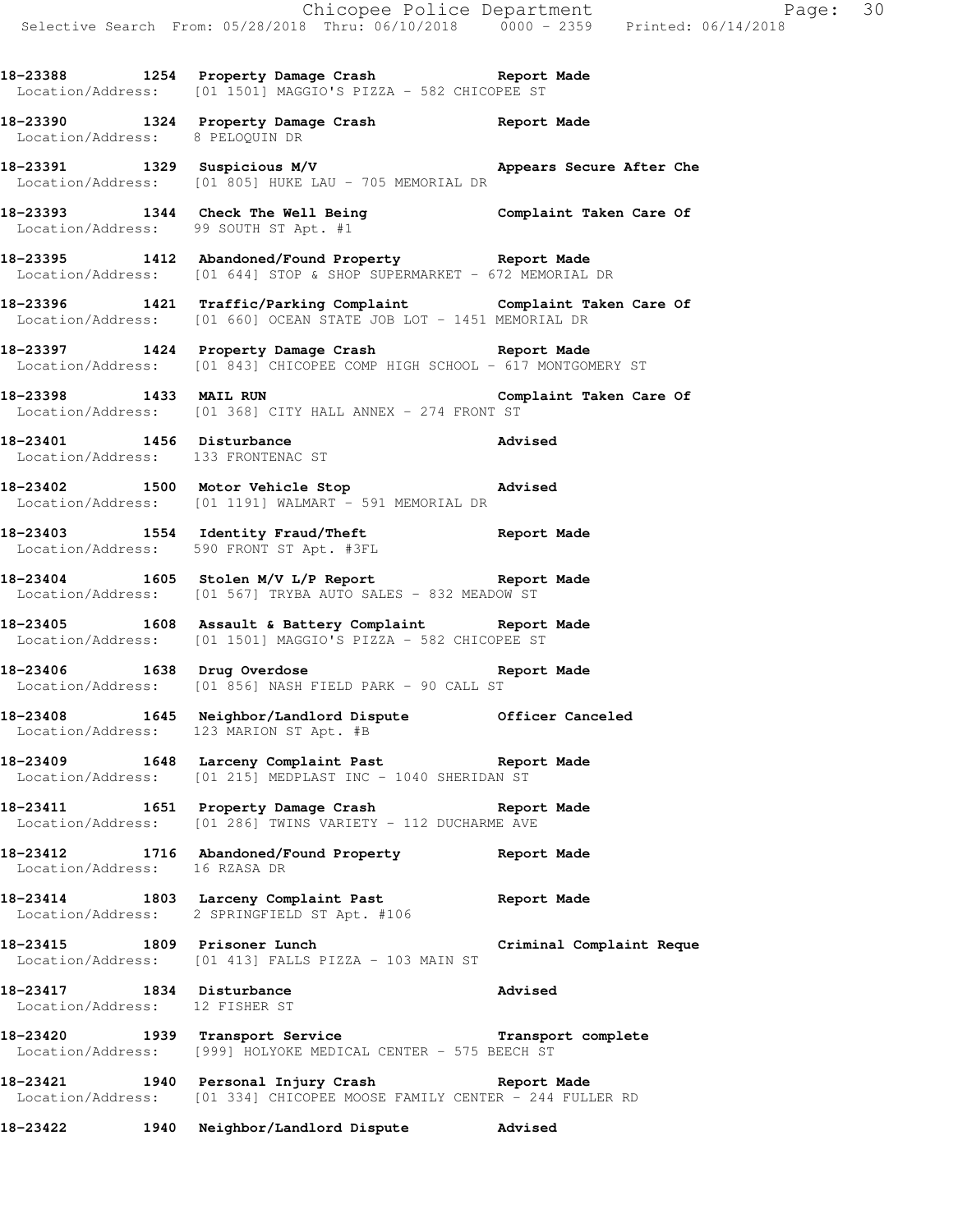**18-23388 1254 Property Damage Crash Report Made**  Location/Address: [01 1501] MAGGIO'S PIZZA - 582 CHICOPEE ST

**18-23390 1324 Property Damage Crash Report Made**  Location/Address: 8 PELOQUIN DR

**18-23391 1329 Suspicious M/V Appears Secure After Che**  Location/Address: [01 805] HUKE LAU - 705 MEMORIAL DR

**18-23393 1344 Check The Well Being Complaint Taken Care Of**  Location/Address: 99 SOUTH ST Apt. #1

**18-23395 1412 Abandoned/Found Property Report Made**  Location/Address: [01 644] STOP & SHOP SUPERMARKET - 672 MEMORIAL DR

**18-23396 1421 Traffic/Parking Complaint Complaint Taken Care Of**  Location/Address: [01 660] OCEAN STATE JOB LOT - 1451 MEMORIAL DR

**18-23397 1424 Property Damage Crash Report Made**  Location/Address: [01 843] CHICOPEE COMP HIGH SCHOOL - 617 MONTGOMERY ST

**18-23398 1433 MAIL RUN Complaint Taken Care Of**  Location/Address: [01 368] CITY HALL ANNEX - 274 FRONT ST

**18-23401 1456 Disturbance Advised**  Location/Address: 133 FRONTENAC ST

**18-23402 1500 Motor Vehicle Stop Advised**  Location/Address: [01 1191] WALMART - 591 MEMORIAL DR

**18-23403 1554 Identity Fraud/Theft Report Made**  Location/Address: 590 FRONT ST Apt. #3FL

**18-23404 1605 Stolen M/V L/P Report Report Made**  Location/Address: [01 567] TRYBA AUTO SALES - 832 MEADOW ST

**18-23405 1608 Assault & Battery Complaint Report Made**  Location/Address: [01 1501] MAGGIO'S PIZZA - 582 CHICOPEE ST

**18-23406 1638 Drug Overdose Report Made**  Location/Address: [01 856] NASH FIELD PARK - 90 CALL ST

**18-23408 1645 Neighbor/Landlord Dispute Officer Canceled**  Location/Address: 123 MARION ST Apt. #B

**18-23409 1648 Larceny Complaint Past Report Made**  Location/Address: [01 215] MEDPLAST INC - 1040 SHERIDAN ST

**18-23411 1651 Property Damage Crash Report Made**  Location/Address: [01 286] TWINS VARIETY - 112 DUCHARME AVE

**18-23412 1716 Abandoned/Found Property Report Made**  Location/Address: 16 RZASA DR

**18-23414 1803 Larceny Complaint Past Report Made**  Location/Address: 2 SPRINGFIELD ST Apt. #106

**18-23415 1809 Prisoner Lunch Criminal Complaint Reque**  Location/Address: [01 413] FALLS PIZZA - 103 MAIN ST

**18-23417 1834 Disturbance Advised**  Location/Address: 12 FISHER ST

**18-23420 1939 Transport Service Transport complete**  Location/Address: [999] HOLYOKE MEDICAL CENTER - 575 BEECH ST

**18-23421 1940 Personal Injury Crash Report Made**  Location/Address: [01 334] CHICOPEE MOOSE FAMILY CENTER - 244 FULLER RD

**18-23422 1940 Neighbor/Landlord Dispute Advised**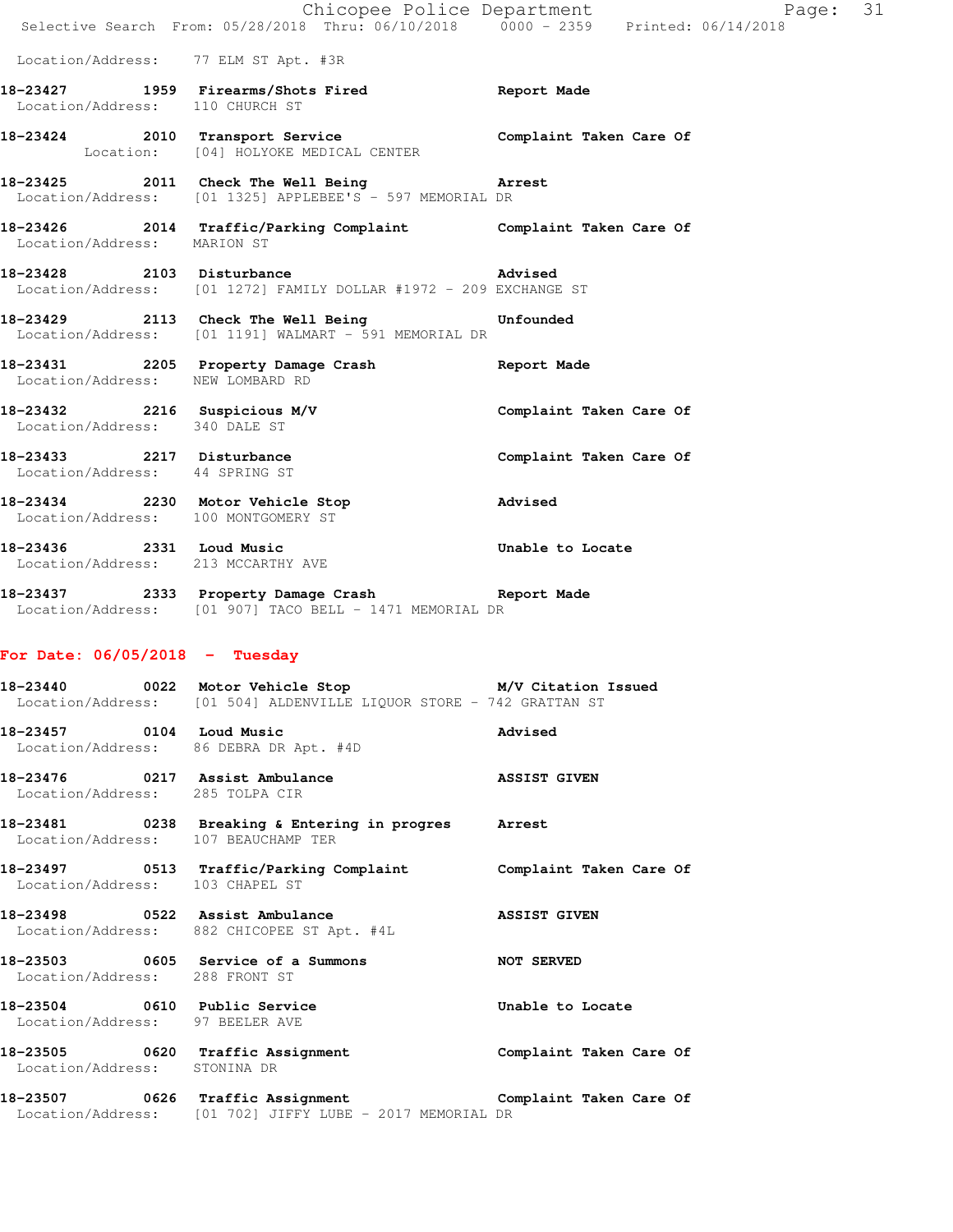|                                                                 | Chicopee Police Department                                                                                 |                         |
|-----------------------------------------------------------------|------------------------------------------------------------------------------------------------------------|-------------------------|
|                                                                 | Selective Search From: 05/28/2018 Thru: 06/10/2018 0000 - 2359 Printed: 06/14/2018                         |                         |
|                                                                 | Location/Address: 77 ELM ST Apt. #3R                                                                       |                         |
|                                                                 | 18-23427 1959 Firearms/Shots Fired Report Made<br>Location/Address: 110 CHURCH ST                          |                         |
|                                                                 | 18-23424 2010 Transport Service<br>Location: [04] HOLYOKE MEDICAL CENTER                                   | Complaint Taken Care Of |
|                                                                 | 18-23425 2011 Check The Well Being<br>Location/Address: [01 1325] APPLEBEE'S - 597 MEMORIAL DR             | <b>Arrest</b>           |
|                                                                 | 18-23426 2014 Traffic/Parking Complaint Complaint Taken Care Of Location/Address: MARION ST                |                         |
|                                                                 | 18-23428 2103 Disturbance Advised<br>Location/Address: [01 1272] FAMILY DOLLAR #1972 - 209 EXCHANGE ST     |                         |
|                                                                 | 18-23429 2113 Check The Well Being Confounded<br>Location/Address: [01 1191] WALMART - 591 MEMORIAL DR     |                         |
| Location/Address: NEW LOMBARD RD                                | 18-23431 2205 Property Damage Crash Report Made                                                            |                         |
| Location/Address: 340 DALE ST                                   | 18-23432 2216 Suspicious M/V                                                                               | Complaint Taken Care Of |
| Location/Address: 44 SPRING ST                                  | 18-23433 2217 Disturbance                                                                                  | Complaint Taken Care Of |
|                                                                 | 18-23434 2230 Motor Vehicle Stop<br><b>Advised</b><br>Location/Address: 100 MONTGOMERY ST                  |                         |
|                                                                 | 18-23436 2331 Loud Music<br>Location/Address: 213 MCCARTHY AVE                                             | Unable to Locate        |
|                                                                 | 18-23437 2333 Property Damage Crash Report Made<br>Location/Address: [01 907] TACO BELL - 1471 MEMORIAL DR |                         |
| For Date: $06/05/2018$ - Tuesday                                |                                                                                                            |                         |
|                                                                 | Location/Address: [01 504] ALDENVILLE LIQUOR STORE - 742 GRATTAN ST                                        |                         |
| 18-23457 0104 Loud Music                                        | Location/Address: 86 DEBRA DR Apt. #4D                                                                     | Advised                 |
| Location/Address: 285 TOLPA CIR                                 | 18-23476 0217 Assist Ambulance                                                                             | <b>ASSIST GIVEN</b>     |
|                                                                 | 18-23481 0238 Breaking & Entering in progres Arrest<br>Location/Address: 107 BEAUCHAMP TER                 |                         |
| Location/Address: 103 CHAPEL ST                                 | 18-23497 		 0513 Traffic/Parking Complaint 		 Complaint Taken Care Of                                      |                         |
|                                                                 | 18-23498 0522 Assist Ambulance<br>Location/Address: 882 CHICOPEE ST Apt. #4L                               | <b>ASSIST GIVEN</b>     |
| Location/Address: 288 FRONT ST                                  | 18-23503 0605 Service of a Summons<br>NOT SERVED                                                           |                         |
| 18-23504 0610 Public Service<br>Location/Address: 97 BEELER AVE |                                                                                                            | Unable to Locate        |
| Location/Address: STONINA DR                                    | 18-23505 0620 Traffic Assignment Complaint Taken Care Of                                                   |                         |
|                                                                 |                                                                                                            |                         |

**18-23507 0626 Traffic Assignment Complaint Taken Care Of**  Location/Address: [01 702] JIFFY LUBE - 2017 MEMORIAL DR

Page:  $31$ <br>14/2018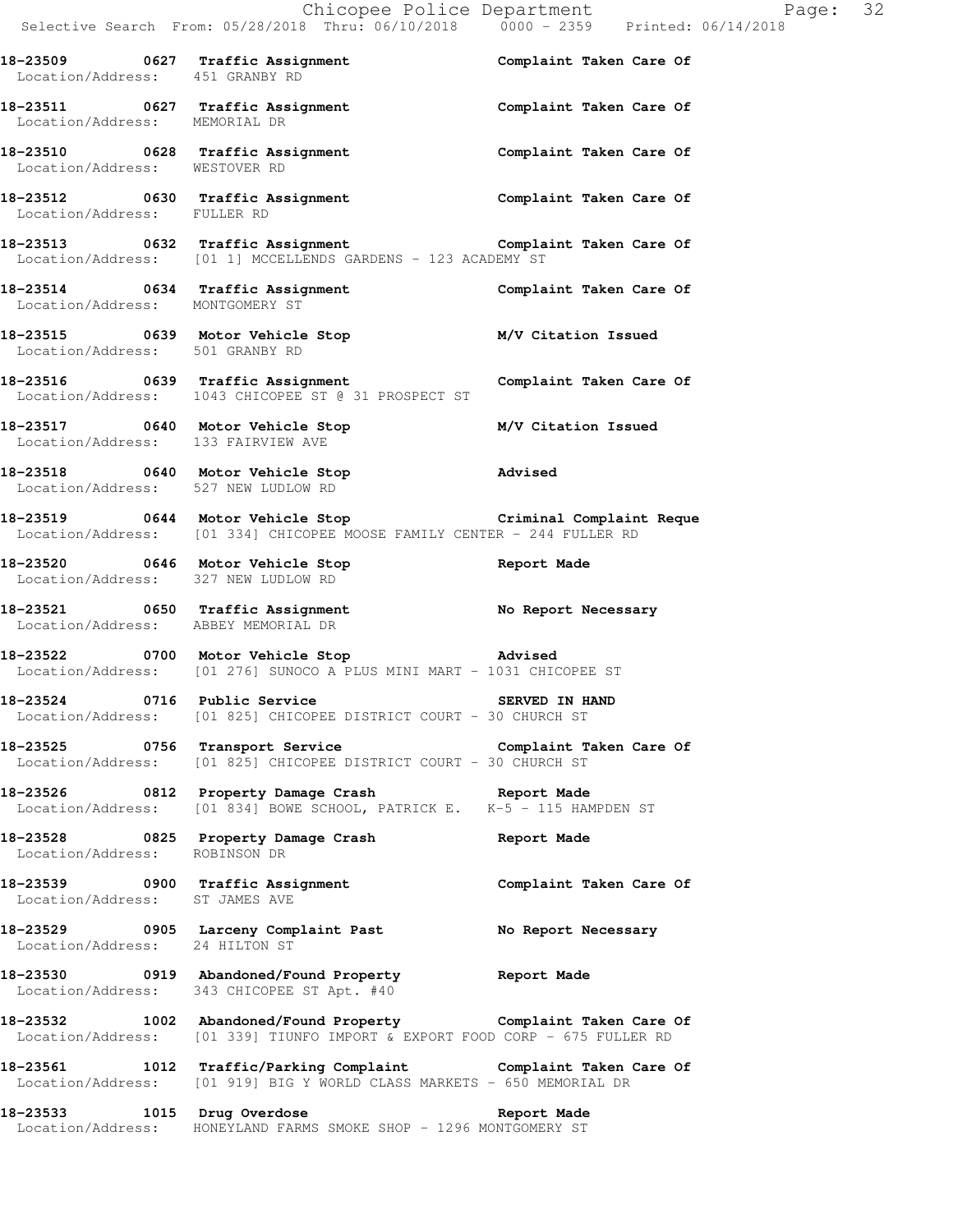|                                     |                                                                                                                                               | E<br>Chicopee Police Department<br>Selective Search From: 05/28/2018 Thru: 06/10/2018 0000 - 2359 Printed: 06/14/2018 | Page: 32 |
|-------------------------------------|-----------------------------------------------------------------------------------------------------------------------------------------------|-----------------------------------------------------------------------------------------------------------------------|----------|
|                                     |                                                                                                                                               |                                                                                                                       |          |
|                                     | 18-23509 0627 Traffic Assignment Complaint Taken Care Of Location/Address: 451 GRANBY RD                                                      |                                                                                                                       |          |
| Location/Address: MEMORIAL DR       | 18-23511 0627 Traffic Assignment Complaint Taken Care Of                                                                                      |                                                                                                                       |          |
|                                     | 18-23510 0628 Traffic Assignment Complaint Taken Care Of Location/Address: WESTOVER RD                                                        |                                                                                                                       |          |
|                                     | 18-23512 0630 Traffic Assignment Complaint Taken Care Of Location/Address: FULLER RD                                                          |                                                                                                                       |          |
|                                     | 18-23513 0632 Traffic Assignment<br>Location/Address: [01 1] MCCELLENDS GARDENS - 123 ACADEMY ST                                              |                                                                                                                       |          |
| Location/Address: MONTGOMERY ST     | 18-23514 0634 Traffic Assignment Complaint Taken Care Of                                                                                      |                                                                                                                       |          |
| Location/Address: 501 GRANBY RD     | 18-23515 0639 Motor Vehicle Stop M/V Citation Issued                                                                                          |                                                                                                                       |          |
|                                     | 18-23516 0639 Traffic Assignment Complaint Taken Care Of<br>Location/Address: 1043 CHICOPEE ST @ 31 PROSPECT ST                               |                                                                                                                       |          |
|                                     | 18-23517 0640 Motor Vehicle Stop M/V Citation Issued<br>Location/Address: 133 FAIRVIEW AVE                                                    |                                                                                                                       |          |
| Location/Address: 527 NEW LUDLOW RD | 18-23518 0640 Motor Vehicle Stop 30 Movised                                                                                                   |                                                                                                                       |          |
|                                     | 18-23519 0644 Motor Vehicle Stop Criminal Complaint Reque<br>Location/Address: [01 334] CHICOPEE MOOSE FAMILY CENTER - 244 FULLER RD          |                                                                                                                       |          |
| Location/Address: 327 NEW LUDLOW RD | 18-23520 0646 Motor Vehicle Stop Contract Report Made                                                                                         |                                                                                                                       |          |
|                                     | 18-23521 0650 Traffic Assignment No Report Necessary<br>Location/Address: ABBEY MEMORIAL DR                                                   |                                                                                                                       |          |
|                                     | 18-23522 0700 Motor Vehicle Stop Modused<br>Location/Address: [01 276] SUNOCO A PLUS MINI MART - 1031 CHICOPEE ST                             |                                                                                                                       |          |
|                                     | 18-23524 0716 Public Service 6 SERVED IN HAND<br>Location/Address: [01 825] CHICOPEE DISTRICT COURT - 30 CHURCH ST                            |                                                                                                                       |          |
|                                     | 18-23525 0756 Transport Service Complaint Taken Care Of<br>Location/Address: [01 825] CHICOPEE DISTRICT COURT - 30 CHURCH ST                  |                                                                                                                       |          |
|                                     | 18-23526 0812 Property Damage Crash Report Made<br>Location/Address: [01 834] BOWE SCHOOL, PATRICK E. K-5 - 115 HAMPDEN ST                    |                                                                                                                       |          |
| Location/Address: ROBINSON DR       | 18-23528 0825 Property Damage Crash Report Made                                                                                               |                                                                                                                       |          |
| Location/Address: ST JAMES AVE      | 18-23539 0900 Traffic Assignment Complaint Taken Care Of                                                                                      |                                                                                                                       |          |
| Location/Address: 24 HILTON ST      | 18-23529 0905 Larceny Complaint Past No Report Necessary                                                                                      |                                                                                                                       |          |
|                                     | 18-23530 0919 Abandoned/Found Property Report Made<br>Location/Address: 343 CHICOPEE ST Apt. #40                                              |                                                                                                                       |          |
|                                     | 18-23532 1002 Abandoned/Found Property Complaint Taken Care Of<br>Location/Address: [01 339] TIUNFO IMPORT & EXPORT FOOD CORP - 675 FULLER RD |                                                                                                                       |          |
|                                     | 18-23561 1012 Traffic/Parking Complaint Complaint Taken Care Of<br>Location/Address: [01 919] BIG Y WORLD CLASS MARKETS - 650 MEMORIAL DR     |                                                                                                                       |          |
|                                     | 18-23533 1015 Drug Overdose 100 Report Made<br>Location/Address: HONEYLAND FARMS SMOKE SHOP - 1296 MONTGOMERY ST                              |                                                                                                                       |          |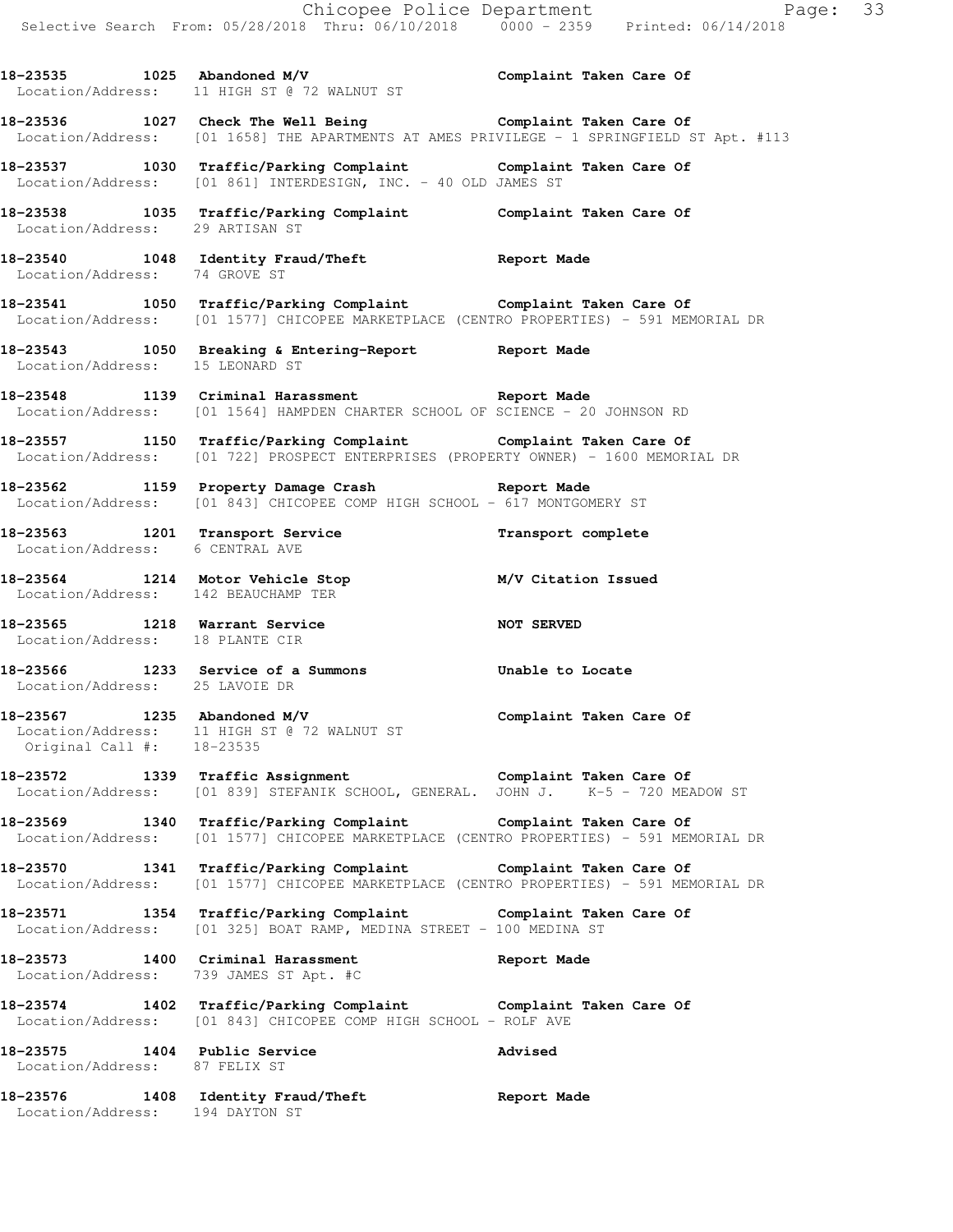|                                                                  | Selective Search From: 05/28/2018 Thru: 06/10/2018 0000 - 2359 Printed: 06/14/2018                                                                                          | Chicopee Police Department Page: 33 |
|------------------------------------------------------------------|-----------------------------------------------------------------------------------------------------------------------------------------------------------------------------|-------------------------------------|
|                                                                  | 18-23535 1025 Abandoned M/V<br>Location/Address: 11 HIGH ST @ 72 WALNUT ST                                                                                                  | Complaint Taken Care Of             |
|                                                                  | 18-23536 1027 Check The Well Being Complaint Taken Care Of<br>Location/Address: [01 1658] THE APARTMENTS AT AMES PRIVILEGE - 1 SPRINGFIELD ST Apt. #113                     |                                     |
|                                                                  | 18-23537 1030 Traffic/Parking Complaint Complaint Taken Care Of Location/Address: [01 861] INTERDESIGN, INC. - 40 OLD JAMES ST                                              |                                     |
| Location/Address: 29 ARTISAN ST                                  | 18-23538 1035 Traffic/Parking Complaint Complaint Taken Care Of                                                                                                             |                                     |
| Location/Address: 74 GROVE ST                                    | 18-23540 1048 Identity Fraud/Theft 18-23540                                                                                                                                 |                                     |
|                                                                  | 18-23541 1050 Traffic/Parking Complaint Complaint Taken Care Of<br>Location/Address: [01 1577] CHICOPEE MARKETPLACE (CENTRO PROPERTIES) - 591 MEMORIAL DR                   |                                     |
| Location/Address: 15 LEONARD ST                                  | 18-23543 1050 Breaking & Entering-Report Neport Made                                                                                                                        |                                     |
|                                                                  | 18-23548 1139 Criminal Harassment Report Made<br>Location/Address: [01 1564] HAMPDEN CHARTER SCHOOL OF SCIENCE - 20 JOHNSON RD                                              |                                     |
|                                                                  | 18-23557 1150 Traffic/Parking Complaint Complaint Taken Care Of Concation/Address: [01 722] PROSPECT ENTERPRISES (PROPERTY OWNER) - 1600 MEMORIAL DR                        |                                     |
|                                                                  | 18-23562 1159 Property Damage Crash Report Made<br>Location/Address: [01 843] CHICOPEE COMP HIGH SCHOOL - 617 MONTGOMERY ST                                                 |                                     |
| Location/Address: 6 CENTRAL AVE                                  | 18-23563 1201 Transport Service <b>18-23563</b> Transport complete                                                                                                          |                                     |
| Location/Address: 142 BEAUCHAMP TER                              | 18-23564 1214 Motor Vehicle Stop M/V Citation Issued                                                                                                                        |                                     |
| 18-23565 1218 Warrant Service<br>Location/Address: 18 PLANTE CIR | NOT SERVED                                                                                                                                                                  |                                     |
| Location/Address: 25 LAVOIE DR                                   | 18-23566 1233 Service of a Summons Unable to Locate                                                                                                                         |                                     |
| 18-23567 1235 Abandoned M/V<br>Original Call #: 18-23535         | Location/Address: 11 HIGH ST @ 72 WALNUT ST                                                                                                                                 | Complaint Taken Care Of             |
|                                                                  | 18-23572 1339 Traffic Assignment Complaint Taken Care Of Complaint Complaint Taken Care Of Location/Address: [01 839] STEFANIK SCHOOL, GENERAL. JOHN J. K-5 - 720 MEADOW ST |                                     |
|                                                                  | 18-23569 1340 Traffic/Parking Complaint Complaint Taken Care Of<br>Location/Address: [01 1577] CHICOPEE MARKETPLACE (CENTRO PROPERTIES) - 591 MEMORIAL DR                   |                                     |
|                                                                  | 18-23570 1341 Traffic/Parking Complaint the Complaint Taken Care Of<br>Location/Address: [01 1577] CHICOPEE MARKETPLACE (CENTRO PROPERTIES) - 591 MEMORIAL DR               |                                     |
|                                                                  | 18-23571 1354 Traffic/Parking Complaint Complaint Taken Care Of<br>Location/Address: [01 325] BOAT RAMP, MEDINA STREET - 100 MEDINA ST                                      |                                     |
| Location/Address: 739 JAMES ST Apt. #C                           | 18-23573 1400 Criminal Harassment 18-23573 Report Made                                                                                                                      |                                     |
|                                                                  | 18-23574 1402 Traffic/Parking Complaint Complaint Taken Care Of<br>Location/Address: [01 843] CHICOPEE COMP HIGH SCHOOL - ROLF AVE                                          |                                     |
| Location/Address: 87 FELIX ST                                    | 18-23575 1404 Public Service                                                                                                                                                | Advised                             |
| Location/Address: 194 DAYTON ST                                  | 18-23576 1408 Identity Fraud/Theft                                                                                                                                          | Report Made                         |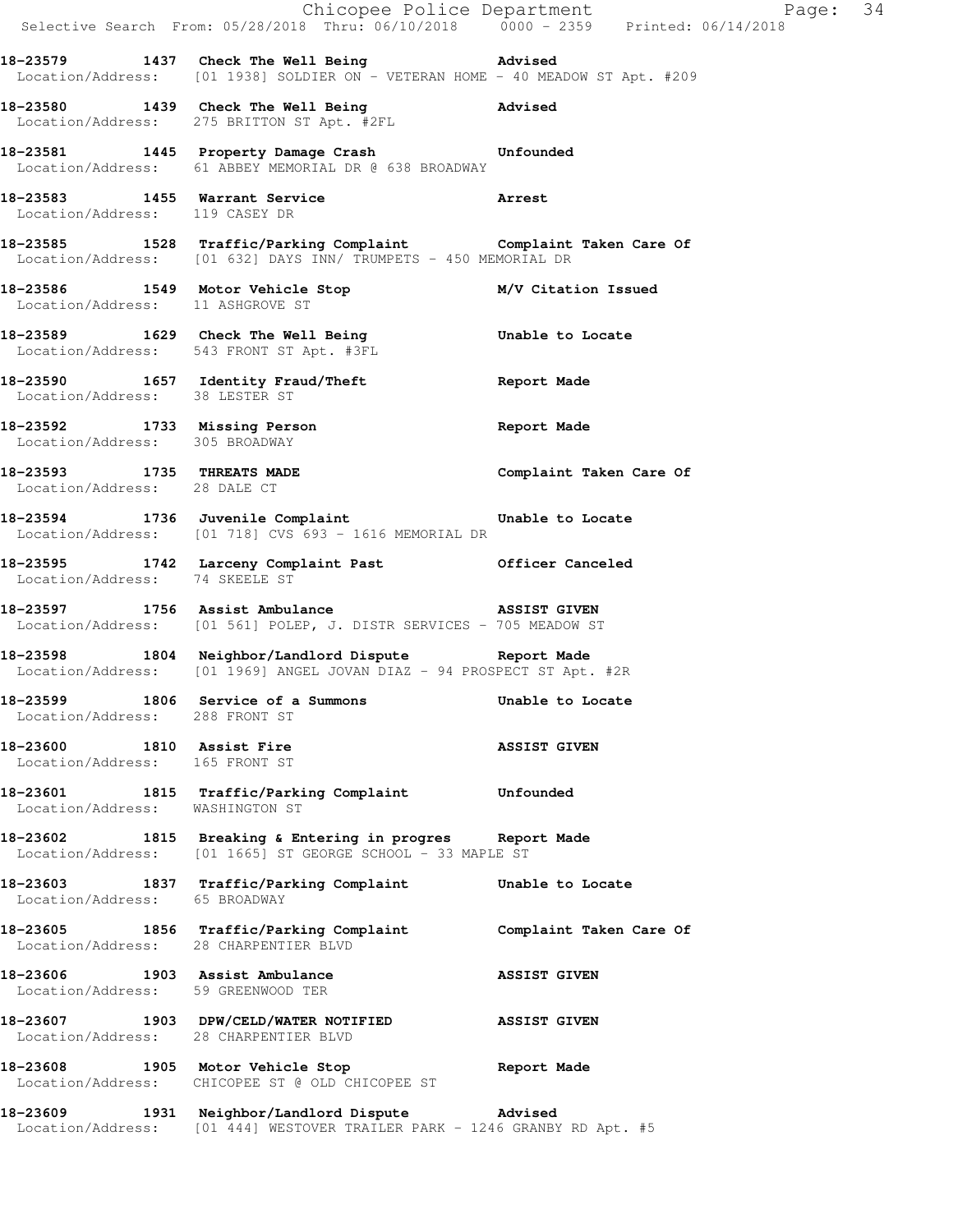|                                                             | Selective Search From: 05/28/2018 Thru: 06/10/2018 0000 - 2359 Printed: 06/14/2018                                              | Chicopee Police Department Page: 34 |  |
|-------------------------------------------------------------|---------------------------------------------------------------------------------------------------------------------------------|-------------------------------------|--|
|                                                             | 18-23579 1437 Check The Well Being Movised<br>Location/Address: [01 1938] SOLDIER ON - VETERAN HOME - 40 MEADOW ST Apt. #209    |                                     |  |
|                                                             | 18-23580 1439 Check The Well Being Netwised<br>Location/Address: 275 BRITTON ST Apt. #2FL                                       |                                     |  |
|                                                             | 18-23581 1445 Property Damage Crash Unfounded<br>Location/Address: 61 ABBEY MEMORIAL DR @ 638 BROADWAY                          |                                     |  |
| Location/Address: 119 CASEY DR                              | 18-23583 1455 Warrant Service 23583 Arrest                                                                                      |                                     |  |
|                                                             | 18-23585 1528 Traffic/Parking Complaint Complaint Taken Care Of Location/Address: [01 632] DAYS INN/ TRUMPETS - 450 MEMORIAL DR |                                     |  |
| Location/Address: 11 ASHGROVE ST                            | 18-23586 1549 Motor Vehicle Stop M/V Citation Issued                                                                            |                                     |  |
|                                                             | 18-23589 1629 Check The Well Being 18-23589<br>Location/Address: 543 FRONT ST Apt. #3FL                                         |                                     |  |
| Location/Address: 38 LESTER ST                              | 18-23590 1657 Identity Fraud/Theft 1997 Report Made                                                                             |                                     |  |
| Location/Address: 305 BROADWAY                              | 18-23592 1733 Missing Person 2008 2011 Report Made                                                                              |                                     |  |
| Location/Address: 28 DALE CT                                | 18-23593 1735 THREATS MADE Complaint Taken Care Of                                                                              |                                     |  |
|                                                             | 18-23594 1736 Juvenile Complaint<br>Location/Address: [01 718] CVS 693 - 1616 MEMORIAL DR                                       | Unable to Locate                    |  |
| Location/Address: 74 SKEELE ST                              | 18-23595 1742 Larceny Complaint Past 6fficer Canceled                                                                           |                                     |  |
|                                                             | 18-23597 1756 Assist Ambulance 1885 ASSIST GIVEN<br>Location/Address: [01 561] POLEP, J. DISTR SERVICES - 705 MEADOW ST         |                                     |  |
|                                                             | 18-23598 1804 Neighbor/Landlord Dispute Report Made<br>Location/Address: [01 1969] ANGEL JOVAN DIAZ - 94 PROSPECT ST Apt. #2R   |                                     |  |
| Location/Address: 288 FRONT ST                              | 18-23599 1806 Service of a Summons                                                                                              | Unable to Locate                    |  |
| 18-23600 1810 Assist Fire<br>Location/Address: 165 FRONT ST |                                                                                                                                 | <b>ASSIST GIVEN</b>                 |  |
| Location/Address: WASHINGTON ST                             | 18-23601 1815 Traffic/Parking Complaint Unfounded                                                                               |                                     |  |
|                                                             | 18-23602 1815 Breaking & Entering in progres Report Made<br>Location/Address: [01 1665] ST GEORGE SCHOOL - 33 MAPLE ST          |                                     |  |
| Location/Address: 65 BROADWAY                               | 18-23603 1837 Traffic/Parking Complaint Unable to Locate                                                                        |                                     |  |
|                                                             | 18-23605 1856 Traffic/Parking Complaint Complaint Taken Care Of<br>Location/Address: 28 CHARPENTIER BLVD                        |                                     |  |
|                                                             | 18-23606 1903 Assist Ambulance<br>Location/Address: 59 GREENWOOD TER                                                            | <b>ASSIST GIVEN</b>                 |  |
|                                                             | 18-23607 1903 DPW/CELD/WATER NOTIFIED<br>Location/Address: 28 CHARPENTIER BLVD                                                  | <b>ASSIST GIVEN</b>                 |  |
|                                                             | 18-23608 1905 Motor Vehicle Stop 6 6 Report Made<br>Location/Address: CHICOPEE ST @ OLD CHICOPEE ST                             |                                     |  |
|                                                             | 18-23609 1931 Neighbor/Landlord Dispute Advised                                                                                 |                                     |  |

Location/Address: [01 444] WESTOVER TRAILER PARK - 1246 GRANBY RD Apt. #5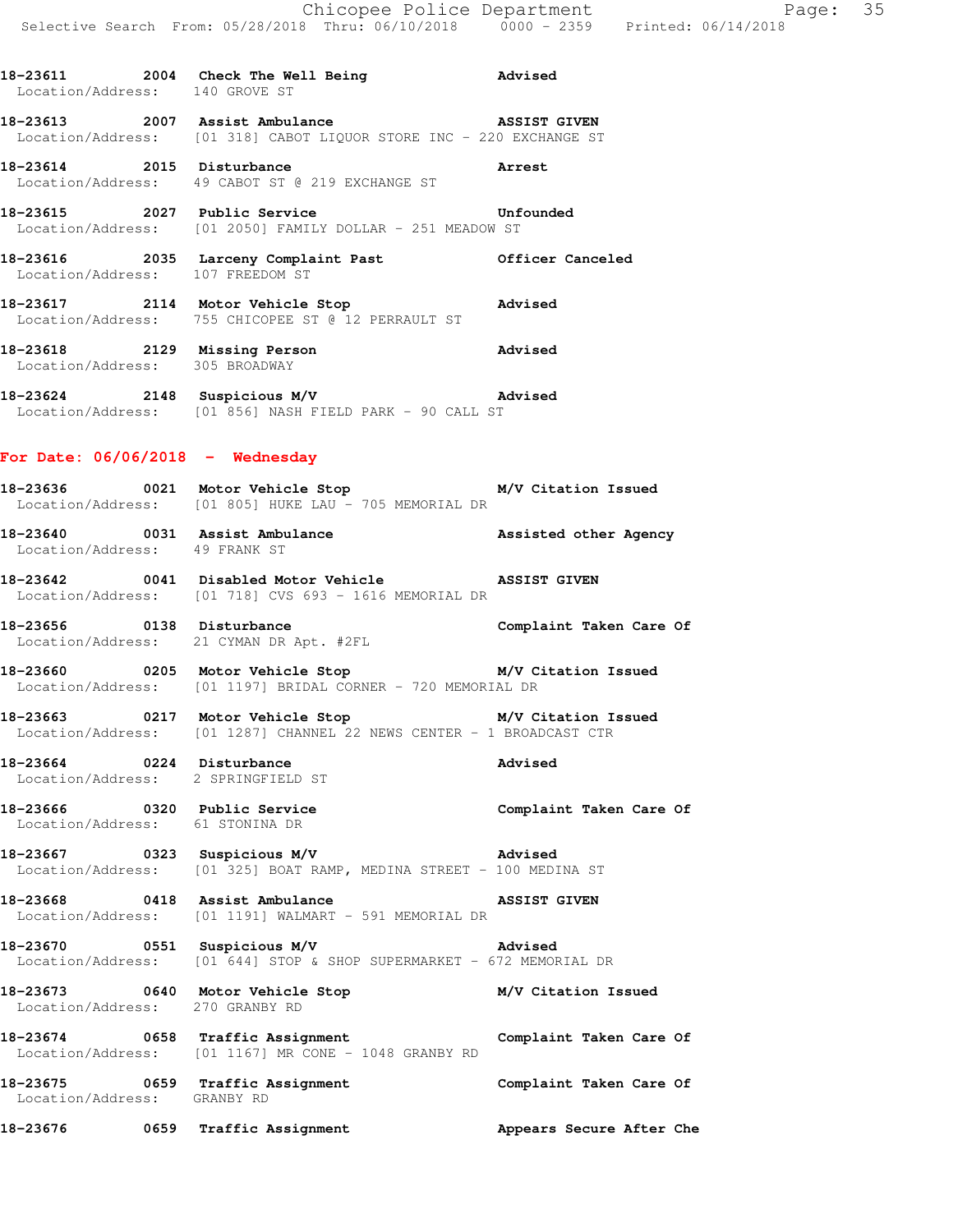**18-23611 2004 Check The Well Being Advised** 

Location/Address: 140 GROVE ST

**18-23613 2007 Assist Ambulance ASSIST GIVEN**  Location/Address: [01 318] CABOT LIQUOR STORE INC - 220 EXCHANGE ST **18-23614 2015 Disturbance Arrest**  Location/Address: 49 CABOT ST @ 219 EXCHANGE ST 18-23615 2027 Public Service **18-23615** Unfounded Location/Address: [01 2050] FAMILY DOLLAR - 251 MEADOW ST **18-23616 2035 Larceny Complaint Past Officer Canceled**  Location/Address: 107 FREEDOM ST **18-23617 2114 Motor Vehicle Stop Advised**  Location/Address: 755 CHICOPEE ST @ 12 PERRAULT ST **18-23618 2129 Missing Person Advised**  Location/Address: 305 BROADWAY **18-23624 2148 Suspicious M/V Advised**  Location/Address: [01 856] NASH FIELD PARK - 90 CALL ST **For Date: 06/06/2018 - Wednesday 18-23636 0021 Motor Vehicle Stop M/V Citation Issued**  Location/Address: [01 805] HUKE LAU - 705 MEMORIAL DR 18-23640 0031 Assist Ambulance **Assisted other Agency**  Location/Address: 49 FRANK ST **18-23642 0041 Disabled Motor Vehicle ASSIST GIVEN**  Location/Address: [01 718] CVS 693 - 1616 MEMORIAL DR **18-23656 0138 Disturbance Complaint Taken Care Of**  Location/Address: 21 CYMAN DR Apt. #2FL **18-23660 0205 Motor Vehicle Stop M/V Citation Issued**  Location/Address: [01 1197] BRIDAL CORNER - 720 MEMORIAL DR **18-23663 0217 Motor Vehicle Stop M/V Citation Issued**  Location/Address: [01 1287] CHANNEL 22 NEWS CENTER - 1 BROADCAST CTR **18-23664 0224 Disturbance Advised**  Location/Address: 2 SPRINGFIELD ST **18-23666 0320 Public Service Complaint Taken Care Of**  Location/Address: 61 STONINA DR **18-23667 0323 Suspicious M/V Advised**  Location/Address: [01 325] BOAT RAMP, MEDINA STREET - 100 MEDINA ST **18-23668 0418 Assist Ambulance ASSIST GIVEN**  Location/Address: [01 1191] WALMART - 591 MEMORIAL DR **18-23670 0551 Suspicious M/V Advised**  Location/Address: [01 644] STOP & SHOP SUPERMARKET - 672 MEMORIAL DR **18-23673 0640 Motor Vehicle Stop M/V Citation Issued**  Location/Address: 270 GRANBY RD **18-23674 0658 Traffic Assignment Complaint Taken Care Of**  Location/Address: [01 1167] MR CONE - 1048 GRANBY RD **18-23675 0659 Traffic Assignment Complaint Taken Care Of**  Location/Address: GRANBY RD **18-23676 0659 Traffic Assignment Appears Secure After Che**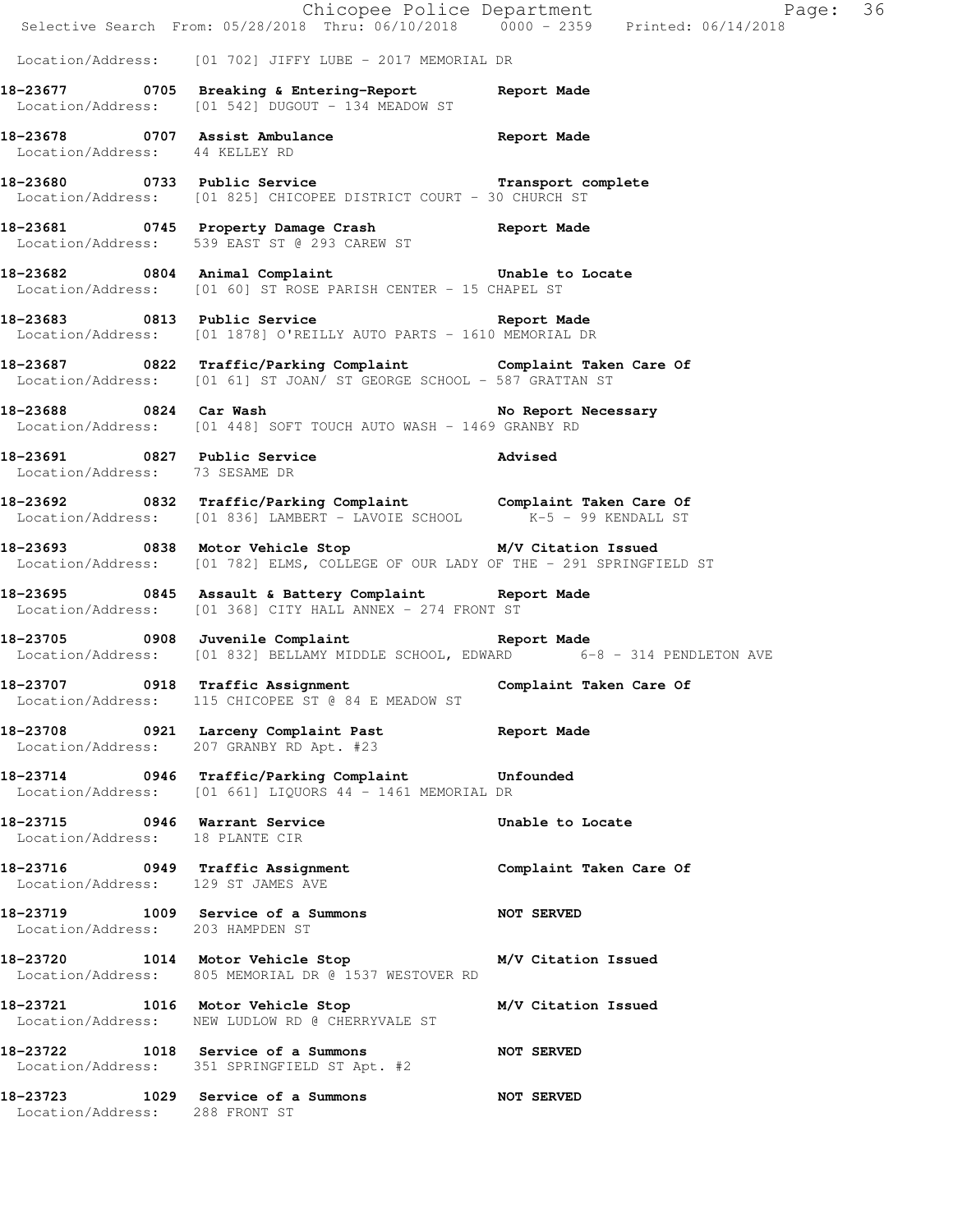|                                                                  | E<br>Chicopee Police Department<br>Selective Search From: 05/28/2018 Thru: 06/10/2018 0000 - 2359 Printed: 06/14/2018                    | Page: 36                |  |
|------------------------------------------------------------------|------------------------------------------------------------------------------------------------------------------------------------------|-------------------------|--|
|                                                                  | Location/Address: [01 702] JIFFY LUBE - 2017 MEMORIAL DR                                                                                 |                         |  |
|                                                                  | 18-23677 0705 Breaking & Entering-Report 18 Report Made<br>Location/Address: [01 542] DUGOUT - 134 MEADOW ST                             |                         |  |
| Location/Address: 44 KELLEY RD                                   | 18-23678 0707 Assist Ambulance and Report Made                                                                                           |                         |  |
|                                                                  | 18-23680 0733 Public Service Transport complete<br>Location/Address: [01 825] CHICOPEE DISTRICT COURT - 30 CHURCH ST                     |                         |  |
|                                                                  | 18-23681 0745 Property Damage Crash Report Made<br>Location/Address: 539 EAST ST @ 293 CAREW ST                                          |                         |  |
|                                                                  | 18-23682 0804 Animal Complaint Computer Unable to Locate<br>Location/Address: [01 60] ST ROSE PARISH CENTER - 15 CHAPEL ST               |                         |  |
|                                                                  | 18-23683 0813 Public Service 20 Report Made<br>Location/Address: [01 1878] O'REILLY AUTO PARTS - 1610 MEMORIAL DR                        |                         |  |
|                                                                  | 18-23687 0822 Traffic/Parking Complaint Complaint Taken Care Of<br>Location/Address: [01 61] ST JOAN/ ST GEORGE SCHOOL - 587 GRATTAN ST  |                         |  |
|                                                                  | 18-23688 0824 Car Wash No Report Necessary<br>Location/Address: [01 448] SOFT TOUCH AUTO WASH - 1469 GRANBY RD                           |                         |  |
| Location/Address: 73 SESAME DR                                   | 18-23691 0827 Public Service Movised                                                                                                     |                         |  |
|                                                                  | 18-23692 0832 Traffic/Parking Complaint Complaint Taken Care Of Location/Address: [01 836] LAMBERT - LAVOIE SCHOOL K-5 - 99 KENDALL ST   |                         |  |
|                                                                  | 18-23693 0838 Motor Vehicle Stop M/V Citation Issued<br>Location/Address: [01 782] ELMS, COLLEGE OF OUR LADY OF THE - 291 SPRINGFIELD ST |                         |  |
|                                                                  | 18-23695 0845 Assault & Battery Complaint Report Made<br>Location/Address: [01 368] CITY HALL ANNEX - 274 FRONT ST                       |                         |  |
|                                                                  | 18-23705 0908 Juvenile Complaint Report Made<br>Location/Address: [01 832] BELLAMY MIDDLE SCHOOL, EDWARD 6-8 - 314 PENDLETON AVE         |                         |  |
|                                                                  | 18-23707 0918 Traffic Assignment Complaint Taken Care Of<br>Location/Address: 115 CHICOPEE ST @ 84 E MEADOW ST                           |                         |  |
|                                                                  | 18-23708 0921 Larceny Complaint Past Report Made<br>Location/Address: 207 GRANBY RD Apt. #23                                             |                         |  |
|                                                                  | 18-23714 0946 Traffic/Parking Complaint Unfounded<br>Location/Address: [01 661] LIQUORS 44 - 1461 MEMORIAL DR                            |                         |  |
| 18-23715 0946 Warrant Service<br>Location/Address: 18 PLANTE CIR |                                                                                                                                          | Unable to Locate        |  |
| Location/Address: 129 ST JAMES AVE                               | 18-23716 0949 Traffic Assignment                                                                                                         | Complaint Taken Care Of |  |
| Location/Address: 203 HAMPDEN ST                                 | 18-23719 1009 Service of a Summons                                                                                                       | <b>NOT SERVED</b>       |  |
|                                                                  | 18-23720 1014 Motor Vehicle Stop M/V Citation Issued<br>Location/Address: 805 MEMORIAL DR @ 1537 WESTOVER RD                             |                         |  |
|                                                                  | 18-23721 1016 Motor Vehicle Stop<br>Location/Address: NEW LUDLOW RD @ CHERRYVALE ST                                                      | M/V Citation Issued     |  |
|                                                                  | 18-23722 1018 Service of a Summons NOT SERVED<br>Location/Address: 351 SPRINGFIELD ST Apt. #2                                            |                         |  |
| Location/Address: 288 FRONT ST                                   | 18-23723 1029 Service of a Summons                                                                                                       | <b>NOT SERVED</b>       |  |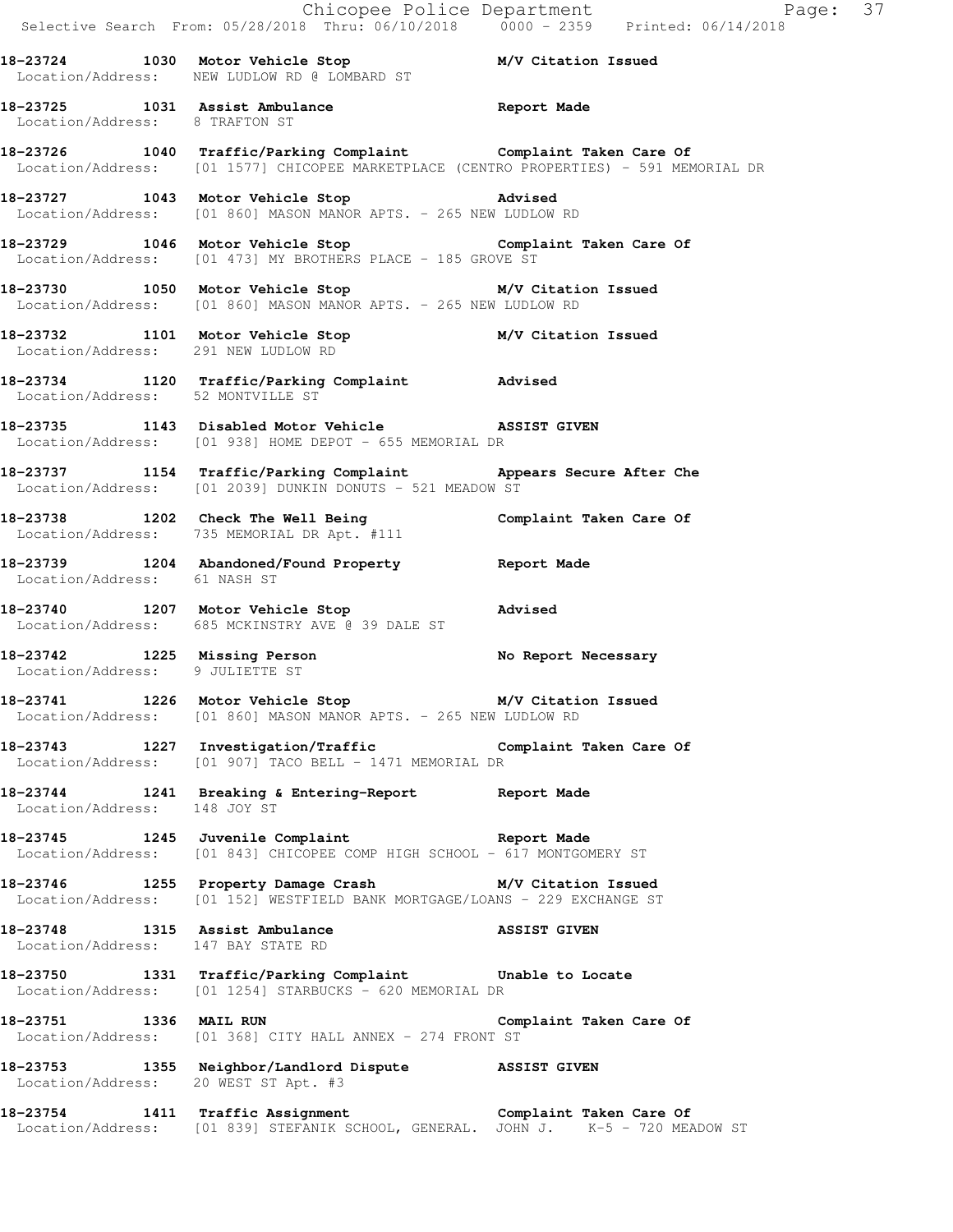|                                                                      | Selective Search From: $05/28/2018$ Thru: $06/10/2018$ 0000 - 2359 Printed: 06/14/2018                                                                    | Chicopee Police Department Page: 37 |
|----------------------------------------------------------------------|-----------------------------------------------------------------------------------------------------------------------------------------------------------|-------------------------------------|
|                                                                      | 18-23724 1030 Motor Vehicle Stop M/V Citation Issued<br>Location/Address: NEW LUDLOW RD @ LOMBARD ST                                                      |                                     |
| Location/Address: 8 TRAFTON ST                                       | 18-23725 1031 Assist Ambulance and Report Made                                                                                                            |                                     |
|                                                                      | 18-23726 1040 Traffic/Parking Complaint Complaint Taken Care Of<br>Location/Address: [01 1577] CHICOPEE MARKETPLACE (CENTRO PROPERTIES) - 591 MEMORIAL DR |                                     |
|                                                                      | 18-23727 1043 Motor Vehicle Stop 318-23727<br>Location/Address: [01 860] MASON MANOR APTS. - 265 NEW LUDLOW RD                                            |                                     |
|                                                                      | 18-23729 1046 Motor Vehicle Stop Complaint Taken Care Of<br>Location/Address: [01 473] MY BROTHERS PLACE - 185 GROVE ST                                   |                                     |
|                                                                      | 18-23730 1050 Motor Vehicle Stop M/V Citation Issued<br>Location/Address: [01 860] MASON MANOR APTS. - 265 NEW LUDLOW RD                                  |                                     |
|                                                                      | 18-23732   1101   Motor Vehicle Stop   M/V Citation Issued<br>Location/Address: 291   NEW LUDLOW RD                                                       |                                     |
|                                                                      | 18-23734 1120 Traffic/Parking Complaint Advised<br>Location/Address: 52 MONTVILLE ST                                                                      |                                     |
|                                                                      | 18-23735 1143 Disabled Motor Vehicle ASSIST GIVEN<br>Location/Address: [01 938] HOME DEPOT - 655 MEMORIAL DR                                              |                                     |
|                                                                      | 18-23737 1154 Traffic/Parking Complaint Appears Secure After Che<br>Location/Address: [01 2039] DUNKIN DONUTS - 521 MEADOW ST                             |                                     |
|                                                                      | 18-23738 1202 Check The Well Being Complaint Taken Care Of Location/Address: 735 MEMORIAL DR Apt. #111                                                    |                                     |
| Location/Address: 61 NASH ST                                         | 18-23739 1204 Abandoned/Found Property Report Made                                                                                                        |                                     |
|                                                                      | 18-23740 1207 Motor Vehicle Stop 31 Advised<br>Location/Address: 685 MCKINSTRY AVE @ 39 DALE ST                                                           |                                     |
| Location/Address: 9 JULIETTE ST                                      | 18-23742 1225 Missing Person                                                                                                                              | No Report Necessary                 |
|                                                                      | 18-23741 1226 Motor Vehicle Stop M/V Citation Issued<br>Location/Address: [01 860] MASON MANOR APTS. - 265 NEW LUDLOW RD                                  |                                     |
|                                                                      | 18-23743 1227 Investigation/Traffic Complaint Taken Care Of<br>Location/Address: [01 907] TACO BELL - 1471 MEMORIAL DR                                    |                                     |
| Location/Address: 148 JOY ST                                         | 18-23744 1241 Breaking & Entering-Report 128 Report Made                                                                                                  |                                     |
|                                                                      | 18-23745 1245 Juvenile Complaint Report Made<br>Location/Address: [01 843] CHICOPEE COMP HIGH SCHOOL - 617 MONTGOMERY ST                                  |                                     |
|                                                                      | 18-23746 1255 Property Damage Crash M/V Citation Issued<br>Location/Address: [01 152] WESTFIELD BANK MORTGAGE/LOANS - 229 EXCHANGE ST                     |                                     |
| 18-23748 1315 Assist Ambulance<br>Location/Address: 147 BAY STATE RD | ASSIST GIVEN                                                                                                                                              |                                     |
|                                                                      | 18-23750 1331 Traffic/Parking Complaint Unable to Locate<br>Location/Address: [01 1254] STARBUCKS - 620 MEMORIAL DR                                       |                                     |
| 18-23751 1336 MAIL RUN                                               | Location/Address: [01 368] CITY HALL ANNEX - 274 FRONT ST                                                                                                 | Complaint Taken Care Of             |
| Location/Address: 20 WEST ST Apt. #3                                 | 18-23753 1355 Neighbor/Landlord Dispute ASSIST GIVEN                                                                                                      |                                     |
|                                                                      | 18-23754 1411 Traffic Assignment<br>Location/Address: [01 839] STEFANIK SCHOOL, GENERAL. JOHN J. K-5 - 720 MEADOW ST                                      |                                     |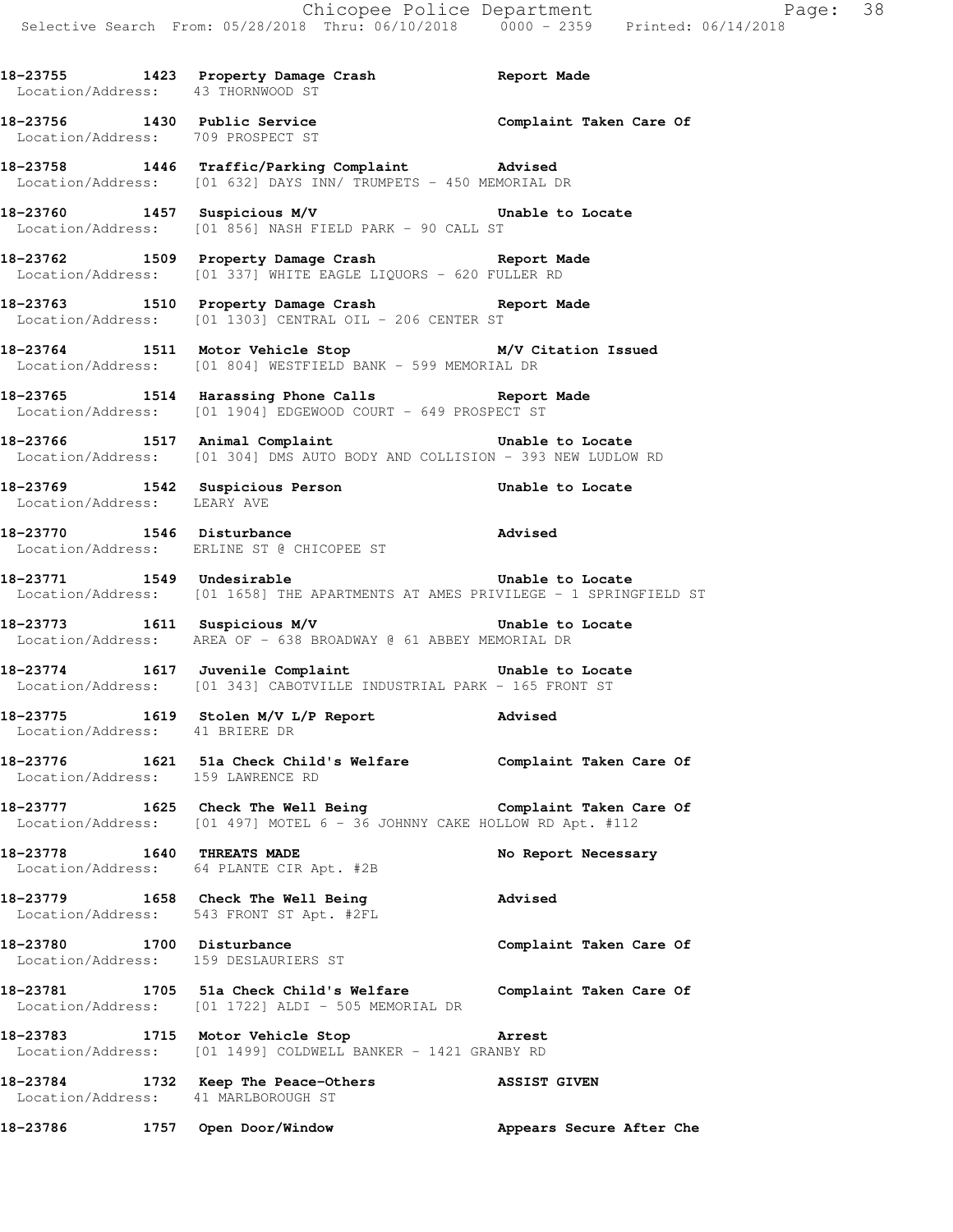**18-23755 1423 Property Damage Crash Report Made** 

Location/Address: 43 THORNWOOD ST

**18-23756 1430 Public Service Complaint Taken Care Of**  Location/Address: 709 PROSPECT ST **18-23758 1446 Traffic/Parking Complaint Advised**  Location/Address: [01 632] DAYS INN/ TRUMPETS - 450 MEMORIAL DR **18-23760 1457 Suspicious M/V Unable to Locate**  Location/Address: [01 856] NASH FIELD PARK - 90 CALL ST **18-23762 1509 Property Damage Crash Report Made**  Location/Address: [01 337] WHITE EAGLE LIQUORS - 620 FULLER RD **18-23763 1510 Property Damage Crash Report Made**  Location/Address: [01 1303] CENTRAL OIL - 206 CENTER ST **18-23764 1511 Motor Vehicle Stop M/V Citation Issued**  Location/Address: [01 804] WESTFIELD BANK - 599 MEMORIAL DR **18-23765 1514 Harassing Phone Calls Report Made**  Location/Address: [01 1904] EDGEWOOD COURT - 649 PROSPECT ST **18-23766 1517 Animal Complaint Unable to Locate**  Location/Address: [01 304] DMS AUTO BODY AND COLLISION - 393 NEW LUDLOW RD **18-23769 1542 Suspicious Person Unable to Locate**  Location/Address: LEARY AVE **18-23770 1546 Disturbance Advised**  Location/Address: ERLINE ST @ CHICOPEE ST **18-23771 1549 Undesirable Unable to Locate**  Location/Address: [01 1658] THE APARTMENTS AT AMES PRIVILEGE - 1 SPRINGFIELD ST **18-23773 1611 Suspicious M/V Unable to Locate**  Location/Address: AREA OF - 638 BROADWAY @ 61 ABBEY MEMORIAL DR **18-23774 1617 Juvenile Complaint Unable to Locate**  Location/Address: [01 343] CABOTVILLE INDUSTRIAL PARK - 165 FRONT ST **18-23775 1619 Stolen M/V L/P Report Advised**  Location/Address: 41 BRIERE DR **18-23776 1621 51a Check Child's Welfare Complaint Taken Care Of**  Location/Address: 159 LAWRENCE RD **18-23777 1625 Check The Well Being Complaint Taken Care Of**  Location/Address: [01 497] MOTEL 6 - 36 JOHNNY CAKE HOLLOW RD Apt. #112 **18-23778 1640 THREATS MADE No Report Necessary**  Location/Address: 64 PLANTE CIR Apt. #2B **18-23779 1658 Check The Well Being Advised**  Location/Address: 543 FRONT ST Apt. #2FL **18-23780 1700 Disturbance Complaint Taken Care Of**  Location/Address: 159 DESLAURIERS ST **18-23781 1705 51a Check Child's Welfare Complaint Taken Care Of** 

 Location/Address: [01 1722] ALDI - 505 MEMORIAL DR **18-23783 1715 Motor Vehicle Stop Arrest**  Location/Address: [01 1499] COLDWELL BANKER - 1421 GRANBY RD

**18-23784 1732 Keep The Peace-Others ASSIST GIVEN**  Location/Address: 41 MARLBOROUGH ST **18-23786 1757 Open Door/Window Appears Secure After Che**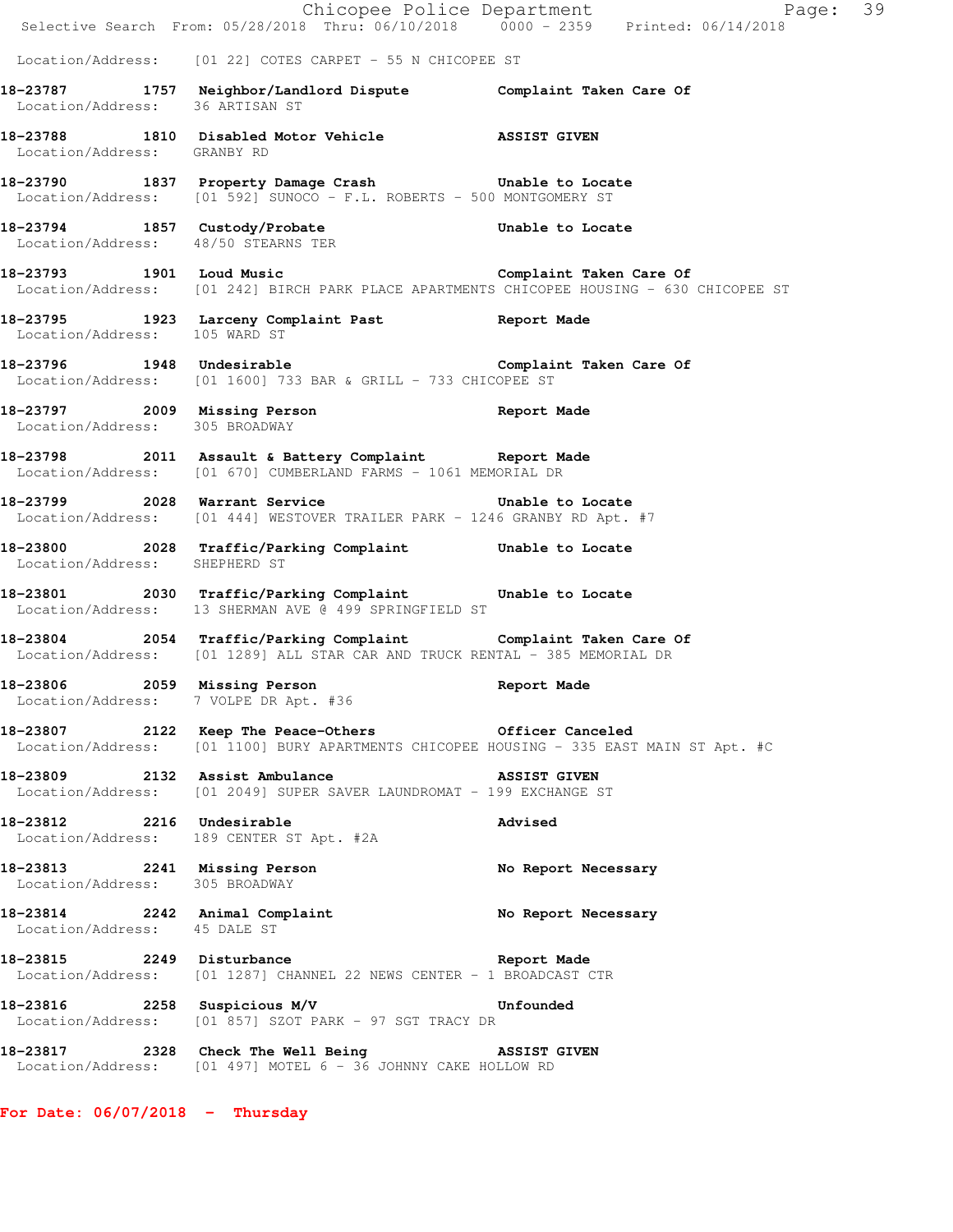|                                                                | E Chicopee Police Department<br>Selective Search From: 05/28/2018 Thru: 06/10/2018 0000 - 2359 Printed: 06/14/2018                               | Page: 39                |
|----------------------------------------------------------------|--------------------------------------------------------------------------------------------------------------------------------------------------|-------------------------|
|                                                                | Location/Address: [01 22] COTES CARPET - 55 N CHICOPEE ST                                                                                        |                         |
| Location/Address: 36 ARTISAN ST                                | 18-23787 1757 Neighbor/Landlord Dispute Complaint Taken Care Of                                                                                  |                         |
| Location/Address: GRANBY RD                                    | 18-23788 1810 Disabled Motor Vehicle ASSIST GIVEN                                                                                                |                         |
|                                                                | 18-23790 1837 Property Damage Crash 5 Unable to Locate<br>Location/Address: [01 592] SUNOCO - F.L. ROBERTS - 500 MONTGOMERY ST                   |                         |
| Location/Address: 48/50 STEARNS TER                            | 18-23794 1857 Custody/Probate <b>18-23794</b> Unable to Locate                                                                                   |                         |
|                                                                | 18-23793 1901 Loud Music Complaint Taken Care Of<br>Location/Address: [01 242] BIRCH PARK PLACE APARTMENTS CHICOPEE HOUSING - 630 CHICOPEE ST    |                         |
|                                                                | 18-23795 1923 Larceny Complaint Past Report Made Location/Address: 105 WARD ST                                                                   |                         |
|                                                                | 18-23796 1948 Undesirable<br>Location/Address: [01 1600] 733 BAR & GRILL - 733 CHICOPEE ST                                                       | Complaint Taken Care Of |
| Location/Address: 305 BROADWAY                                 | 18-23797 2009 Missing Person Report Made                                                                                                         |                         |
|                                                                | 18-23798 2011 Assault & Battery Complaint Report Made<br>Location/Address: [01 670] CUMBERLAND FARMS - 1061 MEMORIAL DR                          |                         |
|                                                                | 18-23799 2028 Warrant Service Contract Multiple to Locate<br>Location/Address: [01 444] WESTOVER TRAILER PARK - 1246 GRANBY RD Apt. #7           |                         |
| Location/Address: SHEPHERD ST                                  | 18-23800 2028 Traffic/Parking Complaint Unable to Locate                                                                                         |                         |
|                                                                | 18-23801 2030 Traffic/Parking Complaint Unable to Locate<br>Location/Address: 13 SHERMAN AVE @ 499 SPRINGFIELD ST                                |                         |
|                                                                | 18-23804 2054 Traffic/Parking Complaint Complaint Taken Care Of<br>  Location/Address: [01 1289] ALL STAR CAR AND TRUCK RENTAL - 385 MEMORIAL DR |                         |
| 18-23806 2059 Missing Person                                   | Location/Address: 7 VOLPE DR Apt. #36                                                                                                            | Report Made             |
|                                                                | 18-23807 2122 Keep The Peace-Others Cofficer Canceled<br>Location/Address: [01 1100] BURY APARTMENTS CHICOPEE HOUSING - 335 EAST MAIN ST Apt. #C |                         |
|                                                                | 18-23809 2132 Assist Ambulance ASSIST GIVEN<br>Location/Address: [01 2049] SUPER SAVER LAUNDROMAT - 199 EXCHANGE ST                              |                         |
| 18-23812 2216 Undesirable                                      | Location/Address: 189 CENTER ST Apt. #2A                                                                                                         | Advised                 |
| 18-23813 2241 Missing Person<br>Location/Address: 305 BROADWAY |                                                                                                                                                  | No Report Necessary     |
| Location/Address: 45 DALE ST                                   | 18-23814 2242 Animal Complaint                                                                                                                   | No Report Necessary     |
|                                                                | 18-23815 2249 Disturbance Report Made<br>Location/Address: [01 1287] CHANNEL 22 NEWS CENTER - 1 BROADCAST CTR                                    |                         |
|                                                                | 18-23816 2258 Suspicious M/V 300 Unfounded<br>Location/Address: [01 857] SZOT PARK - 97 SGT TRACY DR                                             |                         |
|                                                                | 18-23817 2328 Check The Well Being 3SSIST GIVEN<br>Location/Address: [01 497] MOTEL 6 - 36 JOHNNY CAKE HOLLOW RD                                 |                         |
| For Date: $06/07/2018$ - Thursday                              |                                                                                                                                                  |                         |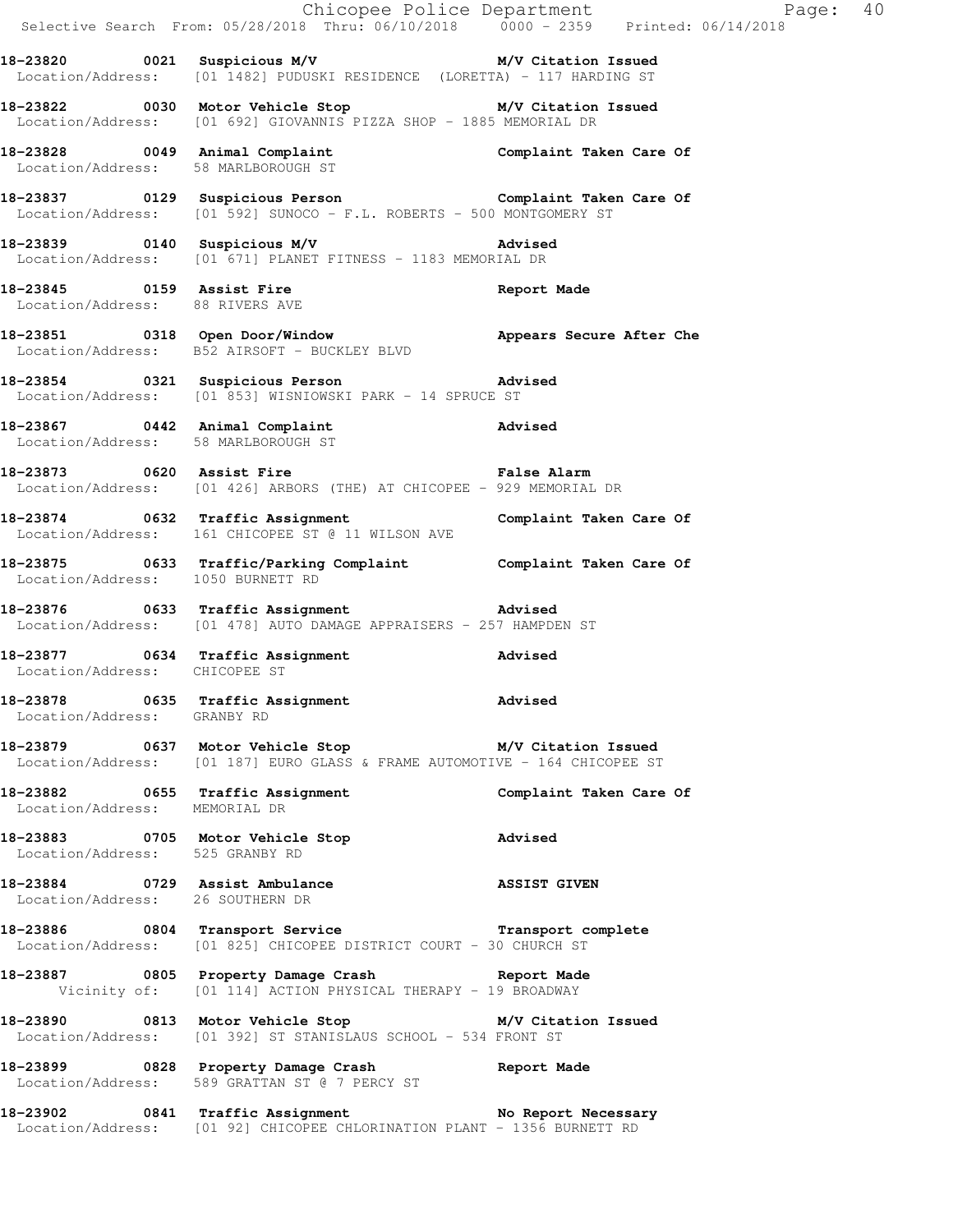|                                   |                                                                                                                                    | Chicopee Police Department<br>Selective Search From: 05/28/2018 Thru: 06/10/2018 0000 - 2359 Printed: 06/14/2018 |  |
|-----------------------------------|------------------------------------------------------------------------------------------------------------------------------------|------------------------------------------------------------------------------------------------------------------|--|
|                                   | 18-23820 0021 Suspicious M/V N/V Citation Issued<br>Location/Address: [01 1482] PUDUSKI RESIDENCE (LORETTA) - 117 HARDING ST       |                                                                                                                  |  |
|                                   | 18-23822 0030 Motor Vehicle Stop M/V Citation Issued<br>Location/Address: [01 692] GIOVANNIS PIZZA SHOP - 1885 MEMORIAL DR         |                                                                                                                  |  |
|                                   | 18-23828 0049 Animal Complaint Complaint Taken Care Of Location/Address: 58 MARLBOROUGH ST                                         |                                                                                                                  |  |
|                                   | 18-23837 0129 Suspicious Person Complaint Taken Care Of Location/Address: [01 592] SUNOCO - F.L. ROBERTS - 500 MONTGOMERY ST       |                                                                                                                  |  |
|                                   | 18-23839 0140 Suspicious M/V Advised<br>Location/Address: [01 671] PLANET FITNESS - 1183 MEMORIAL DR                               |                                                                                                                  |  |
| Location/Address: 88 RIVERS AVE   | 18-23845 0159 Assist Fire 18 and Report Made                                                                                       |                                                                                                                  |  |
|                                   | 18-23851 0318 Open Door/Window Mppears Secure After Che<br>Location/Address: B52 AIRSOFT - BUCKLEY BLVD                            |                                                                                                                  |  |
|                                   | 18-23854 0321 Suspicious Person Movised<br>Location/Address: [01 853] WISNIOWSKI PARK - 14 SPRUCE ST                               |                                                                                                                  |  |
|                                   | 18-23867 0442 Animal Complaint Advised<br>Location/Address: 58 MARLBOROUGH ST                                                      |                                                                                                                  |  |
|                                   | 18-23873 0620 Assist Fire <b>18-23873</b> Palse Alarm<br>Location/Address: [01 426] ARBORS (THE) AT CHICOPEE - 929 MEMORIAL DR     |                                                                                                                  |  |
|                                   | 18-23874 0632 Traffic Assignment Complaint Taken Care Of<br>Location/Address: 161 CHICOPEE ST @ 11 WILSON AVE                      |                                                                                                                  |  |
| Location/Address: 1050 BURNETT RD | 18-23875 0633 Traffic/Parking Complaint Complaint Taken Care Of                                                                    |                                                                                                                  |  |
|                                   | 18-23876 0633 Traffic Assignment 18-23876 Advised<br>Location/Address: [01 478] AUTO DAMAGE APPRAISERS - 257 HAMPDEN ST            |                                                                                                                  |  |
| Location/Address: CHICOPEE ST     | 18-23877 0634 Traffic Assignment Madvised                                                                                          |                                                                                                                  |  |
| Location/Address: GRANBY RD       | 18-23878 0635 Traffic Assignment Advised                                                                                           |                                                                                                                  |  |
|                                   | 18-23879 0637 Motor Vehicle Stop M/V Citation Issued<br>Location/Address: [01 187] EURO GLASS & FRAME AUTOMOTIVE - 164 CHICOPEE ST |                                                                                                                  |  |
| Location/Address: MEMORIAL DR     | 18-23882 0655 Traffic Assignment Complaint Taken Care Of                                                                           |                                                                                                                  |  |
| Location/Address: 525 GRANBY RD   | 18-23883 0705 Motor Vehicle Stop 30 Advised                                                                                        |                                                                                                                  |  |
| Location/Address: 26 SOUTHERN DR  | 18-23884 0729 Assist Ambulance Massist Assist Civen                                                                                |                                                                                                                  |  |
|                                   | 18-23886 0804 Transport Service <b>Transport Complete</b><br>Location/Address: [01 825] CHICOPEE DISTRICT COURT - 30 CHURCH ST     |                                                                                                                  |  |
|                                   | 18-23887 0805 Property Damage Crash Chapter Made<br>Vicinity of: [01 114] ACTION PHYSICAL THERAPY - 19 BROADWAY                    |                                                                                                                  |  |
|                                   | 18-23890 0813 Motor Vehicle Stop M/V Citation Issued<br>Location/Address: [01 392] ST STANISLAUS SCHOOL - 534 FRONT ST             |                                                                                                                  |  |
|                                   | 18-23899 0828 Property Damage Crash Report Made<br>Location/Address: 589 GRATTAN ST @ 7 PERCY ST                                   |                                                                                                                  |  |
|                                   | 18-23902 0841 Traffic Assignment<br>Location/Address: [01 92] CHICOPEE CHLORINATION PLANT - 1356 BURNETT RD                        |                                                                                                                  |  |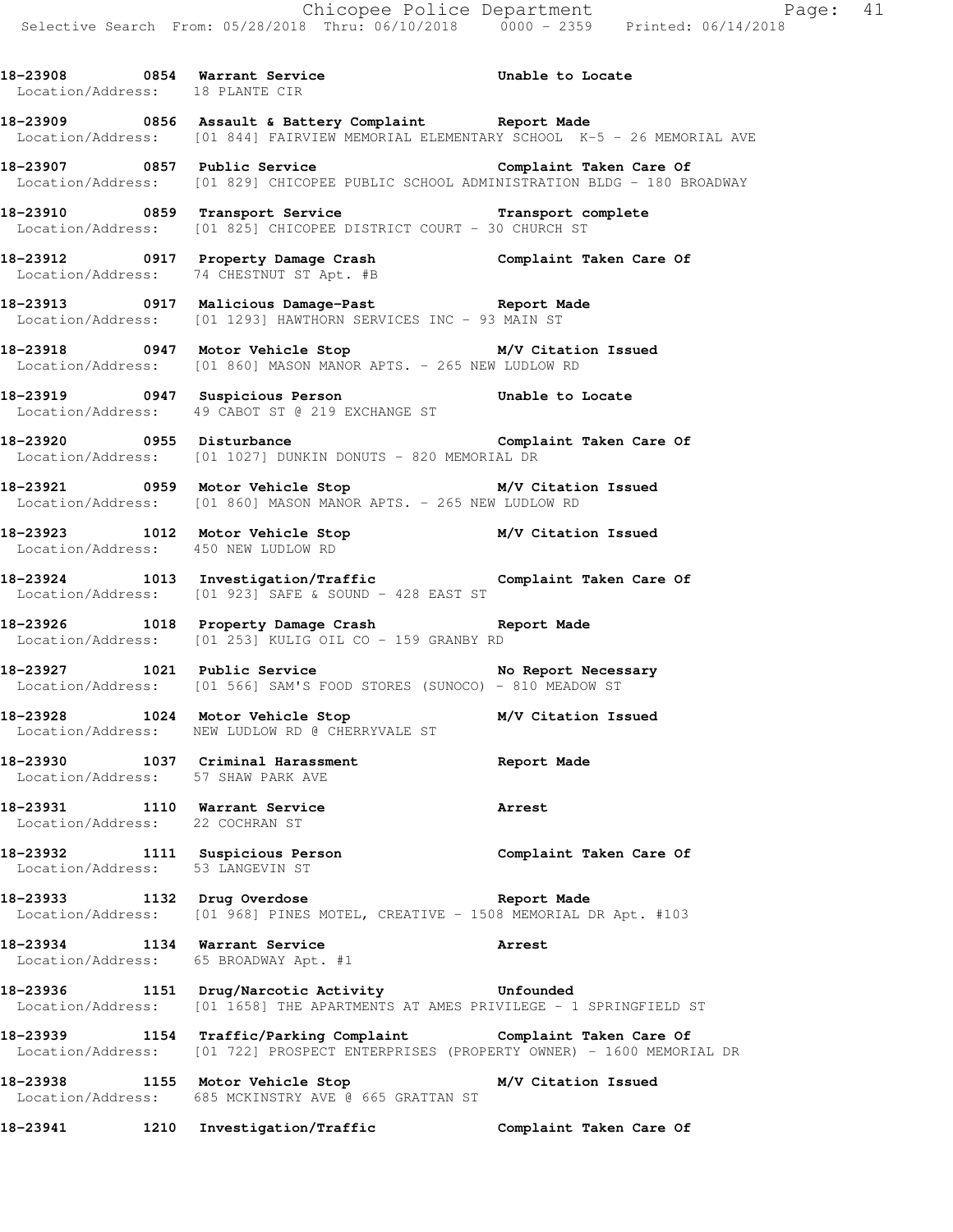18-23908 0854 Warrant Service **18-23908** Unable to Locate Location/Address: 18 PLANTE CIR **18-23909 0856 Assault & Battery Complaint Report Made**  Location/Address: [01 844] FAIRVIEW MEMORIAL ELEMENTARY SCHOOL K-5 - 26 MEMORIAL AVE **18-23907 0857 Public Service Complaint Taken Care Of**  Location/Address: [01 829] CHICOPEE PUBLIC SCHOOL ADMINISTRATION BLDG - 180 BROADWAY **18-23910 0859 Transport Service Transport complete**  Location/Address: [01 825] CHICOPEE DISTRICT COURT - 30 CHURCH ST **18-23912 0917 Property Damage Crash Complaint Taken Care Of**  Location/Address: 74 CHESTNUT ST Apt. #B **18-23913 0917 Malicious Damage-Past Report Made**  Location/Address: [01 1293] HAWTHORN SERVICES INC - 93 MAIN ST **18-23918 0947 Motor Vehicle Stop M/V Citation Issued**  Location/Address: [01 860] MASON MANOR APTS. - 265 NEW LUDLOW RD **18-23919 0947 Suspicious Person Unable to Locate**  Location/Address: 49 CABOT ST @ 219 EXCHANGE ST **18-23920 0955 Disturbance Complaint Taken Care Of**  Location/Address: [01 1027] DUNKIN DONUTS - 820 MEMORIAL DR **18-23921 0959 Motor Vehicle Stop M/V Citation Issued**  Location/Address: [01 860] MASON MANOR APTS. - 265 NEW LUDLOW RD **18-23923 1012 Motor Vehicle Stop M/V Citation Issued**  Location/Address: 450 NEW LUDLOW RD **18-23924 1013 Investigation/Traffic Complaint Taken Care Of**  Location/Address: [01 923] SAFE & SOUND - 428 EAST ST **18-23926 1018 Property Damage Crash Report Made**  Location/Address: [01 253] KULIG OIL CO - 159 GRANBY RD **18-23927 1021 Public Service No Report Necessary**  Location/Address: [01 566] SAM'S FOOD STORES (SUNOCO) - 810 MEADOW ST **18-23928 1024 Motor Vehicle Stop M/V Citation Issued**  Location/Address: NEW LUDLOW RD @ CHERRYVALE ST **18-23930 1037 Criminal Harassment Report Made**  Location/Address: 57 SHAW PARK AVE **18-23931 1110 Warrant Service Arrest**  Location/Address: 22 COCHRAN ST **18-23932 1111 Suspicious Person Complaint Taken Care Of**  Location/Address: 53 LANGEVIN ST **18-23933 1132 Drug Overdose Report Made**  Location/Address: [01 968] PINES MOTEL, CREATIVE - 1508 MEMORIAL DR Apt. #103 **18-23934 1134 Warrant Service Arrest**  Location/Address: 65 BROADWAY Apt. #1 **18-23936 1151 Drug/Narcotic Activity Unfounded**  Location/Address: [01 1658] THE APARTMENTS AT AMES PRIVILEGE - 1 SPRINGFIELD ST **18-23939 1154 Traffic/Parking Complaint Complaint Taken Care Of**  Location/Address: [01 722] PROSPECT ENTERPRISES (PROPERTY OWNER) - 1600 MEMORIAL DR **18-23938 1155 Motor Vehicle Stop M/V Citation Issued**  Location/Address: 685 MCKINSTRY AVE @ 665 GRATTAN ST

**18-23941 1210 Investigation/Traffic Complaint Taken Care Of**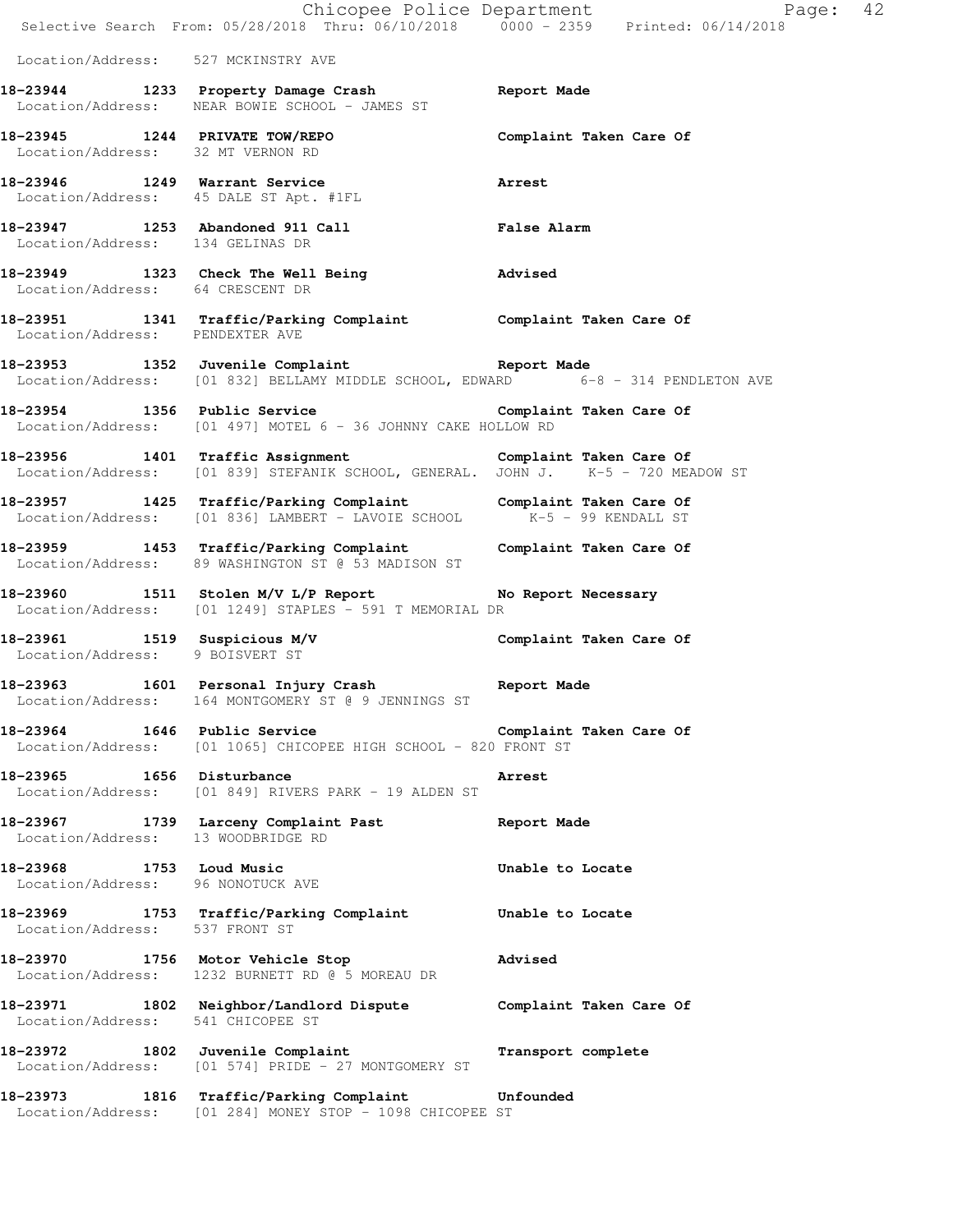|                                                    | Selective Search From: 05/28/2018 Thru: 06/10/2018 0000 - 2359 Printed: 06/14/2018                                                           | Chicopee Police Department<br>Page: 42 |
|----------------------------------------------------|----------------------------------------------------------------------------------------------------------------------------------------------|----------------------------------------|
| Location/Address: 527 MCKINSTRY AVE                |                                                                                                                                              |                                        |
|                                                    | 18-23944 1233 Property Damage Crash Report Made<br>Location/Address: NEAR BOWIE SCHOOL - JAMES ST                                            |                                        |
| Location/Address: 32 MT VERNON RD                  | 18-23945 1244 PRIVATE TOW/REPO Complaint Taken Care Of                                                                                       |                                        |
|                                                    | 18-23946 1249 Warrant Service<br>Location/Address: 45 DALE ST Apt. #1FL                                                                      | Arrest                                 |
| Location/Address: 134 GELINAS DR                   | 18-23947 1253 Abandoned 911 Call <b>Exam Prophet Call</b> False Alarm                                                                        |                                        |
| Location/Address: 64 CRESCENT DR                   | 18-23949 1323 Check The Well Being The Movised                                                                                               |                                        |
|                                                    | 18-23951 1341 Traffic/Parking Complaint Complaint Taken Care Of Location/Address: PENDEXTER AVE                                              |                                        |
|                                                    | 18-23953 1352 Juvenile Complaint<br>Location/Address: [01 832] BELLAMY MIDDLE SCHOOL, EDWARD 6-8 - 314 PENDLETON AVE                         |                                        |
|                                                    | 18-23954 1356 Public Service <b>1896 Complaint Taken Care Of</b><br>Location/Address: [01 497] MOTEL 6 - 36 JOHNNY CAKE HOLLOW RD            |                                        |
|                                                    | 18-23956 1401 Traffic Assignment Complaint Taken Care Of<br>Location/Address: [01 839] STEFANIK SCHOOL, GENERAL. JOHN J. K-5 - 720 MEADOW ST |                                        |
|                                                    | 18-23957 1425 Traffic/Parking Complaint Complaint Taken Care Of<br>Location/Address: [01 836] LAMBERT - LAVOIE SCHOOL K-5 - 99 KENDALL ST    |                                        |
|                                                    | 18-23959 1453 Traffic/Parking Complaint Complaint Taken Care Of<br>Location/Address: 89 WASHINGTON ST @ 53 MADISON ST                        |                                        |
|                                                    | 18-23960 1511 Stolen M/V L/P Report No Report Necessary<br>Location/Address: [01 1249] STAPLES - 591 T MEMORIAL DR                           |                                        |
| Location/Address: 9 BOISVERT ST                    | 18-23961 1519 Suspicious M/V 1999 Complaint Taken Care Of                                                                                    |                                        |
|                                                    | 18-23963 1601 Personal Injury Crash 18-23963 Report Made<br>Location/Address: 164 MONTGOMERY ST @ 9 JENNINGS ST                              |                                        |
| 18-23964 1646 Public Service                       | Location/Address: [01 1065] CHICOPEE HIGH SCHOOL - 820 FRONT ST                                                                              | Complaint Taken Care Of                |
| 18-23965 1656 Disturbance                          | Location/Address: [01 849] RIVERS PARK - 19 ALDEN ST                                                                                         | Arrest                                 |
| Location/Address: 13 WOODBRIDGE RD                 | 18-23967 1739 Larceny Complaint Past                                                                                                         | Report Made                            |
| 18-23968 2014<br>Location/Address: 96 NONOTUCK AVE | 1753 Loud Music                                                                                                                              | Unable to Locate                       |
| Location/Address: 537 FRONT ST                     | 18-23969 1753 Traffic/Parking Complaint                                                                                                      | Unable to Locate                       |
|                                                    | 18-23970 1756 Motor Vehicle Stop<br>Location/Address: 1232 BURNETT RD @ 5 MOREAU DR                                                          | Advised                                |
| Location/Address:                                  | 18-23971 1802 Neighbor/Landlord Dispute<br>541 CHICOPEE ST                                                                                   | Complaint Taken Care Of                |
| 18-23972                                           | 1802 Juvenile Complaint<br>Location/Address: [01 574] PRIDE - 27 MONTGOMERY ST                                                               | Transport complete                     |
| 18-23973                                           | 1816 Traffic/Parking Complaint<br>Location/Address: [01 284] MONEY STOP - 1098 CHICOPEE ST                                                   | Unfounded                              |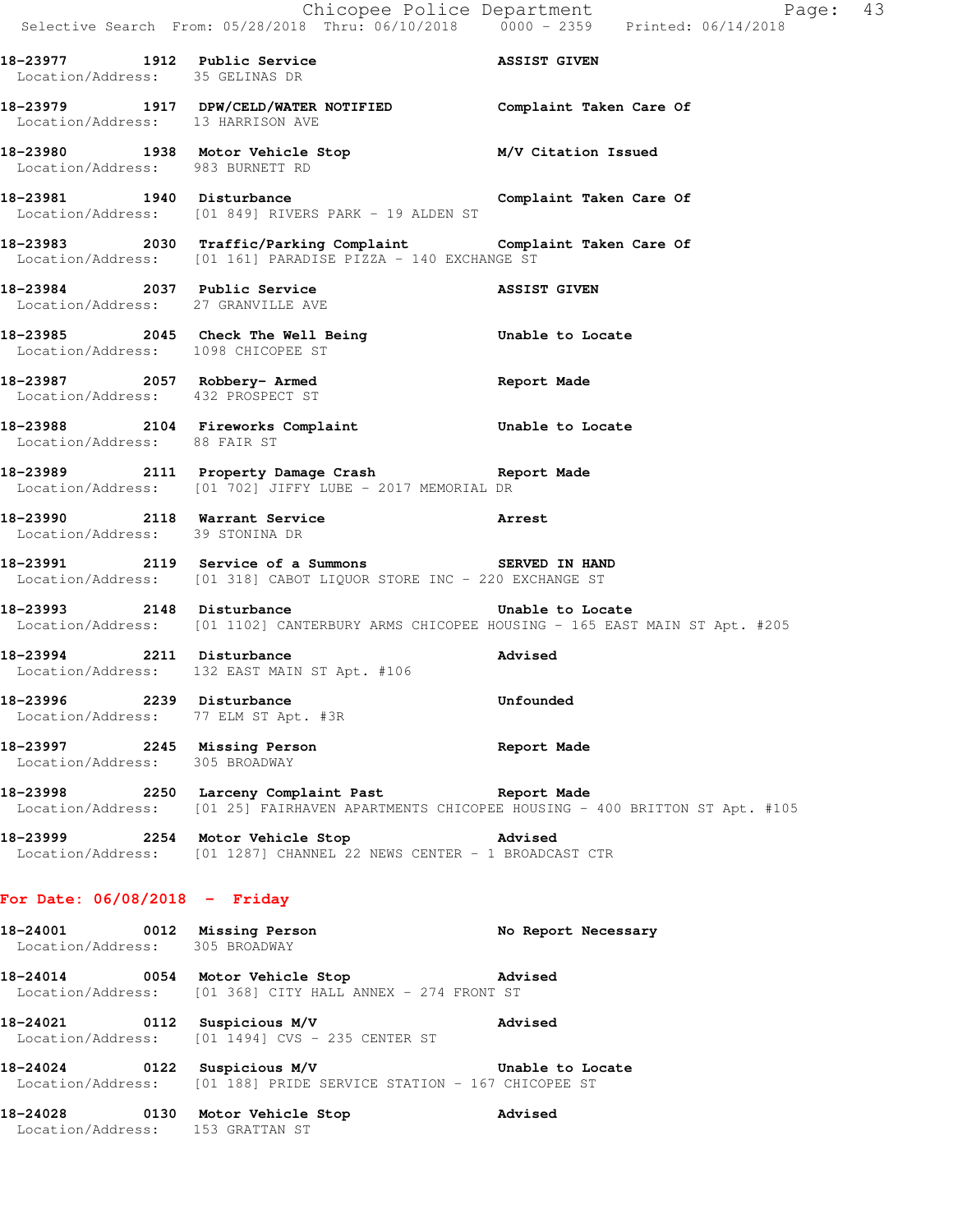18-23977 1912 Public Service **1912 Rublic Service** ASSIST GIVEN Location/Address: 35 GELINAS DR **18-23979 1917 DPW/CELD/WATER NOTIFIED Complaint Taken Care Of**  Location/Address: 13 HARRISON AVE **18-23980 1938 Motor Vehicle Stop M/V Citation Issued**  Location/Address: 983 BURNETT RD 18-23981 1940 Disturbance **Complaint Taken Care Of** Location/Address: [01 849] RIVERS PARK - 19 ALDEN ST **18-23983 2030 Traffic/Parking Complaint Complaint Taken Care Of**  Location/Address: [01 161] PARADISE PIZZA - 140 EXCHANGE ST **18-23984 2037 Public Service ASSIST GIVEN**  Location/Address: 27 GRANVILLE AVE **18-23985 2045 Check The Well Being Unable to Locate**  Location/Address: 1098 CHICOPEE ST **18-23987 2057 Robbery- Armed Report Made**  Location/Address: 432 PROSPECT ST **18-23988 2104 Fireworks Complaint Unable to Locate**  Location/Address: 88 FAIR ST **18-23989 2111 Property Damage Crash Report Made**  Location/Address: [01 702] JIFFY LUBE - 2017 MEMORIAL DR **18-23990 2118 Warrant Service Arrest**  Location/Address: 39 STONINA DR **18-23991 2119 Service of a Summons SERVED IN HAND**  Location/Address: [01 318] CABOT LIQUOR STORE INC - 220 EXCHANGE ST 18-23993 2148 Disturbance **18-23993** Disturbance Location/Address: [01 1102] CANTERBURY ARMS CHICOPEE HOUSING - 165 EAST MAIN ST Apt. #205 **18-23994 2211 Disturbance Advised**  Location/Address: 132 EAST MAIN ST Apt. #106 **18-23996 2239 Disturbance Unfounded**  Location/Address: 77 ELM ST Apt. #3R **18-23997 2245 Missing Person Report Made**  Location/Address: 305 BROADWAY **18-23998 2250 Larceny Complaint Past Report Made**  Location/Address: [01 25] FAIRHAVEN APARTMENTS CHICOPEE HOUSING - 400 BRITTON ST Apt. #105 **18-23999 2254 Motor Vehicle Stop Advised**  Location/Address: [01 1287] CHANNEL 22 NEWS CENTER - 1 BROADCAST CTR **For Date: 06/08/2018 - Friday 18-24001 0012 Missing Person No Report Necessary**  Location/Address: 305 BROADWAY **18-24014 0054 Motor Vehicle Stop Advised**  Location/Address: [01 368] CITY HALL ANNEX - 274 FRONT ST **18-24021 0112 Suspicious M/V Advised**  Location/Address: [01 1494] CVS - 235 CENTER ST **18-24024 0122 Suspicious M/V Unable to Locate**  Location/Address: [01 188] PRIDE SERVICE STATION - 167 CHICOPEE ST **18-24028 0130 Motor Vehicle Stop Advised** 

Location/Address: 153 GRATTAN ST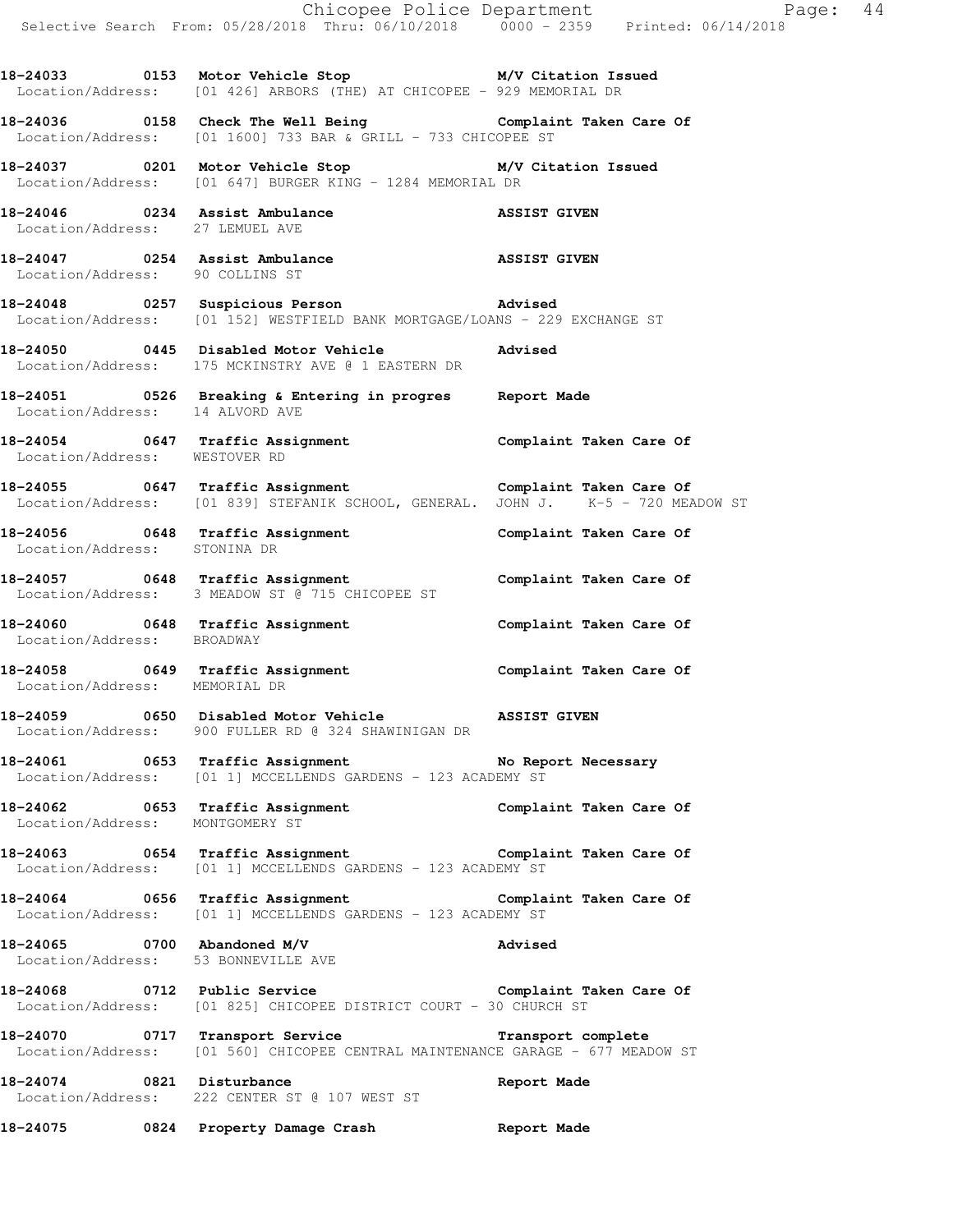Chicopee Police Department Page: 44 Selective Search From: 05/28/2018 Thru: 06/10/2018 0000 - 2359 Printed: 06/14/2018 **18-24033 0153 Motor Vehicle Stop M/V Citation Issued**  Location/Address: [01 426] ARBORS (THE) AT CHICOPEE - 929 MEMORIAL DR **18-24036 0158 Check The Well Being Complaint Taken Care Of**  Location/Address: [01 1600] 733 BAR & GRILL - 733 CHICOPEE ST **18-24037 0201 Motor Vehicle Stop M/V Citation Issued**  Location/Address: [01 647] BURGER KING - 1284 MEMORIAL DR **18-24046 0234 Assist Ambulance ASSIST GIVEN**  Location/Address: 27 LEMUEL AVE **18-24047 0254 Assist Ambulance ASSIST GIVEN**  Location/Address: 90 COLLINS ST **18-24048 0257 Suspicious Person Advised**  Location/Address: [01 152] WESTFIELD BANK MORTGAGE/LOANS - 229 EXCHANGE ST **18-24050 0445 Disabled Motor Vehicle Advised**  Location/Address: 175 MCKINSTRY AVE @ 1 EASTERN DR **18-24051 0526 Breaking & Entering in progres Report Made**  Location/Address: 14 ALVORD AVE **18-24054 0647 Traffic Assignment Complaint Taken Care Of**  Location/Address: WESTOVER RD **18-24055 0647 Traffic Assignment Complaint Taken Care Of**  Location/Address: [01 839] STEFANIK SCHOOL, GENERAL. JOHN J. K-5 - 720 MEADOW ST **18-24056 0648 Traffic Assignment Complaint Taken Care Of**  Location/Address: STONINA DR **18-24057 0648 Traffic Assignment Complaint Taken Care Of**  Location/Address: 3 MEADOW ST @ 715 CHICOPEE ST **18-24060 0648 Traffic Assignment Complaint Taken Care Of**  Location/Address: BROADWAY **18-24058 0649 Traffic Assignment Complaint Taken Care Of**  Location/Address: MEMORIAL DR **18-24059 0650 Disabled Motor Vehicle ASSIST GIVEN**  Location/Address: 900 FULLER RD @ 324 SHAWINIGAN DR **18-24061 0653 Traffic Assignment No Report Necessary**  Location/Address: [01 1] MCCELLENDS GARDENS - 123 ACADEMY ST **18-24062 0653 Traffic Assignment Complaint Taken Care Of**  Location/Address: MONTGOMERY ST **18-24063 0654 Traffic Assignment Complaint Taken Care Of**  Location/Address: [01 1] MCCELLENDS GARDENS - 123 ACADEMY ST **18-24064 0656 Traffic Assignment Complaint Taken Care Of**  Location/Address: [01 1] MCCELLENDS GARDENS - 123 ACADEMY ST **18-24065 0700 Abandoned M/V Advised**  Location/Address: 53 BONNEVILLE AVE **18-24068 0712 Public Service Complaint Taken Care Of**  Location/Address: [01 825] CHICOPEE DISTRICT COURT - 30 CHURCH ST **18-24070 0717 Transport Service Transport complete**  Location/Address: [01 560] CHICOPEE CENTRAL MAINTENANCE GARAGE - 677 MEADOW ST **18-24074 0821 Disturbance Report Made**  Location/Address: 222 CENTER ST @ 107 WEST ST **18-24075 0824 Property Damage Crash Report Made**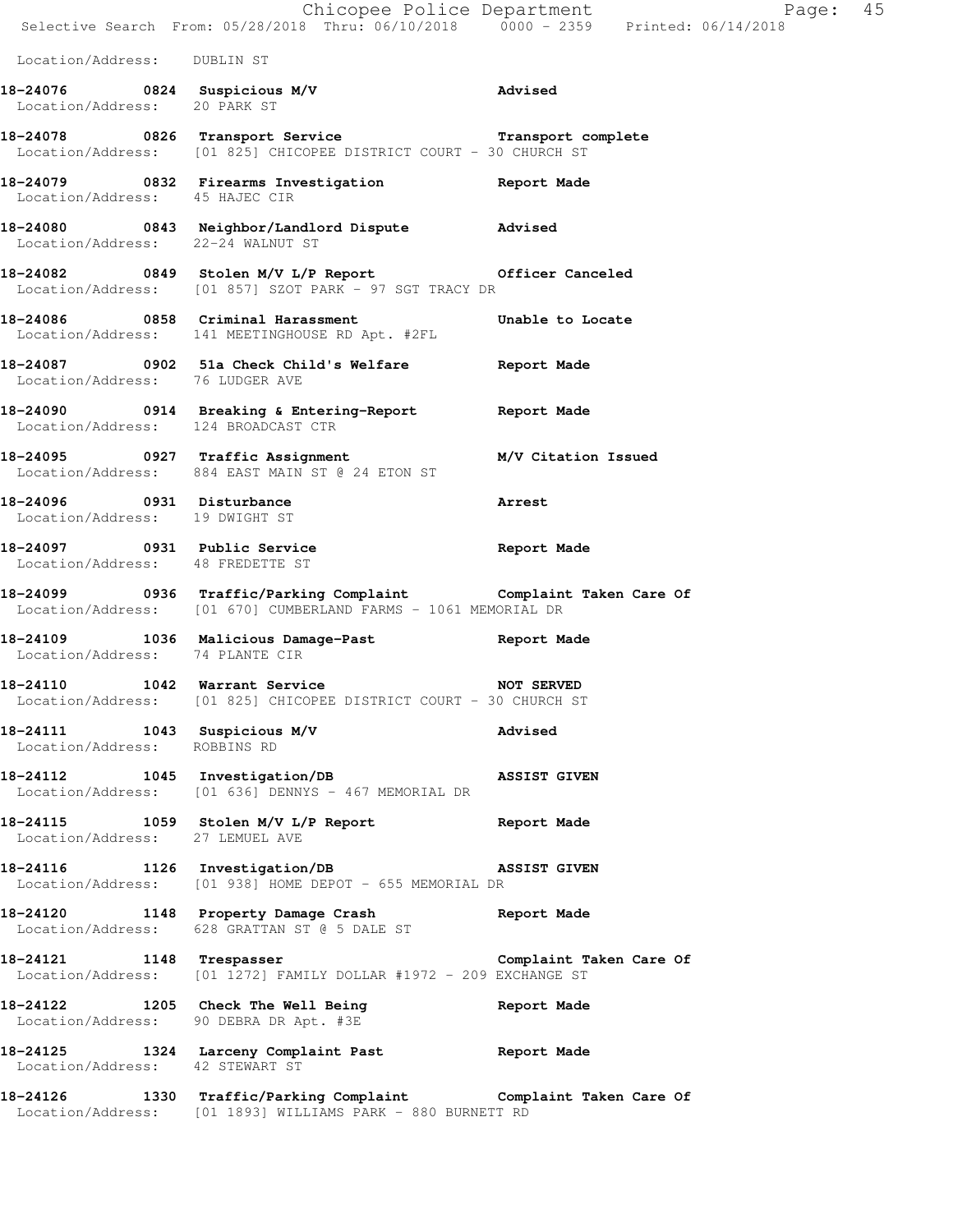|                                                              | Chicopee Police Department<br>Selective Search From: 05/28/2018 Thru: 06/10/2018 0000 - 2359 Printed: 06/14/2018                  |                         |
|--------------------------------------------------------------|-----------------------------------------------------------------------------------------------------------------------------------|-------------------------|
| Location/Address: DUBLIN ST                                  |                                                                                                                                   |                         |
| Location/Address: 20 PARK ST                                 | 18-24076 0824 Suspicious M/V advised                                                                                              |                         |
|                                                              | 18-24078 0826 Transport Service <b>Transport Complete</b><br>Location/Address: [01 825] CHICOPEE DISTRICT COURT - 30 CHURCH ST    |                         |
| Location/Address: 45 HAJEC CIR                               | 18-24079 0832 Firearms Investigation 18-24079 Neport Made                                                                         |                         |
| Location/Address: 22-24 WALNUT ST                            | 18-24080 0843 Neighbor/Landlord Dispute Advised                                                                                   |                         |
|                                                              | 18-24082 0849 Stolen M/V L/P Report Officer Canceled<br>Location/Address: [01 857] SZOT PARK - 97 SGT TRACY DR                    |                         |
|                                                              | 18-24086 0858 Criminal Harassment<br>Location/Address: 141 MEETINGHOUSE RD Apt. #2FL                                              | Unable to Locate        |
| Location/Address: 76 LUDGER AVE                              | 18-24087 		 0902 51a Check Child's Welfare 		 Report Made                                                                         |                         |
| Location/Address: 124 BROADCAST CTR                          | 18-24090 0914 Breaking & Entering-Report 6 Report Made                                                                            |                         |
|                                                              | 18-24095 0927 Traffic Assignment M/V Citation Issued<br>Location/Address: 884 EAST MAIN ST @ 24 ETON ST                           |                         |
| 18-24096 0931 Disturbance<br>Location/Address: 19 DWIGHT ST  |                                                                                                                                   | Arrest                  |
| Location/Address: 48 FREDETTE ST                             | 18-24097 0931 Public Service Report Made                                                                                          |                         |
|                                                              | 18-24099 0936 Traffic/Parking Complaint Complaint Taken Care Of<br>Location/Address: [01 670] CUMBERLAND FARMS - 1061 MEMORIAL DR |                         |
| Location/Address: 74 PLANTE CIR                              | 18-24109 1036 Malicious Damage-Past Report Made                                                                                   |                         |
| 18-24110                                                     | 1042 Warrant Service<br>Location/Address: [01 825] CHICOPEE DISTRICT COURT - 30 CHURCH ST                                         | <b>NOT SERVED</b>       |
| 18-24111 1043 Suspicious M/V<br>Location/Address: ROBBINS RD |                                                                                                                                   | Advised                 |
|                                                              | 18-24112 1045 Investigation/DB ASSIST GIVEN<br>Location/Address: [01 636] DENNYS - 467 MEMORIAL DR                                |                         |
| Location/Address: 27 LEMUEL AVE                              | 18-24115 1059 Stolen M/V L/P Report 101 Report Made                                                                               |                         |
| 18-24116 1126 Investigation/DB                               | ASSIST GIVEN<br>Location/Address: [01 938] HOME DEPOT - 655 MEMORIAL DR                                                           |                         |
|                                                              | 18-24120 1148 Property Damage Crash<br>Location/Address: 628 GRATTAN ST @ 5 DALE ST                                               | Report Made             |
| 18-24121 1148 Trespasser                                     | Location/Address: [01 1272] FAMILY DOLLAR #1972 - 209 EXCHANGE ST                                                                 | Complaint Taken Care Of |
|                                                              | 18-24122 1205 Check The Well Being<br>Location/Address: 90 DEBRA DR Apt. #3E                                                      | Report Made             |
| Location/Address: 42 STEWART ST                              | 18-24125 1324 Larceny Complaint Past Report Made                                                                                  |                         |
|                                                              | 18-24126 1330 Traffic/Parking Complaint Complaint Taken Care Of<br>Location/Address: [01 1893] WILLIAMS PARK - 880 BURNETT RD     |                         |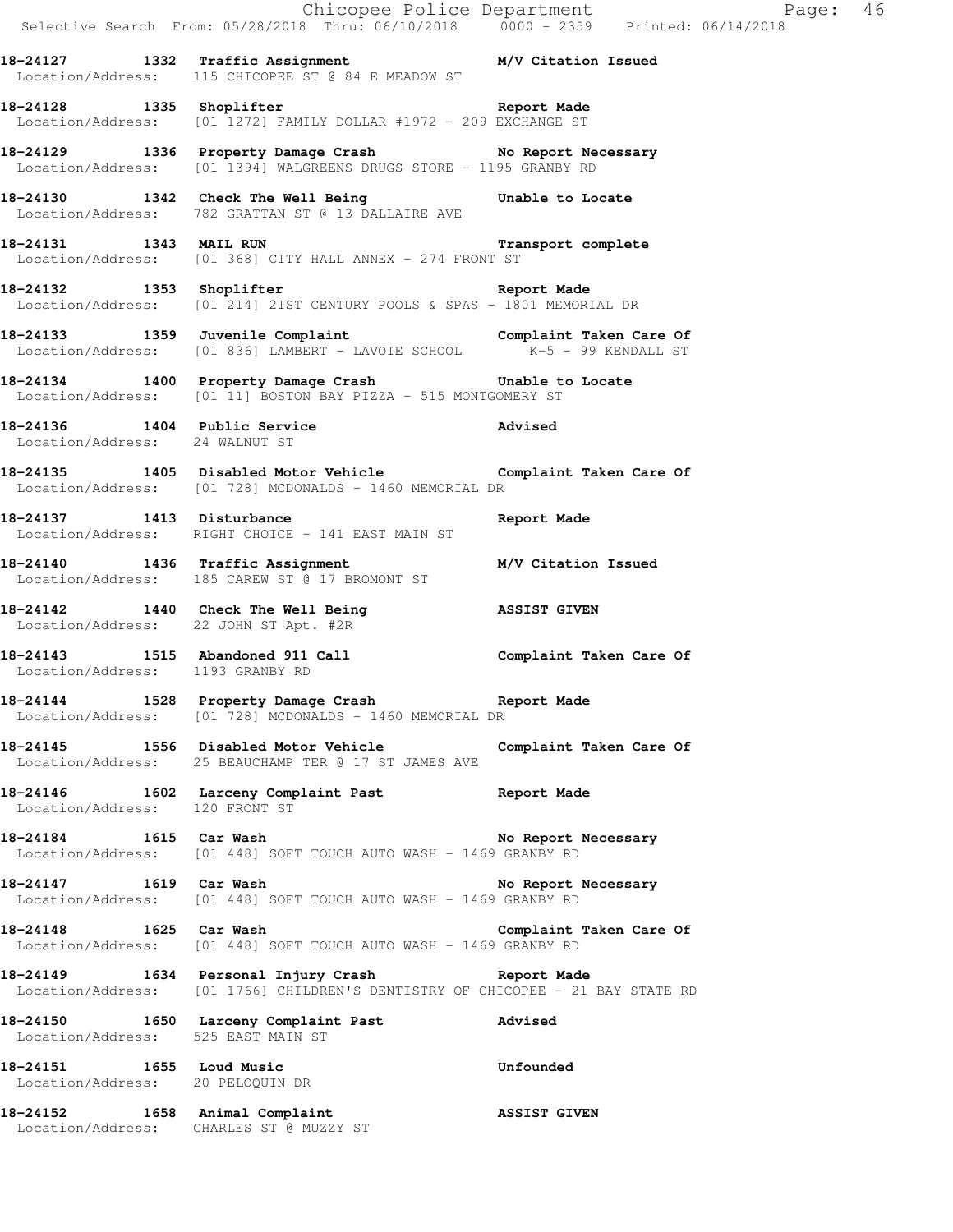|                                                              | Selective Search From: 05/28/2018 Thru: 06/10/2018 0000 - 2359 Printed: 06/14/2018                                                        |                         |
|--------------------------------------------------------------|-------------------------------------------------------------------------------------------------------------------------------------------|-------------------------|
|                                                              | 18-24127 1332 Traffic Assignment M/V Citation Issued<br>Location/Address: 115 CHICOPEE ST @ 84 E MEADOW ST                                |                         |
|                                                              | 18-24128 1335 Shoplifter and Report Made<br>Location/Address: [01 1272] FAMILY DOLLAR #1972 - 209 EXCHANGE ST                             |                         |
|                                                              | 18-24129 1336 Property Damage Crash No Report Necessary<br>Location/Address: [01 1394] WALGREENS DRUGS STORE - 1195 GRANBY RD             |                         |
|                                                              | 18-24130 1342 Check The Well Being Unable to Locate<br>Location/Address: 782 GRATTAN ST @ 13 DALLAIRE AVE                                 |                         |
| 18-24131 1343 MAIL RUN                                       | Transport complete<br>Location/Address: [01 368] CITY HALL ANNEX - 274 FRONT ST                                                           |                         |
|                                                              | 18-24132 1353 Shoplifter 2008 Report Made<br>Location/Address: [01 214] 21ST CENTURY POOLS & SPAS - 1801 MEMORIAL DR                      |                         |
|                                                              | 18-24133 1359 Juvenile Complaint Complaint Complaint Taken Care Of Location/Address: [01 836] LAMBERT - LAVOIE SCHOOL K-5 - 99 KENDALL ST |                         |
|                                                              | 18-24134 1400 Property Damage Crash 5 Unable to Locate<br>Location/Address: [01 11] BOSTON BAY PIZZA - 515 MONTGOMERY ST                  |                         |
| Location/Address: 24 WALNUT ST                               | 18-24136 1404 Public Service                                                                                                              | Advised                 |
|                                                              | 18-24135 1405 Disabled Motor Vehicle Complaint Taken Care Of<br>Location/Address: [01 728] MCDONALDS - 1460 MEMORIAL DR                   |                         |
|                                                              | 18-24137 1413 Disturbance<br>Location/Address: RIGHT CHOICE - 141 EAST MAIN ST                                                            | Report Made             |
|                                                              | 18-24140 1436 Traffic Assignment M/V Citation Issued<br>Location/Address: 185 CAREW ST @ 17 BROMONT ST                                    |                         |
|                                                              | 18-24142   1440   Check The Well Being   ASSIST GIVEN   Location/Address: 22 JOHN ST Apt. #2R                                             |                         |
|                                                              | 18-24143   1515   Abandoned 911   Call   Complaint Taken Care Of Location/Address: 1193   GRANBY RD                                       |                         |
|                                                              | 18-24144 1528 Property Damage Crash Report Made<br>Location/Address: [01 728] MCDONALDS - 1460 MEMORIAL DR                                |                         |
|                                                              | 18-24145 1556 Disabled Motor Vehicle Complaint Taken Care Of<br>Location/Address: 25 BEAUCHAMP TER @ 17 ST JAMES AVE                      |                         |
| Location/Address: 120 FRONT ST                               | 18-24146 1602 Larceny Complaint Past Report Made                                                                                          |                         |
| 18-24184 1615 Car Wash                                       | Location/Address: [01 448] SOFT TOUCH AUTO WASH - 1469 GRANBY RD                                                                          | No Report Necessary     |
| 18-24147 1619 Car Wash                                       | Location/Address: [01 448] SOFT TOUCH AUTO WASH - 1469 GRANBY RD                                                                          | No Report Necessary     |
| 18-24148 1625 Car Wash                                       | Location/Address: [01 448] SOFT TOUCH AUTO WASH - 1469 GRANBY RD                                                                          | Complaint Taken Care Of |
|                                                              | 18-24149 1634 Personal Injury Crash Report Made<br>Location/Address: [01 1766] CHILDREN'S DENTISTRY OF CHICOPEE - 21 BAY STATE RD         |                         |
|                                                              | 18-24150 1650 Larceny Complaint Past Mavised Location/Address: 525 EAST MAIN ST                                                           |                         |
| 18-24151 1655 Loud Music<br>Location/Address: 20 PELOQUIN DR |                                                                                                                                           | Unfounded               |
|                                                              | 18-24152 1658 Animal Complaint<br>Location/Address: CHARLES ST @ MUZZY ST                                                                 | <b>ASSIST GIVEN</b>     |

Chicopee Police Department Page: 46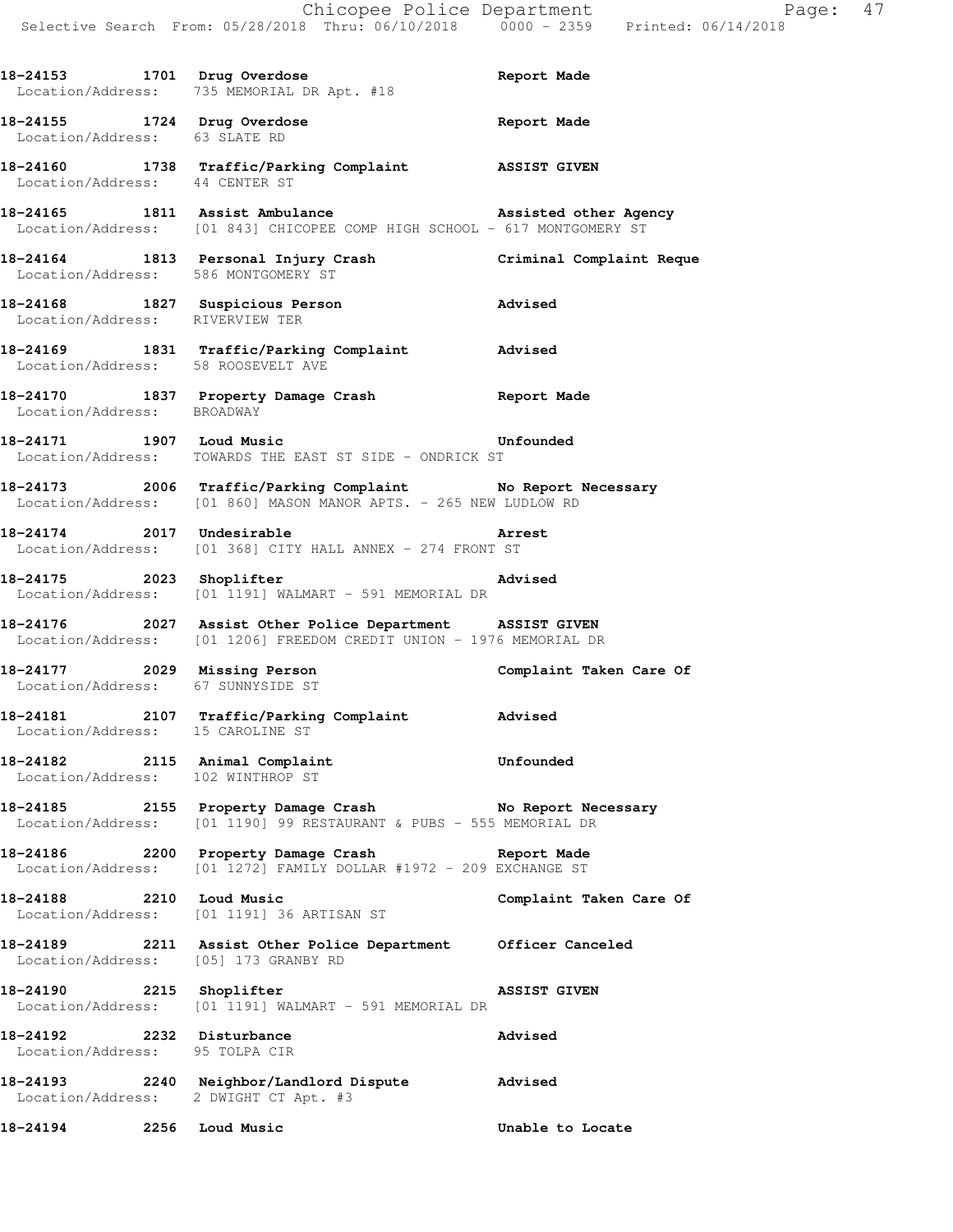|                                                             | 18-24153 1701 Drug Overdose<br>Location/Address: 735 MEMORIAL DR Apt. #18                                                             | Report Made             |
|-------------------------------------------------------------|---------------------------------------------------------------------------------------------------------------------------------------|-------------------------|
|                                                             | 18-24155 1724 Drug Overdose<br>Location/Address: 63 SLATE RD                                                                          | Report Made             |
|                                                             | 18-24160 1738 Traffic/Parking Complaint ASSIST GIVEN<br>Location/Address: 44 CENTER ST                                                |                         |
|                                                             | 18-24165 1811 Assist Ambulance 1988 assisted other Agency<br>Location/Address: [01 843] CHICOPEE COMP HIGH SCHOOL - 617 MONTGOMERY ST |                         |
| Location/Address: 586 MONTGOMERY ST                         | 18-24164 1813 Personal Injury Crash (Criminal Complaint Reque                                                                         |                         |
| Location/Address: RIVERVIEW TER                             | 18-24168 1827 Suspicious Person                                                                                                       | Advised                 |
| Location/Address: 58 ROOSEVELT AVE                          | 18-24169 1831 Traffic/Parking Complaint Advised                                                                                       |                         |
| Location/Address: BROADWAY                                  | 18-24170 1837 Property Damage Crash Report Made                                                                                       |                         |
|                                                             | 18-24171 1907 Loud Music <b>18-24171</b> 1907 Loud Music<br>Location/Address: TOWARDS THE EAST ST SIDE - ONDRICK ST                   |                         |
|                                                             | 18-24173 2006 Traffic/Parking Complaint No Report Necessary<br>Location/Address: [01 860] MASON MANOR APTS. - 265 NEW LUDLOW RD       |                         |
|                                                             | 18-24174 2017 Undesirable<br>Location/Address: [01 368] CITY HALL ANNEX - 274 FRONT ST                                                |                         |
|                                                             | Advised<br>18-24175<br>Location/Address: [01 1191] WALMART - 591 MEMORIAL DR                                                          |                         |
|                                                             | 18-24176 2027 Assist Other Police Department ASSIST GIVEN<br>Location/Address: [01 1206] FREEDOM CREDIT UNION - 1976 MEMORIAL DR      |                         |
| Location/Address: 67 SUNNYSIDE ST                           | 18-24177 2029 Missing Person Complaint Taken Care Of                                                                                  |                         |
| Location/Address: 15 CAROLINE ST                            | 18-24181 2107 Traffic/Parking Complaint Advised                                                                                       |                         |
| Location/Address: 102 WINTHROP ST                           | 18-24182 2115 Animal Complaint                                                                                                        | Unfounded               |
|                                                             | 18-24185 2155 Property Damage Crash No Report Necessary<br>Location/Address: [01 1190] 99 RESTAURANT & PUBS - 555 MEMORIAL DR         |                         |
|                                                             | 18-24186 2200 Property Damage Crash Report Made<br>Location/Address: [01 1272] FAMILY DOLLAR #1972 - 209 EXCHANGE ST                  |                         |
| 18-24188 2210 Loud Music                                    | Location/Address: [01 1191] 36 ARTISAN ST                                                                                             | Complaint Taken Care Of |
|                                                             | 18-24189 2211 Assist Other Police Department Officer Canceled<br>Location/Address: [05] 173 GRANBY RD                                 |                         |
|                                                             | 18-24190<br>Location/Address: [01 1191] WALMART - 591 MEMORIAL DR                                                                     | ASSIST GIVEN            |
| 18-24192 2232 Disturbance<br>Location/Address: 95 TOLPA CIR |                                                                                                                                       | Advised                 |
|                                                             | 18-24193 2240 Neighbor/Landlord Dispute Advised<br>Location/Address: 2 DWIGHT CT Apt. #3                                              |                         |
| 18-24194 2256 Loud Music                                    |                                                                                                                                       | Unable to Locate        |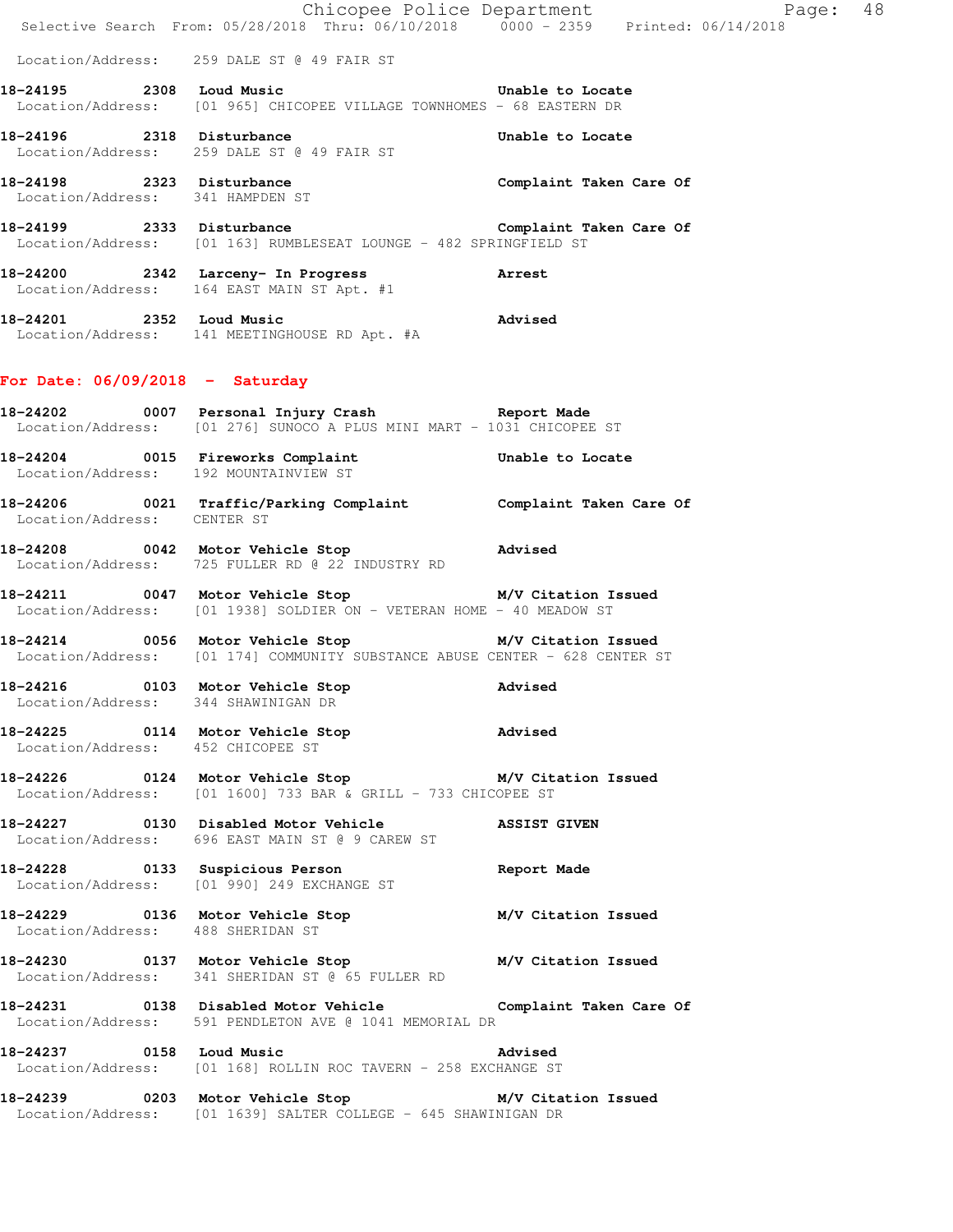|                                       | E Chicopee Police Department<br>Selective Search From: 05/28/2018 Thru: 06/10/2018 0000 - 2359 Printed: 06/14/2018                  | Page: 48         |  |
|---------------------------------------|-------------------------------------------------------------------------------------------------------------------------------------|------------------|--|
|                                       | Location/Address: 259 DALE ST @ 49 FAIR ST                                                                                          |                  |  |
|                                       | 18-24195 2308 Loud Music<br>Location/Address: [01 965] CHICOPEE VILLAGE TOWNHOMES - 68 EASTERN DR                                   | Unable to Locate |  |
|                                       | 18-24196 2318 Disturbance<br>Location/Address: 259 DALE ST @ 49 FAIR ST                                                             | Unable to Locate |  |
| Location/Address: 341 HAMPDEN ST      | 18-24198 2323 Disturbance<br>18-24198 2323 Disturbance                                                                              |                  |  |
|                                       | 18-24199 2333 Disturbance Complaint Taken Care Of<br>Location/Address: [01 163] RUMBLESEAT LOUNGE - 482 SPRINGFIELD ST              |                  |  |
|                                       | 18-24200 2342 Larceny- In Progress Arrest<br>Location/Address: 164 EAST MAIN ST Apt. #1                                             |                  |  |
|                                       | 18-24201 2352 Loud Music<br>Location/Address: 141 MEETINGHOUSE RD Apt. #A                                                           | Advised          |  |
| For Date: $06/09/2018$ - Saturday     |                                                                                                                                     |                  |  |
|                                       | 18-24202 0007 Personal Injury Crash Report Made<br>Location/Address: [01 276] SUNOCO A PLUS MINI MART - 1031 CHICOPEE ST            |                  |  |
| Location/Address: 192 MOUNTAINVIEW ST | 18-24204 0015 Fireworks Complaint Chable to Locate                                                                                  |                  |  |
| Location/Address: CENTER ST           | 18-24206 0021 Traffic/Parking Complaint Complaint Taken Care Of                                                                     |                  |  |
|                                       | 18-24208 0042 Motor Vehicle Stop 318-24208<br>Location/Address: 725 FULLER RD @ 22 INDUSTRY RD                                      |                  |  |
|                                       | 18-24211 0047 Motor Vehicle Stop M/V Citation Issued<br>Location/Address: [01 1938] SOLDIER ON - VETERAN HOME - 40 MEADOW ST        |                  |  |
|                                       | 18-24214 0056 Motor Vehicle Stop M/V Citation Issued<br>Location/Address: [01 174] COMMUNITY SUBSTANCE ABUSE CENTER - 628 CENTER ST |                  |  |
| Location/Address: 344 SHAWINIGAN DR   | 18-24216 0103 Motor Vehicle Stop                                                                                                    | <b>Advised</b>   |  |
| Location/Address: 452 CHICOPEE ST     | 18-24225 0114 Motor Vehicle Stop Modused                                                                                            |                  |  |
|                                       | 18-24226   0124   Motor Vehicle Stop   M/V Citation Issued<br>Location/Address: [01 1600] 733 BAR & GRILL - 733 CHICOPEE ST         |                  |  |
|                                       | 18-24227 0130 Disabled Motor Vehicle ASSIST GIVEN<br>Location/Address: 696 EAST MAIN ST @ 9 CAREW ST                                |                  |  |
|                                       | 18-24228 0133 Suspicious Person<br>Location/Address: [01 990] 249 EXCHANGE ST                                                       | Report Made      |  |
| Location/Address: 488 SHERIDAN ST     | 18-24229 136 Motor Vehicle Stop M/V Citation Issued                                                                                 |                  |  |
|                                       | 18-24230 0137 Motor Vehicle Stop M/V Citation Issued<br>Location/Address: 341 SHERIDAN ST @ 65 FULLER RD                            |                  |  |
|                                       | 18-24231 0138 Disabled Motor Vehicle Complaint Taken Care Of<br>Location/Address: 591 PENDLETON AVE @ 1041 MEMORIAL DR              |                  |  |
|                                       | 18-24237 0158 Loud Music<br>Location/Address: [01 168] ROLLIN ROC TAVERN - 258 EXCHANGE ST                                          | <b>Advised</b>   |  |
|                                       | 18-24239 0203 Motor Vehicle Stop M/V Citation Issued<br>Location/Address: [01 1639] SALTER COLLEGE - 645 SHAWINIGAN DR              |                  |  |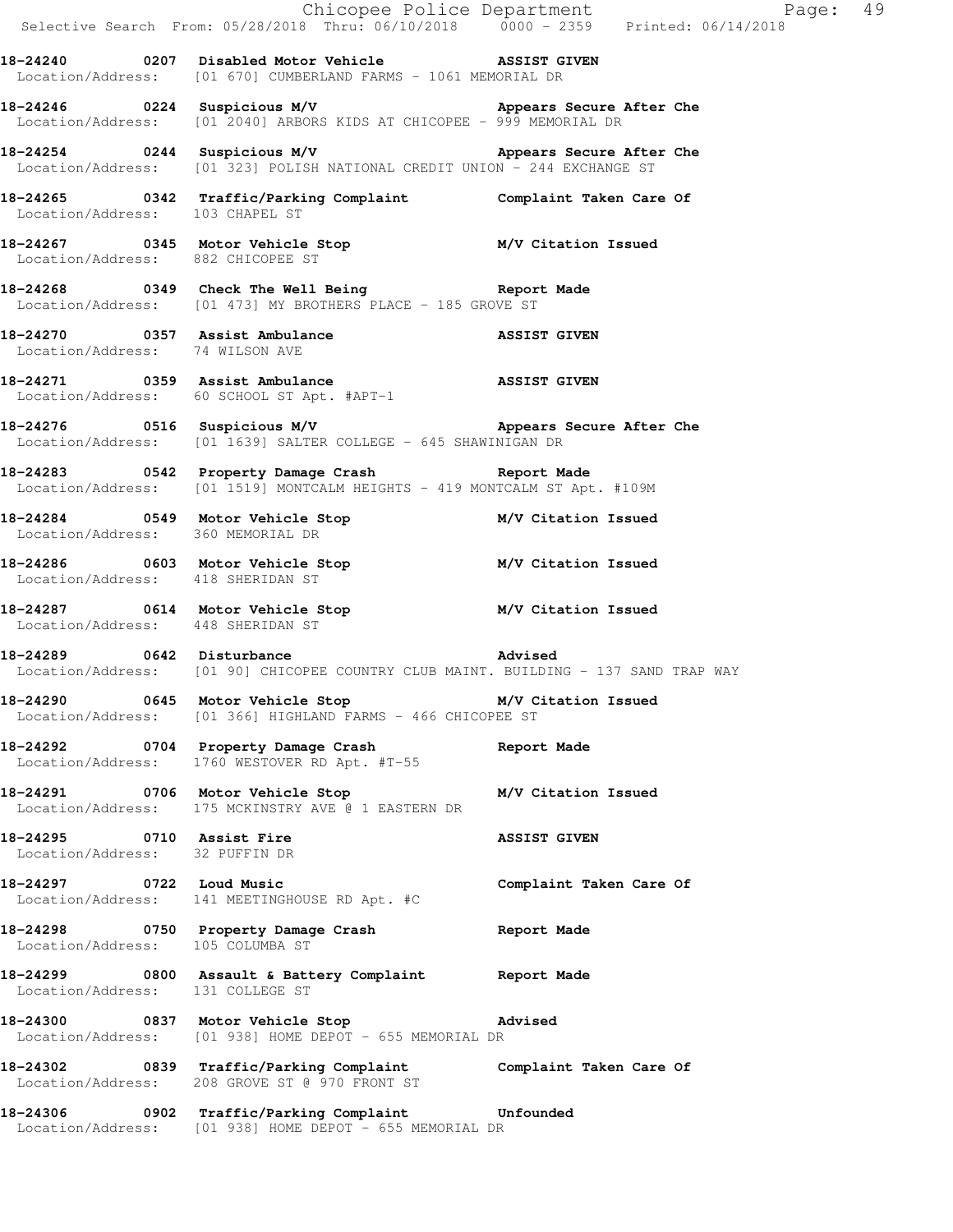|                                                             |                                                                                                                                | Chicopee Police Department<br>Selective Search From: 05/28/2018 Thru: 06/10/2018 0000 - 2359 Printed: 06/14/2018 |
|-------------------------------------------------------------|--------------------------------------------------------------------------------------------------------------------------------|------------------------------------------------------------------------------------------------------------------|
|                                                             | 18-24240 0207 Disabled Motor Vehicle NSSIST GIVEN<br>Location/Address: [01 670] CUMBERLAND FARMS - 1061 MEMORIAL DR            |                                                                                                                  |
|                                                             | Location/Address: [01 2040] ARBORS KIDS AT CHICOPEE - 999 MEMORIAL DR                                                          |                                                                                                                  |
|                                                             | 18-24254 COMPRISIONS M/V Appears Secure After Che<br>Location/Address: [01 323] POLISH NATIONAL CREDIT UNION - 244 EXCHANGE ST |                                                                                                                  |
|                                                             | 18-24265 0342 Traffic/Parking Complaint Complaint Taken Care Of Location/Address: 103 CHAPEL ST                                |                                                                                                                  |
|                                                             | 18-24267 0345 Motor Vehicle Stop M/V Citation Issued<br>Location/Address: 882 CHICOPEE ST                                      |                                                                                                                  |
|                                                             | 18-24268 0349 Check The Well Being Report Made<br>Location/Address: [01 473] MY BROTHERS PLACE - 185 GROVE ST                  |                                                                                                                  |
| Location/Address: 74 WILSON AVE                             | 18-24270 0357 Assist Ambulance ASSIST GIVEN                                                                                    |                                                                                                                  |
|                                                             | 18-24271 0359 Assist Ambulance <b>18-24271</b> 18-24271<br>Location/Address: 60 SCHOOL ST Apt. #APT-1                          |                                                                                                                  |
|                                                             | Location/Address: [01 1639] SALTER COLLEGE - 645 SHAWINIGAN DR                                                                 |                                                                                                                  |
|                                                             | 18-24283 0542 Property Damage Crash Neport Made<br>Location/Address: [01 1519] MONTCALM HEIGHTS - 419 MONTCALM ST Apt. #109M   |                                                                                                                  |
|                                                             | 18-24284 0549 Motor Vehicle Stop M/V Citation Issued<br>Location/Address: 360 MEMORIAL DR                                      |                                                                                                                  |
| Location/Address: 418 SHERIDAN ST                           | 18-24286 0603 Motor Vehicle Stop M/V Citation Issued                                                                           |                                                                                                                  |
| Location/Address: 448 SHERIDAN ST                           | 18-24287 0614 Motor Vehicle Stop M/V Citation Issued                                                                           |                                                                                                                  |
|                                                             | 18-24289 0642 Disturbance<br>Location/Address: [01 90] CHICOPEE COUNTRY CLUB MAINT. BUILDING - 137 SAND TRAP WAY               |                                                                                                                  |
|                                                             | 18-24290 0645 Motor Vehicle Stop 30 M/V Citation Issued<br>Location/Address: [01 366] HIGHLAND FARMS - 466 CHICOPEE ST         |                                                                                                                  |
|                                                             | 18-24292 0704 Property Damage Crash Report Made<br>Location/Address: 1760 WESTOVER RD Apt. #T-55                               |                                                                                                                  |
|                                                             | 18-24291 0706 Motor Vehicle Stop 30 M/V Citation Issued<br>Location/Address: 175 MCKINSTRY AVE @ 1 EASTERN DR                  |                                                                                                                  |
| 18-24295 0710 Assist Fire<br>Location/Address: 32 PUFFIN DR |                                                                                                                                | <b>ASSIST GIVEN</b>                                                                                              |
| 18-24297 0722 Loud Music                                    | Location/Address: 141 MEETINGHOUSE RD Apt. #C                                                                                  | Complaint Taken Care Of                                                                                          |
| Location/Address: 105 COLUMBA ST                            | 18-24298 0750 Property Damage Crash Changer Report Made                                                                        |                                                                                                                  |
| Location/Address: 131 COLLEGE ST                            | 18-24299 0800 Assault & Battery Complaint Report Made                                                                          |                                                                                                                  |
|                                                             | 18-24300 0837 Motor Vehicle Stop Charles Advised<br>Location/Address: [01 938] HOME DEPOT - 655 MEMORIAL DR                    |                                                                                                                  |
|                                                             | 18-24302 0839 Traffic/Parking Complaint Complaint Taken Care Of<br>Location/Address: 208 GROVE ST @ 970 FRONT ST               |                                                                                                                  |
|                                                             | 18-24306 0902 Traffic/Parking Complaint Unfounded<br>Location/Address: [01 938] HOME DEPOT - 655 MEMORIAL DR                   |                                                                                                                  |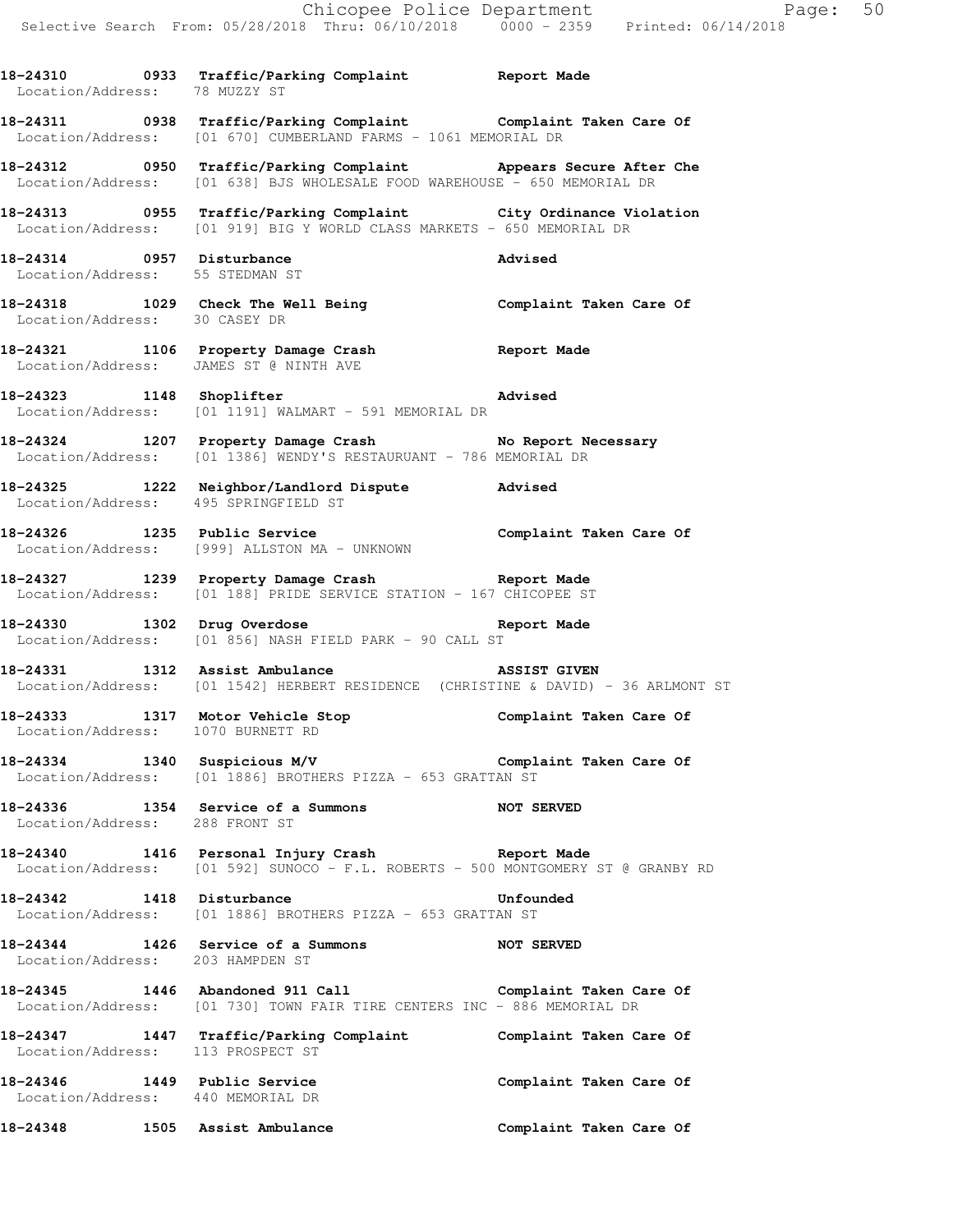**18-24310 0933 Traffic/Parking Complaint Report Made** 

 Location/Address: 78 MUZZY ST **18-24311 0938 Traffic/Parking Complaint Complaint Taken Care Of**  Location/Address: [01 670] CUMBERLAND FARMS - 1061 MEMORIAL DR **18-24312 0950 Traffic/Parking Complaint Appears Secure After Che**  Location/Address: [01 638] BJS WHOLESALE FOOD WAREHOUSE - 650 MEMORIAL DR **18-24313 0955 Traffic/Parking Complaint City Ordinance Violation**  Location/Address: [01 919] BIG Y WORLD CLASS MARKETS - 650 MEMORIAL DR **18-24314 0957 Disturbance Advised**  Location/Address: 55 STEDMAN ST **18-24318 1029 Check The Well Being Complaint Taken Care Of**  Location/Address: 30 CASEY DR **18-24321 1106 Property Damage Crash Report Made**  Location/Address: JAMES ST @ NINTH AVE **18-24323 1148 Shoplifter Advised**  Location/Address: [01 1191] WALMART - 591 MEMORIAL DR 18-24324 1207 Property Damage Crash No Report Necessary Location/Address: [01 1386] WENDY'S RESTAURUANT - 786 MEMORIAL DR **18-24325 1222 Neighbor/Landlord Dispute Advised**  Location/Address: 495 SPRINGFIELD ST 18-24326 1235 Public Service **18-24326** Complaint Taken Care Of Location/Address: [999] ALLSTON MA - UNKNOWN **18-24327 1239 Property Damage Crash Report Made**  Location/Address: [01 188] PRIDE SERVICE STATION - 167 CHICOPEE ST **18-24330 1302 Drug Overdose Report Made**  Location/Address: [01 856] NASH FIELD PARK - 90 CALL ST **18-24331 1312 Assist Ambulance ASSIST GIVEN**  Location/Address: [01 1542] HERBERT RESIDENCE (CHRISTINE & DAVID) - 36 ARLMONT ST **18-24333 1317 Motor Vehicle Stop Complaint Taken Care Of**  Location/Address: 1070 BURNETT RD **18-24334 1340 Suspicious M/V Complaint Taken Care Of**  Location/Address: [01 1886] BROTHERS PIZZA - 653 GRATTAN ST **18-24336 1354 Service of a Summons NOT SERVED**  Location/Address: 288 FRONT ST **18-24340 1416 Personal Injury Crash Report Made**  Location/Address: [01 592] SUNOCO - F.L. ROBERTS - 500 MONTGOMERY ST @ GRANBY RD **18-24342 1418 Disturbance Unfounded**  Location/Address: [01 1886] BROTHERS PIZZA - 653 GRATTAN ST **18-24344 1426 Service of a Summons NOT SERVED**  Location/Address: 203 HAMPDEN ST **18-24345 1446 Abandoned 911 Call Complaint Taken Care Of**  Location/Address: [01 730] TOWN FAIR TIRE CENTERS INC - 886 MEMORIAL DR **18-24347 1447 Traffic/Parking Complaint Complaint Taken Care Of**  Location/Address: 113 PROSPECT ST 18-24346 1449 Public Service **1886 Complaint Taken Care Of** Location/Address: 440 MEMORIAL DR

**18-24348 1505 Assist Ambulance Complaint Taken Care Of**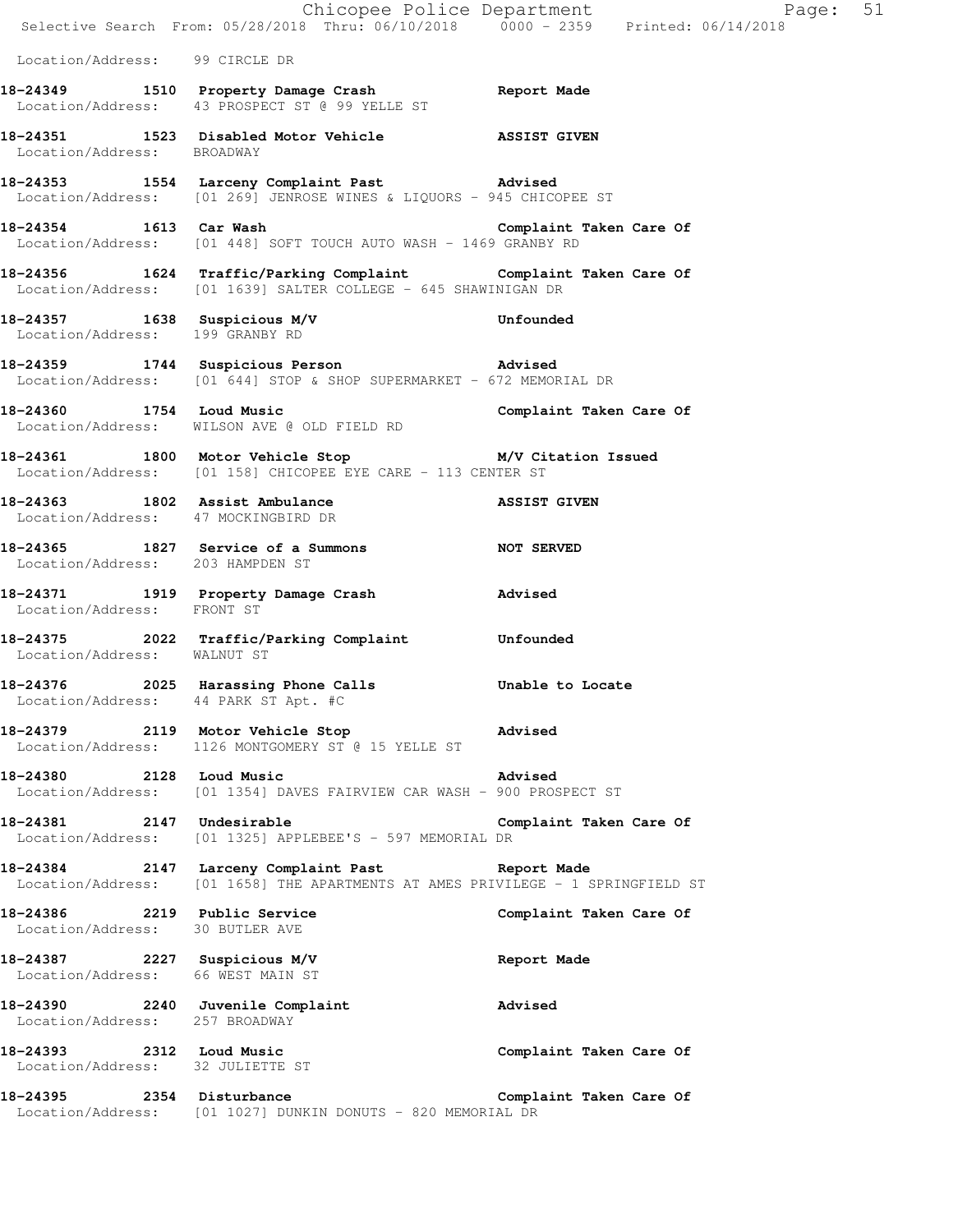|                                                                    | Chicopee Police Department<br>Selective Search From: 05/28/2018 Thru: 06/10/2018 0000 - 2359 Printed: 06/14/2018                    |                         |
|--------------------------------------------------------------------|-------------------------------------------------------------------------------------------------------------------------------------|-------------------------|
|                                                                    |                                                                                                                                     |                         |
| Location/Address: 99 CIRCLE DR                                     |                                                                                                                                     |                         |
|                                                                    | 18-24349 1510 Property Damage Crash Report Made<br>Location/Address: 43 PROSPECT ST @ 99 YELLE ST                                   |                         |
| Location/Address: BROADWAY                                         | 18-24351 1523 Disabled Motor Vehicle 28SIST GIVEN                                                                                   |                         |
|                                                                    | 18-24353 1554 Larceny Complaint Past 18-24353<br>Location/Address: [01 269] JENROSE WINES & LIQUORS - 945 CHICOPEE ST               |                         |
| 18-24354 1613 Car Wash                                             | Location/Address: [01 448] SOFT TOUCH AUTO WASH - 1469 GRANBY RD                                                                    | Complaint Taken Care Of |
|                                                                    | 18-24356 1624 Traffic/Parking Complaint Complaint Taken Care Of Location/Address: [01 1639] SALTER COLLEGE - 645 SHAWINIGAN DR      |                         |
|                                                                    | 18-24357 1638 Suspicious M/V Unfounded<br>Location/Address: 199 GRANBY RD                                                           |                         |
|                                                                    | 18-24359 1744 Suspicious Person advised<br>Location/Address: [01 644] STOP & SHOP SUPERMARKET - 672 MEMORIAL DR                     |                         |
|                                                                    | Location/Address: WILSON AVE @ OLD FIELD RD                                                                                         |                         |
|                                                                    | 18-24361 1800 Motor Vehicle Stop M/V Citation Issued<br>Location/Address: [01 158] CHICOPEE EYE CARE - 113 CENTER ST                |                         |
|                                                                    | 18-24363 1802 Assist Ambulance NSSIST GIVEN<br>Location/Address: 47 MOCKINGBIRD DR                                                  |                         |
| Location/Address: 203 HAMPDEN ST                                   | 18-24365 1827 Service of a Summons NOT SERVED                                                                                       |                         |
| Location/Address: FRONT ST                                         | 18-24371 1919 Property Damage Crash Movised                                                                                         |                         |
| Location/Address: WALNUT ST                                        | 18-24375 2022 Traffic/Parking Complaint Unfounded                                                                                   |                         |
| 18-24376                                                           | 2025 Harassing Phone Calls<br>Location/Address: 44 PARK ST Apt. #C                                                                  | Unable to Locate        |
|                                                                    | 18-24379 2119 Motor Vehicle Stop Advised<br>Location/Address: 1126 MONTGOMERY ST @ 15 YELLE ST                                      |                         |
| 18-24380 2128 Loud Music                                           | Location/Address: [01 1354] DAVES FAIRVIEW CAR WASH - 900 PROSPECT ST                                                               | Advised                 |
| 18-24381 2147 Undesirable                                          | Location/Address: [01 1325] APPLEBEE'S - 597 MEMORIAL DR                                                                            | Complaint Taken Care Of |
|                                                                    | 18-24384 2147 Larceny Complaint Past Report Made<br>Location/Address: [01 1658] THE APARTMENTS AT AMES PRIVILEGE - 1 SPRINGFIELD ST |                         |
| 18-24386 2219 Public Service<br>Location/Address: 30 BUTLER AVE    |                                                                                                                                     | Complaint Taken Care Of |
| Location/Address: 66 WEST MAIN ST                                  | 18-24387 2227 Suspicious M/V                                                                                                        | Report Made             |
| 18-24390 2240 Juvenile Complaint<br>Location/Address: 257 BROADWAY |                                                                                                                                     | Advised                 |
| 18-24393 2312 Loud Music<br>Location/Address: 32 JULIETTE ST       |                                                                                                                                     | Complaint Taken Care Of |
| 18-24395                                                           | 2354 Disturbance<br>Location/Address: [01 1027] DUNKIN DONUTS - 820 MEMORIAL DR                                                     | Complaint Taken Care Of |

Page:  $51$ <br> $018$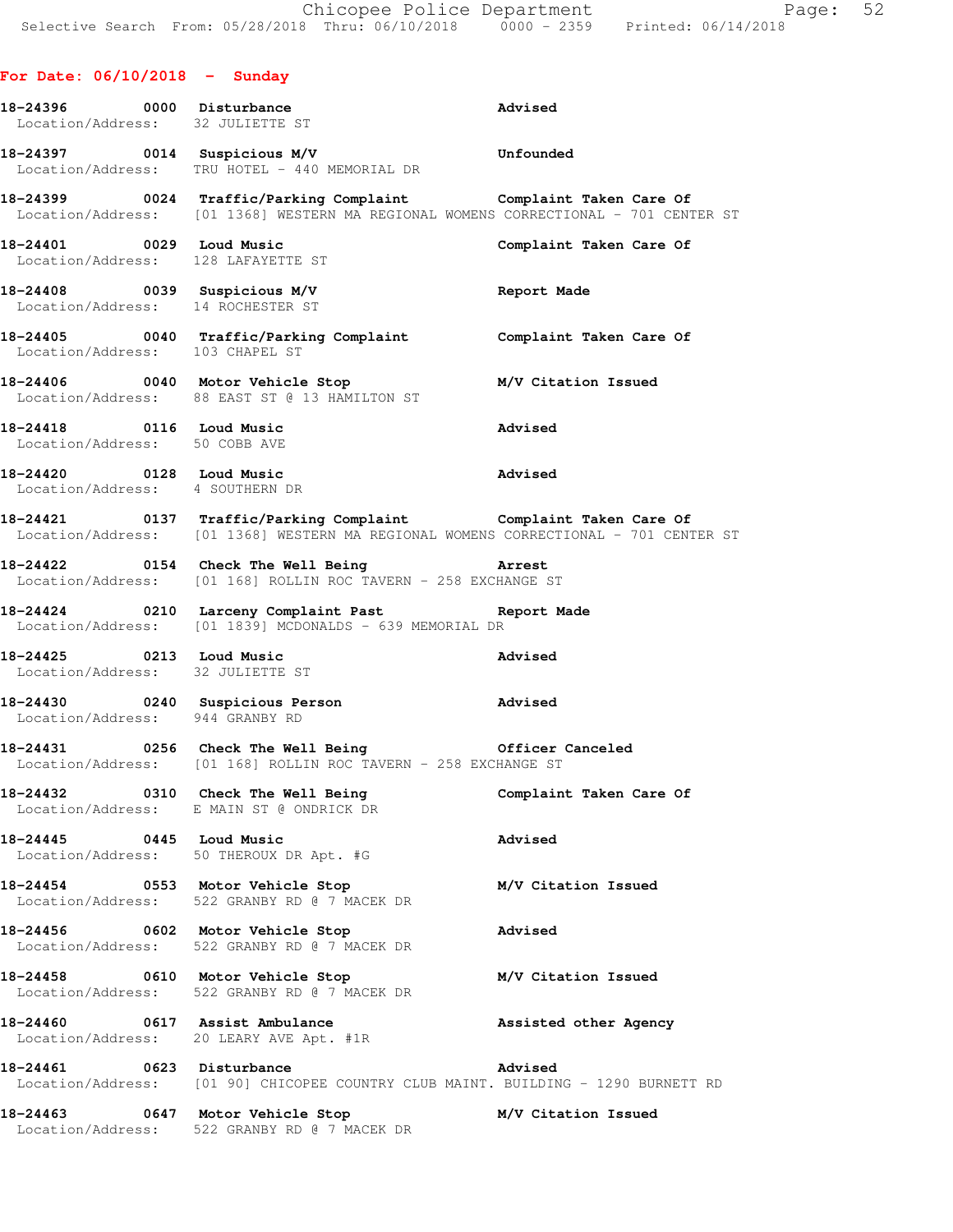**For Date: 06/10/2018 - Sunday 18-24396 0000 Disturbance Advised**  Location/Address: 32 JULIETTE ST **18-24397 0014 Suspicious M/V Unfounded**  Location/Address: TRU HOTEL - 440 MEMORIAL DR **18-24399 0024 Traffic/Parking Complaint Complaint Taken Care Of**  Location/Address: [01 1368] WESTERN MA REGIONAL WOMENS CORRECTIONAL - 701 CENTER ST **18-24401 0029 Loud Music Complaint Taken Care Of**  Location/Address: 128 LAFAYETTE ST **18-24408 0039 Suspicious M/V Report Made**  Location/Address: 14 ROCHESTER ST **18-24405 0040 Traffic/Parking Complaint Complaint Taken Care Of**  Location/Address: 103 CHAPEL ST **18-24406 0040 Motor Vehicle Stop M/V Citation Issued**  Location/Address: 88 EAST ST @ 13 HAMILTON ST **18-24418 0116 Loud Music Advised**  Location/Address: 50 COBB AVE **18-24420 0128 Loud Music Advised**  Location/Address: 4 SOUTHERN DR **18-24421 0137 Traffic/Parking Complaint Complaint Taken Care Of**  Location/Address: [01 1368] WESTERN MA REGIONAL WOMENS CORRECTIONAL - 701 CENTER ST **18-24422 0154 Check The Well Being Arrest**  Location/Address: [01 168] ROLLIN ROC TAVERN - 258 EXCHANGE ST **18-24424 0210 Larceny Complaint Past Report Made**  Location/Address: [01 1839] MCDONALDS - 639 MEMORIAL DR **18-24425 0213 Loud Music Advised**  Location/Address: 32 JULIETTE ST **18-24430 0240 Suspicious Person Advised**  Location/Address: 944 GRANBY RD **18-24431 0256 Check The Well Being Officer Canceled**  Location/Address: [01 168] ROLLIN ROC TAVERN - 258 EXCHANGE ST **18-24432 0310 Check The Well Being Complaint Taken Care Of**  Location/Address: E MAIN ST @ ONDRICK DR **18-24445 0445 Loud Music Advised**  Location/Address: 50 THEROUX DR Apt. #G **18-24454 0553 Motor Vehicle Stop M/V Citation Issued**  Location/Address: 522 GRANBY RD @ 7 MACEK DR **18-24456 0602 Motor Vehicle Stop Advised**  Location/Address: 522 GRANBY RD @ 7 MACEK DR **18-24458 0610 Motor Vehicle Stop M/V Citation Issued**  Location/Address: 522 GRANBY RD @ 7 MACEK DR **18-24460 0617 Assist Ambulance Assisted other Agency**  Location/Address: 20 LEARY AVE Apt. #1R **18-24461 0623 Disturbance Advised**  Location/Address: [01 90] CHICOPEE COUNTRY CLUB MAINT. BUILDING - 1290 BURNETT RD **18-24463 0647 Motor Vehicle Stop M/V Citation Issued** 

Location/Address: 522 GRANBY RD @ 7 MACEK DR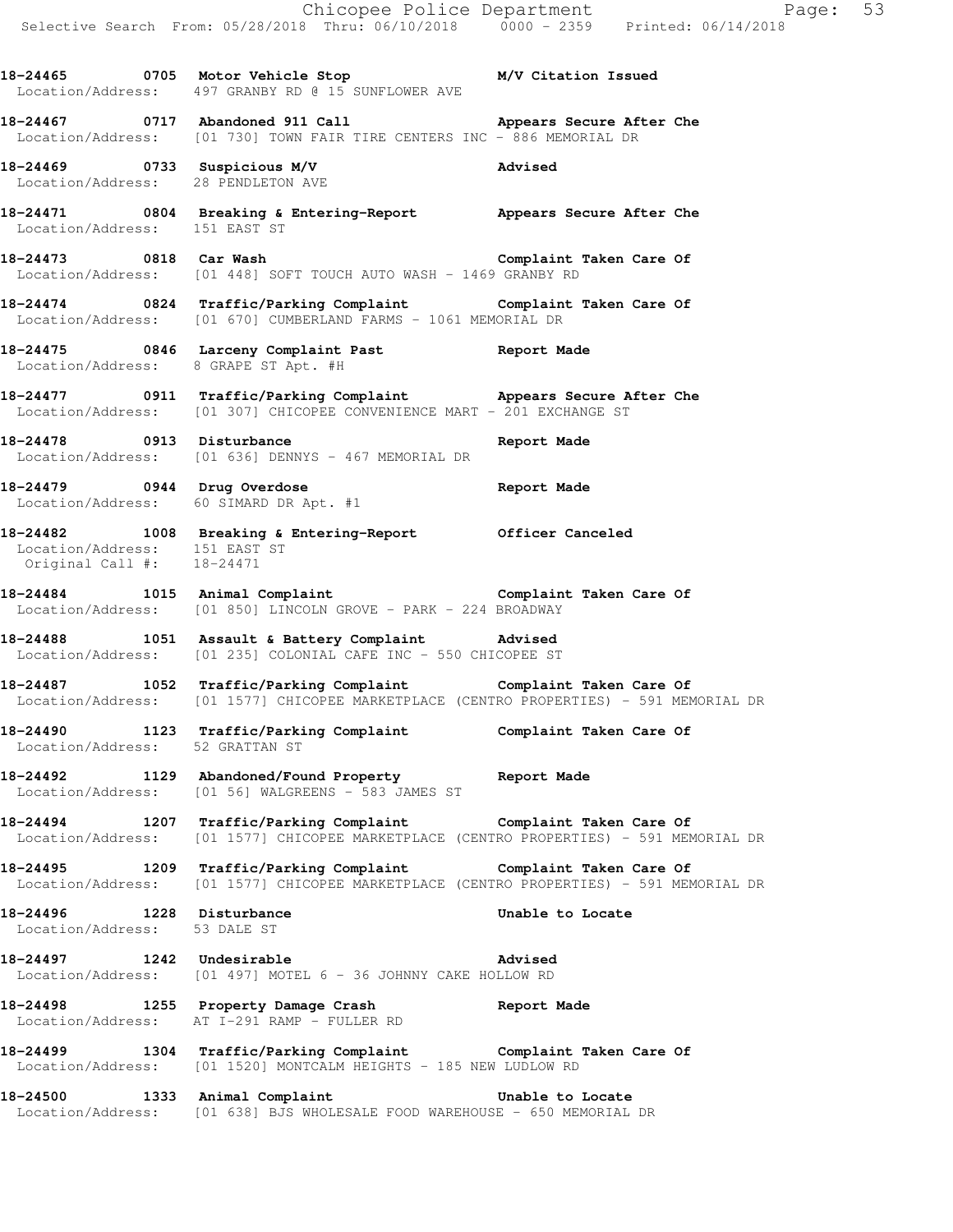|                                                            |                                                                                                                                                                   | Chicopee Police Department<br>Selective Search From: 05/28/2018 Thru: 06/10/2018 0000 - 2359 Printed: 06/14/2018 |  |
|------------------------------------------------------------|-------------------------------------------------------------------------------------------------------------------------------------------------------------------|------------------------------------------------------------------------------------------------------------------|--|
|                                                            | 18-24465 0705 Motor Vehicle Stop 6 M/V Citation Issued<br>Location/Address: 497 GRANBY RD @ 15 SUNFLOWER AVE                                                      |                                                                                                                  |  |
|                                                            | 18-24467 0717 Abandoned 911 Call Mappears Secure After Che<br>Location/Address: [01 730] TOWN FAIR TIRE CENTERS INC - 886 MEMORIAL DR                             |                                                                                                                  |  |
|                                                            | 18-24469 0733 Suspicious M/V<br>Location/Address: 28 PENDLETON AVE                                                                                                |                                                                                                                  |  |
| Location/Address: 151 EAST ST                              | 18-24471 0804 Breaking & Entering-Report Appears Secure After Che                                                                                                 |                                                                                                                  |  |
|                                                            | 18-24473 0818 Car Wash Complaint Taken Care Of<br>Location/Address: [01 448] SOFT TOUCH AUTO WASH - 1469 GRANBY RD                                                |                                                                                                                  |  |
|                                                            | 18-24474 		 0824 Traffic/Parking Complaint 		 Complaint Taken Care Of<br>Location/Address: [01 670] CUMBERLAND FARMS - 1061 MEMORIAL DR                           |                                                                                                                  |  |
| Location/Address: 8 GRAPE ST Apt. #H                       | 18-24475 0846 Larceny Complaint Past <b>Report Made</b>                                                                                                           |                                                                                                                  |  |
|                                                            | 18-24477 18-24477 0911 Traffic/Parking Complaint 18-24477 2011 Appears Secure After Che<br>Location/Address: [01 307] CHICOPEE CONVENIENCE MART - 201 EXCHANGE ST |                                                                                                                  |  |
|                                                            | 18-24478 0913 Disturbance<br>Location/Address: [01 636] DENNYS - 467 MEMORIAL DR                                                                                  | Report Made                                                                                                      |  |
|                                                            | 18-24479 0944 Drug Overdose<br>Location/Address: 60 SIMARD DR Apt. #1                                                                                             | Report Made                                                                                                      |  |
| Location/Address: 151 EAST ST<br>Original Call #: 18-24471 | 18-24482 1008 Breaking & Entering-Report Officer Canceled                                                                                                         |                                                                                                                  |  |
|                                                            | 18-24484 1015 Animal Complaint 18-24484 Complaint Taken Care Of<br>Location/Address: [01 850] LINCOLN GROVE - PARK - 224 BROADWAY                                 |                                                                                                                  |  |
|                                                            | 18-24488 1051 Assault & Battery Complaint Advised<br>Location/Address: [01 235] COLONIAL CAFE INC - 550 CHICOPEE ST                                               |                                                                                                                  |  |
|                                                            | 18-24487 1052 Traffic/Parking Complaint Complaint Taken Care Of<br>Location/Address: [01 1577] CHICOPEE MARKETPLACE (CENTRO PROPERTIES) - 591 MEMORIAL DR         |                                                                                                                  |  |
| Location/Address: 52 GRATTAN ST                            | 18-24490 1123 Traffic/Parking Complaint Complaint Taken Care Of                                                                                                   |                                                                                                                  |  |
|                                                            | 18-24492 1129 Abandoned/Found Property Report Made<br>Location/Address: [01 56] WALGREENS - 583 JAMES ST                                                          |                                                                                                                  |  |
|                                                            | 18-24494 1207 Traffic/Parking Complaint Complaint Taken Care Of<br>Location/Address: [01 1577] CHICOPEE MARKETPLACE (CENTRO PROPERTIES) - 591 MEMORIAL DR         |                                                                                                                  |  |
|                                                            | 18-24495 1209 Traffic/Parking Complaint Complaint Taken Care Of<br>Location/Address: [01 1577] CHICOPEE MARKETPLACE (CENTRO PROPERTIES) - 591 MEMORIAL DR         |                                                                                                                  |  |
| 18-24496 1228 Disturbance<br>Location/Address: 53 DALE ST  |                                                                                                                                                                   | Unable to Locate                                                                                                 |  |
| 18-24497 1242 Undesirable                                  | Location/Address: [01 497] MOTEL 6 - 36 JOHNNY CAKE HOLLOW RD                                                                                                     | Advised                                                                                                          |  |
|                                                            | 18-24498 1255 Property Damage Crash Neport Made<br>Location/Address: AT I-291 RAMP - FULLER RD                                                                    |                                                                                                                  |  |
|                                                            | 18-24499 1304 Traffic/Parking Complaint Complaint Taken Care Of<br>Location/Address: [01 1520] MONTCALM HEIGHTS - 185 NEW LUDLOW RD                               |                                                                                                                  |  |
|                                                            | 18-24500 1333 Animal Complaint <b>18-24500</b> Unable to Locate<br>Location/Address: [01 638] BJS WHOLESALE FOOD WAREHOUSE - 650 MEMORIAL DR                      |                                                                                                                  |  |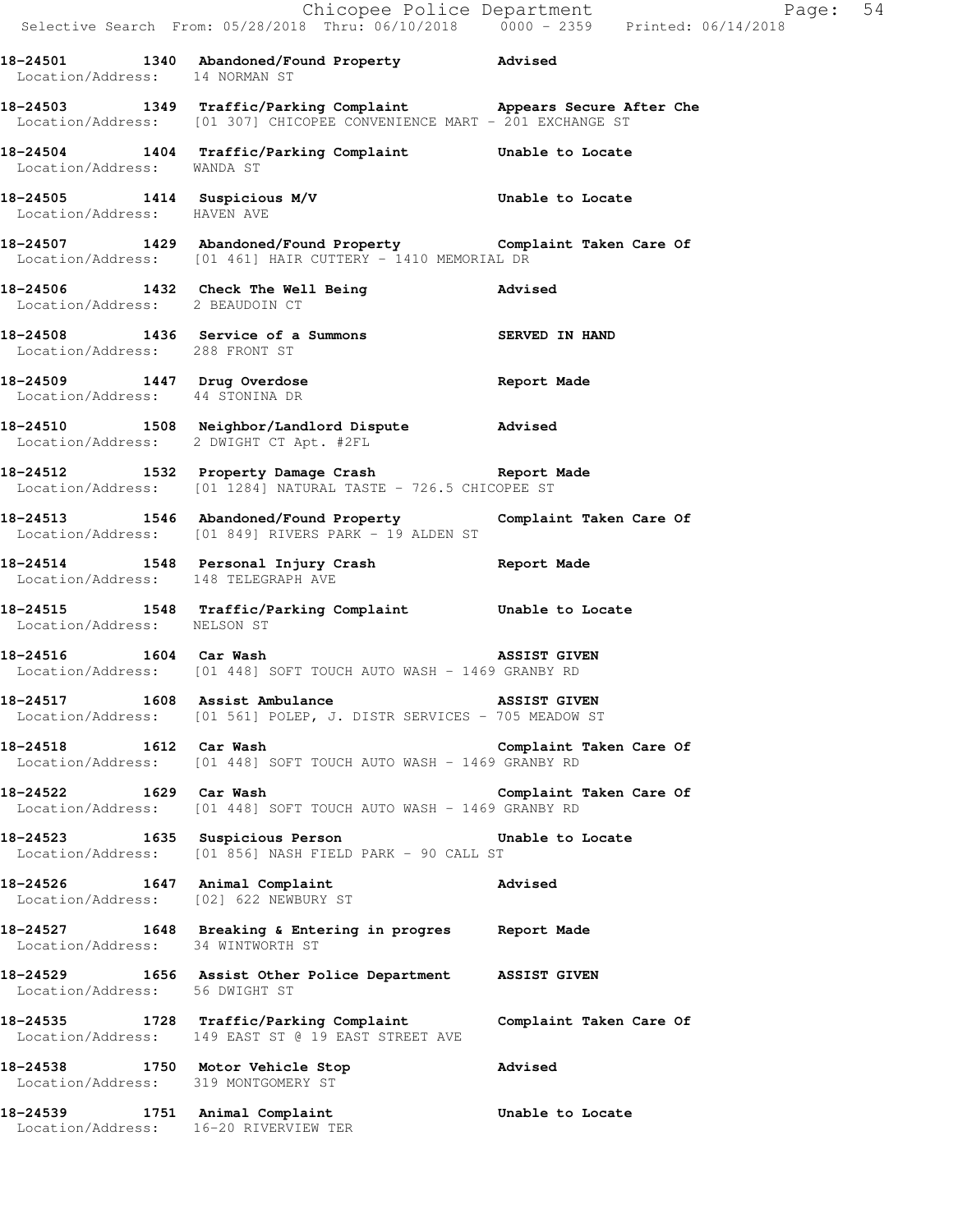|                                                                         | Chicopee Police Department<br>Selective Search From: 05/28/2018 Thru: 06/10/2018 0000 - 2359 Printed: 06/14/2018                           | Page: 54                |
|-------------------------------------------------------------------------|--------------------------------------------------------------------------------------------------------------------------------------------|-------------------------|
|                                                                         | 18-24501 1340 Abandoned/Found Property Advised<br>Location/Address: 14 NORMAN ST                                                           |                         |
|                                                                         | 18-24503 1349 Traffic/Parking Complaint Appears Secure After Che<br>Location/Address: [01 307] CHICOPEE CONVENIENCE MART - 201 EXCHANGE ST |                         |
| Location/Address: WANDA ST                                              | 18-24504 1404 Traffic/Parking Complaint Unable to Locate                                                                                   |                         |
| Location/Address: HAVEN AVE                                             | 18-24505 1414 Suspicious M/V Chable to Locate                                                                                              |                         |
|                                                                         | 18-24507   1429   Abandoned/Found Property   Complaint Taken Care Of Location/Address: [01 461] HAIR CUTTERY - 1410 MEMORIAL DR            |                         |
| Location/Address: 2 BEAUDOIN CT                                         | 18-24506 1432 Check The Well Being 30 Advised                                                                                              |                         |
| Location/Address: 288 FRONT ST                                          | 18-24508 1436 Service of a Summons SERVED IN HAND                                                                                          |                         |
| Location/Address: 44 STONINA DR                                         | 18-24509 1447 Drug Overdose and the Report Made                                                                                            |                         |
|                                                                         | 18-24510 1508 Neighbor/Landlord Dispute Advised<br>Location/Address: 2 DWIGHT CT Apt. #2FL                                                 |                         |
|                                                                         | 18-24512 1532 Property Damage Crash Report Made<br>Location/Address: [01 1284] NATURAL TASTE - 726.5 CHICOPEE ST                           |                         |
|                                                                         | 18-24513 1546 Abandoned/Found Property Complaint Taken Care Of<br>Location/Address: [01 849] RIVERS PARK - 19 ALDEN ST                     |                         |
| Location/Address: 148 TELEGRAPH AVE                                     | 18-24514 1548 Personal Injury Crash 18-24514 Report Made                                                                                   |                         |
| Location/Address: NELSON ST                                             | 18-24515 1548 Traffic/Parking Complaint Unable to Locate                                                                                   |                         |
|                                                                         | 18-24516 1604 Car Wash 1885 1885 2012 1604 Car Wash<br>Location/Address: [01 448] SOFT TOUCH AUTO WASH - 1469 GRANBY RD                    |                         |
|                                                                         | 18-24517 1608 Assist Ambulance NSSIST GIVEN<br>Location/Address: [01 561] POLEP, J. DISTR SERVICES - 705 MEADOW ST                         |                         |
| 18-24518 1612 Car Wash                                                  | Location/Address: [01 448] SOFT TOUCH AUTO WASH - 1469 GRANBY RD                                                                           | Complaint Taken Care Of |
| 18-24522 1629 Car Wash                                                  | Location/Address: [01 448] SOFT TOUCH AUTO WASH - 1469 GRANBY RD                                                                           | Complaint Taken Care Of |
|                                                                         | 18-24523 1635 Suspicious Person 1997 Unable to Locate<br>Location/Address: [01 856] NASH FIELD PARK - 90 CALL ST                           |                         |
| 18-24526 1647 Animal Complaint                                          | Location/Address: [02] 622 NEWBURY ST                                                                                                      | Advised                 |
| Location/Address: 34 WINTWORTH ST                                       | 18-24527 1648 Breaking & Entering in progres Report Made                                                                                   |                         |
| Location/Address: 56 DWIGHT ST                                          | 18-24529 1656 Assist Other Police Department ASSIST GIVEN                                                                                  |                         |
|                                                                         | 18-24535 1728 Traffic/Parking Complaint Complaint Taken Care Of<br>Location/Address: 149 EAST ST @ 19 EAST STREET AVE                      |                         |
| 18-24538 1750 Motor Vehicle Stop<br>Location/Address: 319 MONTGOMERY ST |                                                                                                                                            | Advised                 |
| 18-24539 1751 Animal Complaint<br>Location/Address: 16-20 RIVERVIEW TER |                                                                                                                                            | Unable to Locate        |